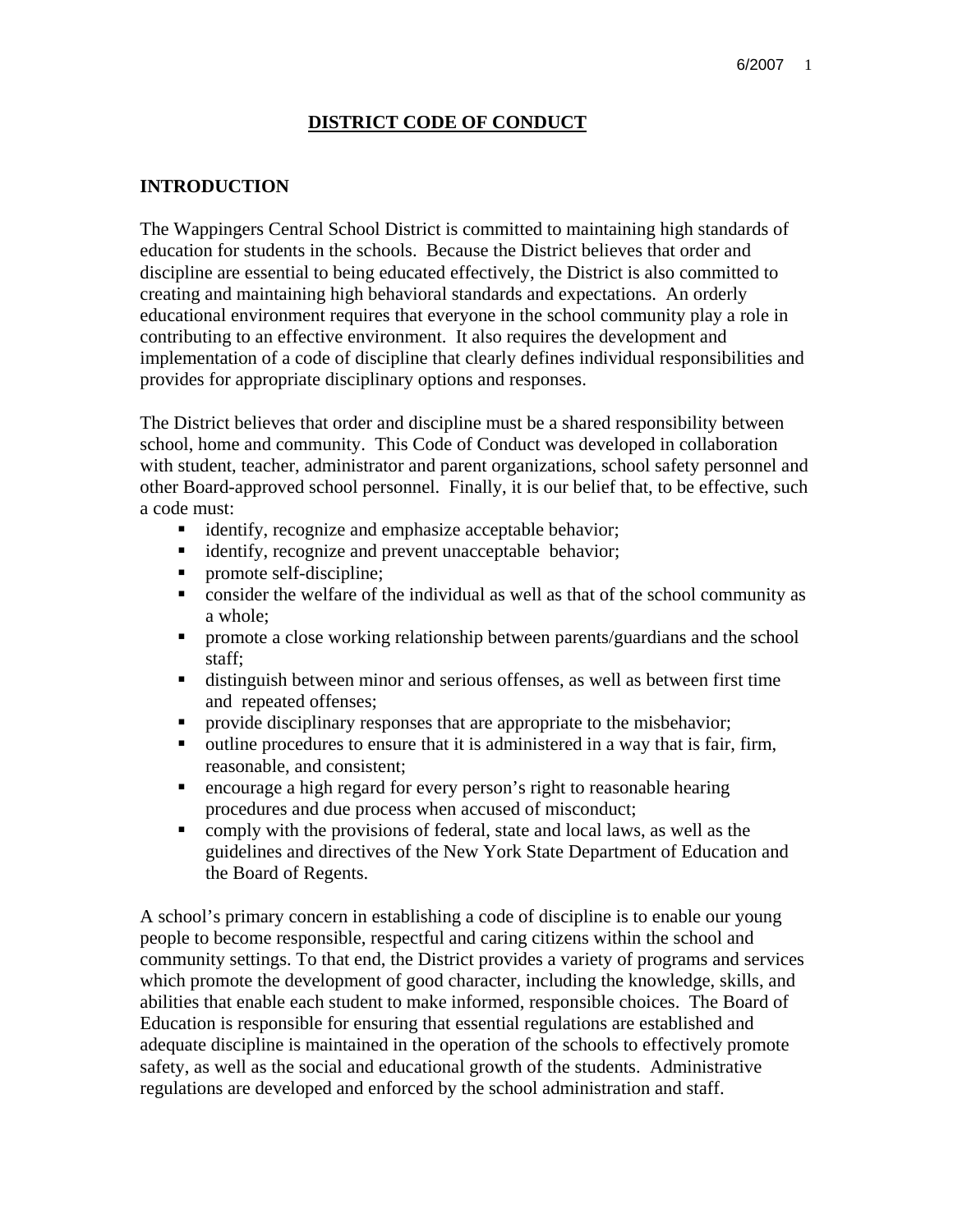#### **DISTRICT CODE OF CONDUCT**

#### **INTRODUCTION**

The Wappingers Central School District is committed to maintaining high standards of education for students in the schools. Because the District believes that order and discipline are essential to being educated effectively, the District is also committed to creating and maintaining high behavioral standards and expectations. An orderly educational environment requires that everyone in the school community play a role in contributing to an effective environment. It also requires the development and implementation of a code of discipline that clearly defines individual responsibilities and provides for appropriate disciplinary options and responses.

The District believes that order and discipline must be a shared responsibility between school, home and community. This Code of Conduct was developed in collaboration with student, teacher, administrator and parent organizations, school safety personnel and other Board-approved school personnel. Finally, it is our belief that, to be effective, such a code must:

- identify, recognize and emphasize acceptable behavior;
- identify, recognize and prevent unacceptable behavior;
- promote self-discipline;
- consider the welfare of the individual as well as that of the school community as a whole;
- promote a close working relationship between parents/guardians and the school staff;
- distinguish between minor and serious offenses, as well as between first time and repeated offenses;
- provide disciplinary responses that are appropriate to the misbehavior;
- outline procedures to ensure that it is administered in a way that is fair, firm, reasonable, and consistent;
- encourage a high regard for every person's right to reasonable hearing procedures and due process when accused of misconduct;
- comply with the provisions of federal, state and local laws, as well as the guidelines and directives of the New York State Department of Education and the Board of Regents.

A school's primary concern in establishing a code of discipline is to enable our young people to become responsible, respectful and caring citizens within the school and community settings. To that end, the District provides a variety of programs and services which promote the development of good character, including the knowledge, skills, and abilities that enable each student to make informed, responsible choices. The Board of Education is responsible for ensuring that essential regulations are established and adequate discipline is maintained in the operation of the schools to effectively promote safety, as well as the social and educational growth of the students. Administrative regulations are developed and enforced by the school administration and staff.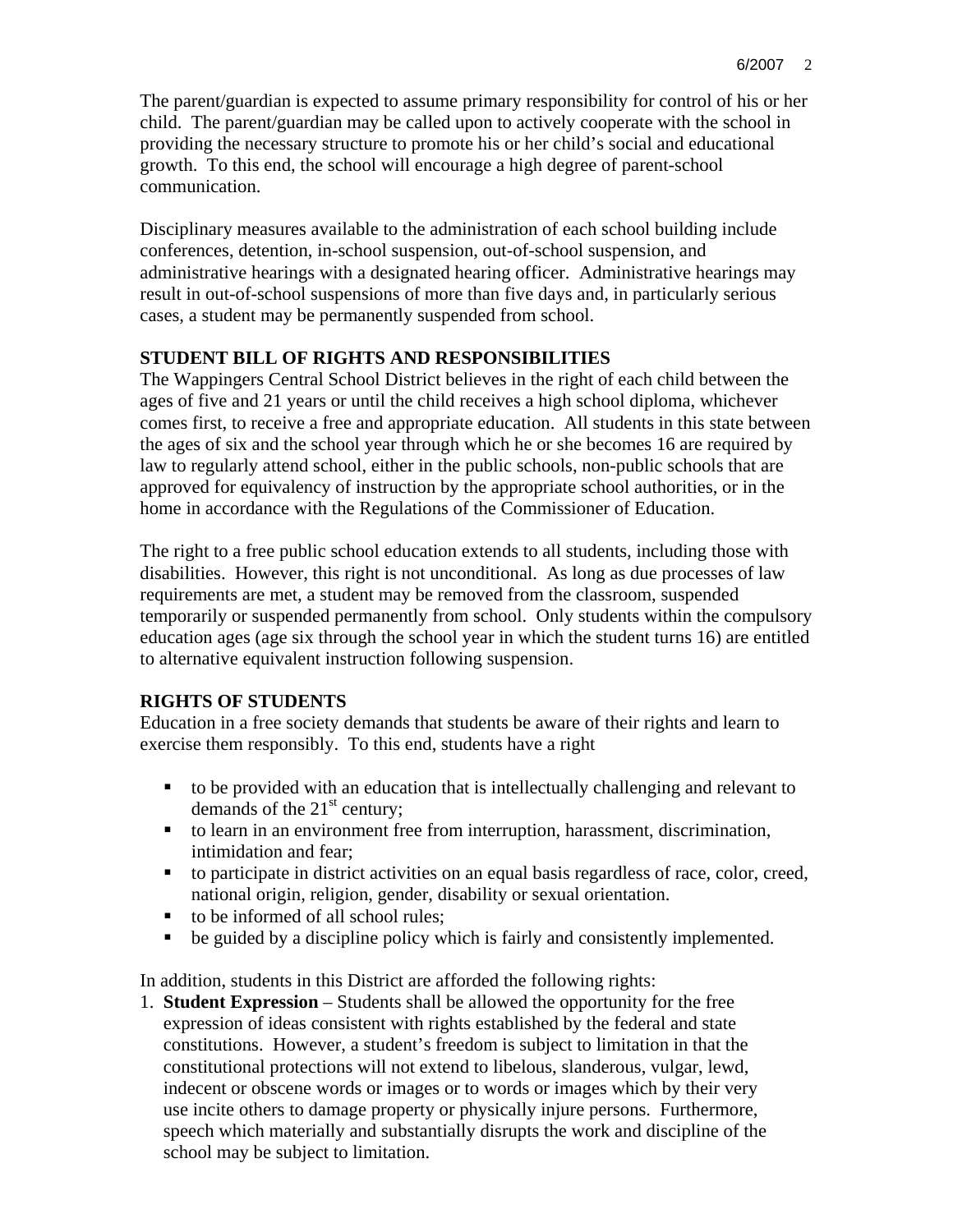The parent/guardian is expected to assume primary responsibility for control of his or her child. The parent/guardian may be called upon to actively cooperate with the school in providing the necessary structure to promote his or her child's social and educational growth. To this end, the school will encourage a high degree of parent-school communication.

Disciplinary measures available to the administration of each school building include conferences, detention, in-school suspension, out-of-school suspension, and administrative hearings with a designated hearing officer. Administrative hearings may result in out-of-school suspensions of more than five days and, in particularly serious cases, a student may be permanently suspended from school.

## **STUDENT BILL OF RIGHTS AND RESPONSIBILITIES**

The Wappingers Central School District believes in the right of each child between the ages of five and 21 years or until the child receives a high school diploma, whichever comes first, to receive a free and appropriate education. All students in this state between the ages of six and the school year through which he or she becomes 16 are required by law to regularly attend school, either in the public schools, non-public schools that are approved for equivalency of instruction by the appropriate school authorities, or in the home in accordance with the Regulations of the Commissioner of Education.

The right to a free public school education extends to all students, including those with disabilities. However, this right is not unconditional. As long as due processes of law requirements are met, a student may be removed from the classroom, suspended temporarily or suspended permanently from school. Only students within the compulsory education ages (age six through the school year in which the student turns 16) are entitled to alternative equivalent instruction following suspension.

## **RIGHTS OF STUDENTS**

Education in a free society demands that students be aware of their rights and learn to exercise them responsibly. To this end, students have a right

- to be provided with an education that is intellectually challenging and relevant to demands of the  $21<sup>st</sup>$  century;
- to learn in an environment free from interruption, harassment, discrimination, intimidation and fear;
- to participate in district activities on an equal basis regardless of race, color, creed, national origin, religion, gender, disability or sexual orientation.
- to be informed of all school rules;
- be guided by a discipline policy which is fairly and consistently implemented.

In addition, students in this District are afforded the following rights:

1. **Student Expression** – Students shall be allowed the opportunity for the free expression of ideas consistent with rights established by the federal and state constitutions. However, a student's freedom is subject to limitation in that the constitutional protections will not extend to libelous, slanderous, vulgar, lewd, indecent or obscene words or images or to words or images which by their very use incite others to damage property or physically injure persons. Furthermore, speech which materially and substantially disrupts the work and discipline of the school may be subject to limitation.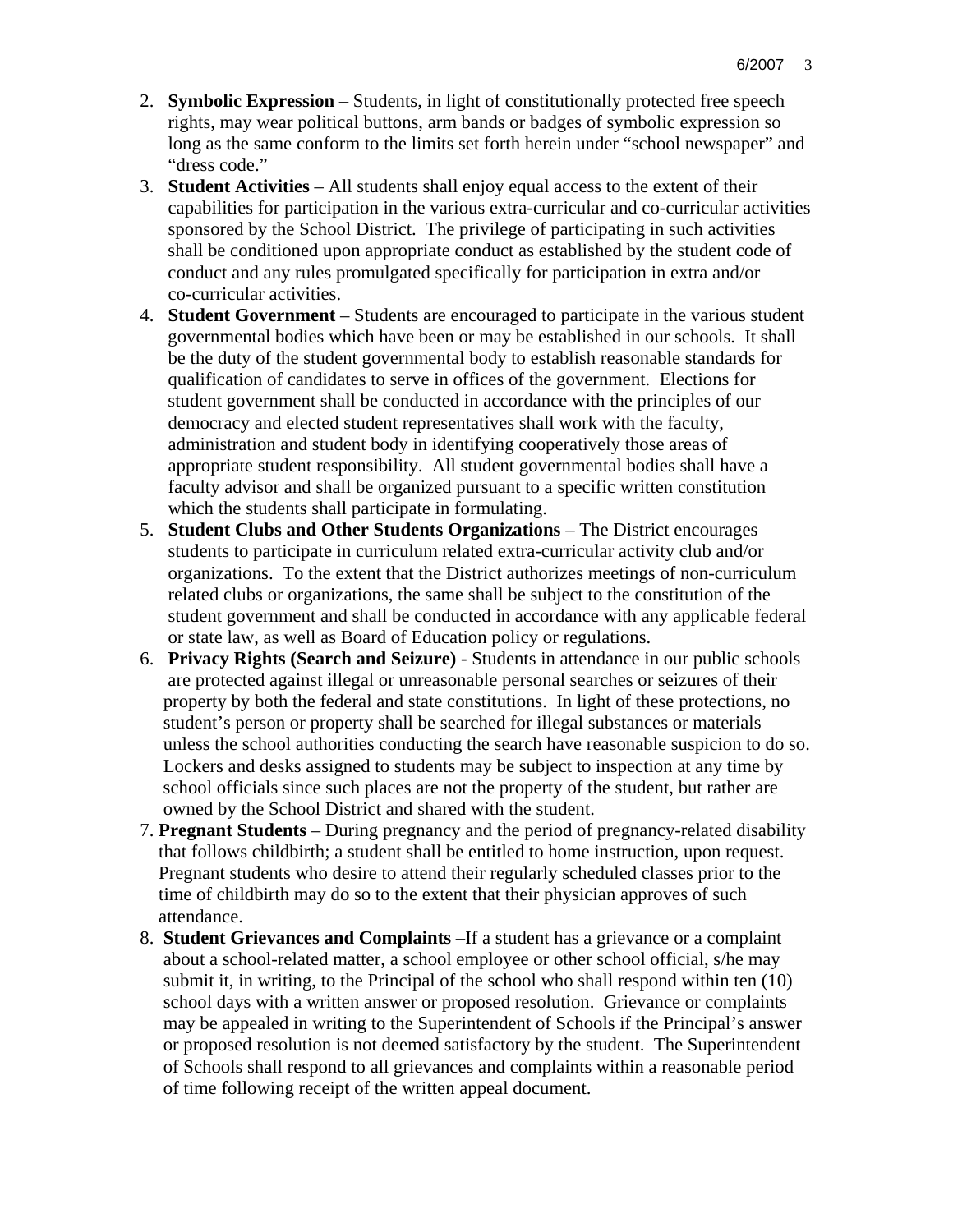- 2. **Symbolic Expression** Students, in light of constitutionally protected free speech rights, may wear political buttons, arm bands or badges of symbolic expression so long as the same conform to the limits set forth herein under "school newspaper" and "dress code."
- 3. **Student Activities** All students shall enjoy equal access to the extent of their capabilities for participation in the various extra-curricular and co-curricular activities sponsored by the School District. The privilege of participating in such activities shall be conditioned upon appropriate conduct as established by the student code of conduct and any rules promulgated specifically for participation in extra and/or co-curricular activities.
- 4. **Student Government** Students are encouraged to participate in the various student governmental bodies which have been or may be established in our schools. It shall be the duty of the student governmental body to establish reasonable standards for qualification of candidates to serve in offices of the government. Elections for student government shall be conducted in accordance with the principles of our democracy and elected student representatives shall work with the faculty, administration and student body in identifying cooperatively those areas of appropriate student responsibility. All student governmental bodies shall have a faculty advisor and shall be organized pursuant to a specific written constitution which the students shall participate in formulating.
- 5. **Student Clubs and Other Students Organizations** The District encourages students to participate in curriculum related extra-curricular activity club and/or organizations. To the extent that the District authorizes meetings of non-curriculum related clubs or organizations, the same shall be subject to the constitution of the student government and shall be conducted in accordance with any applicable federal or state law, as well as Board of Education policy or regulations.
- 6. **Privacy Rights (Search and Seizure)** Students in attendance in our public schools are protected against illegal or unreasonable personal searches or seizures of their property by both the federal and state constitutions. In light of these protections, no student's person or property shall be searched for illegal substances or materials unless the school authorities conducting the search have reasonable suspicion to do so. Lockers and desks assigned to students may be subject to inspection at any time by school officials since such places are not the property of the student, but rather are owned by the School District and shared with the student.
- 7. **Pregnant Students** During pregnancy and the period of pregnancy-related disability that follows childbirth; a student shall be entitled to home instruction, upon request. Pregnant students who desire to attend their regularly scheduled classes prior to the time of childbirth may do so to the extent that their physician approves of such attendance.
- 8. **Student Grievances and Complaints** –If a student has a grievance or a complaint about a school-related matter, a school employee or other school official, s/he may submit it, in writing, to the Principal of the school who shall respond within ten (10) school days with a written answer or proposed resolution. Grievance or complaints may be appealed in writing to the Superintendent of Schools if the Principal's answer or proposed resolution is not deemed satisfactory by the student. The Superintendent of Schools shall respond to all grievances and complaints within a reasonable period of time following receipt of the written appeal document.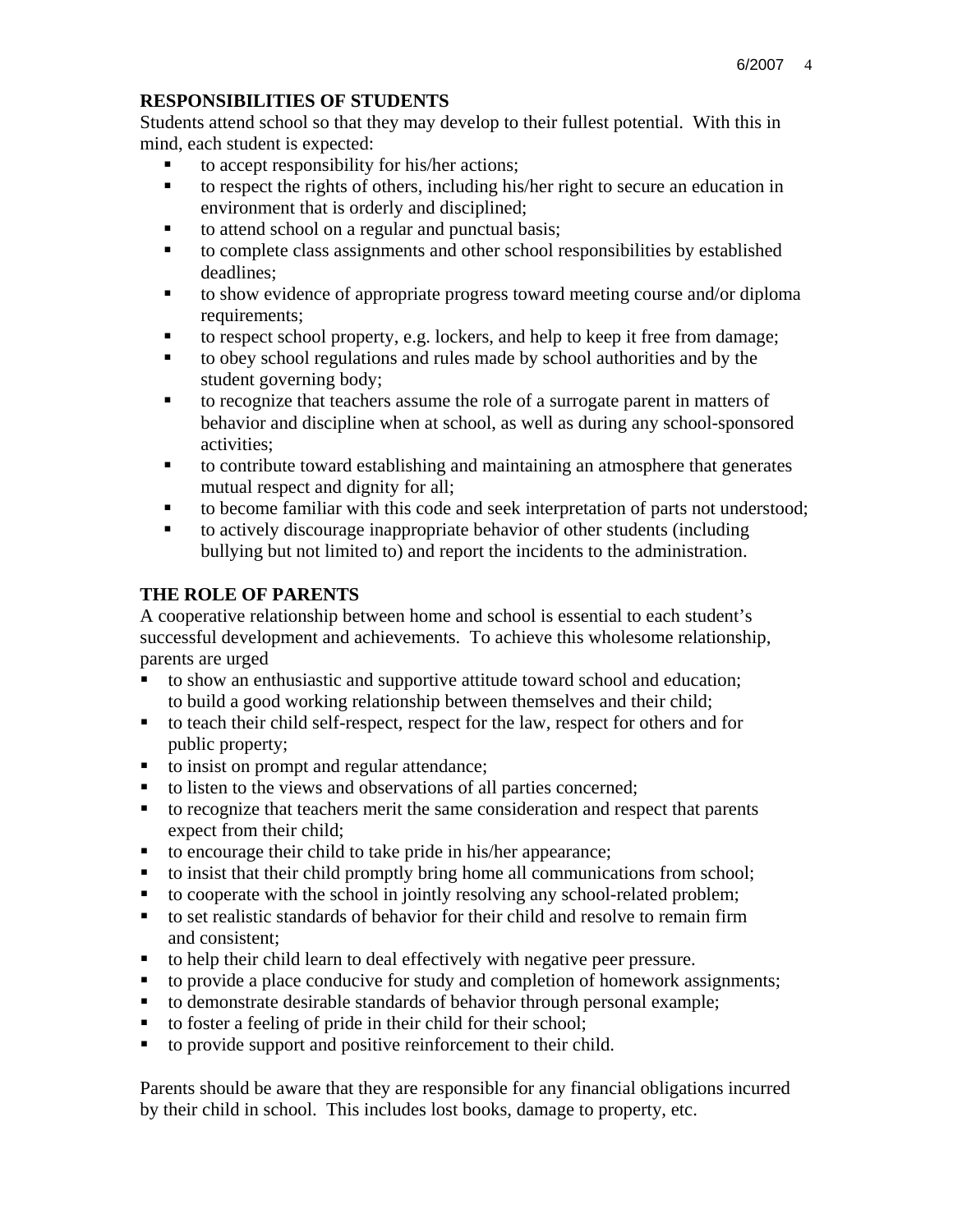### **RESPONSIBILITIES OF STUDENTS**

Students attend school so that they may develop to their fullest potential. With this in mind, each student is expected:

- to accept responsibility for his/her actions;
- to respect the rights of others, including his/her right to secure an education in environment that is orderly and disciplined;
- to attend school on a regular and punctual basis;
- to complete class assignments and other school responsibilities by established deadlines;
- to show evidence of appropriate progress toward meeting course and/or diploma requirements;
- to respect school property, e.g. lockers, and help to keep it free from damage;
- to obey school regulations and rules made by school authorities and by the student governing body;
- to recognize that teachers assume the role of a surrogate parent in matters of behavior and discipline when at school, as well as during any school-sponsored activities;
- to contribute toward establishing and maintaining an atmosphere that generates mutual respect and dignity for all;
- to become familiar with this code and seek interpretation of parts not understood;
- to actively discourage inappropriate behavior of other students (including bullying but not limited to) and report the incidents to the administration.

## **THE ROLE OF PARENTS**

A cooperative relationship between home and school is essential to each student's successful development and achievements. To achieve this wholesome relationship, parents are urged

- to show an enthusiastic and supportive attitude toward school and education; to build a good working relationship between themselves and their child;
- to teach their child self-respect, respect for the law, respect for others and for public property;
- to insist on prompt and regular attendance;
- to listen to the views and observations of all parties concerned;
- to recognize that teachers merit the same consideration and respect that parents expect from their child;
- to encourage their child to take pride in his/her appearance;
- $\bullet$  to insist that their child promptly bring home all communications from school;
- to cooperate with the school in jointly resolving any school-related problem;
- to set realistic standards of behavior for their child and resolve to remain firm and consistent;
- to help their child learn to deal effectively with negative peer pressure.
- to provide a place conducive for study and completion of homework assignments;
- to demonstrate desirable standards of behavior through personal example;
- to foster a feeling of pride in their child for their school;
- to provide support and positive reinforcement to their child.

Parents should be aware that they are responsible for any financial obligations incurred by their child in school. This includes lost books, damage to property, etc.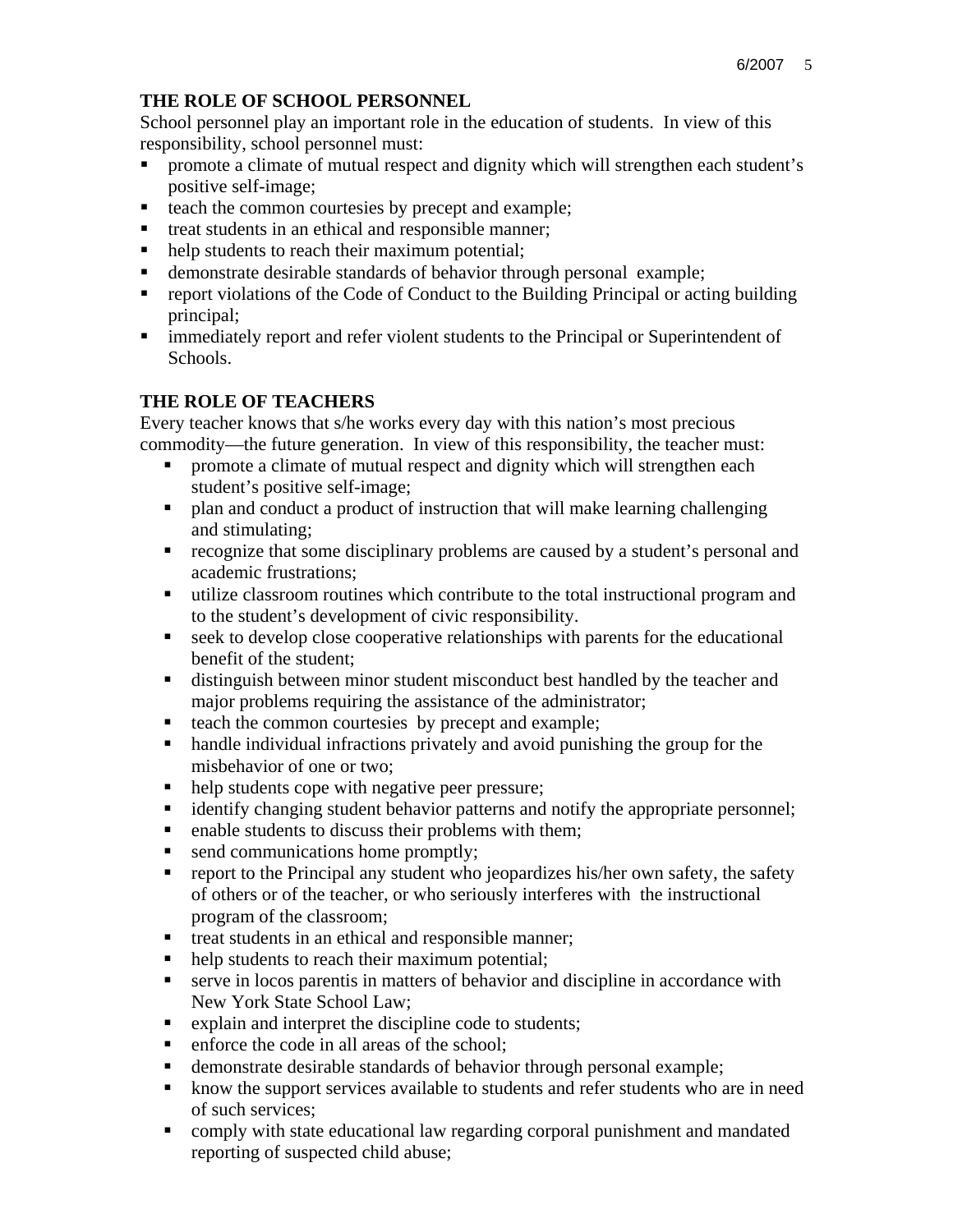## **THE ROLE OF SCHOOL PERSONNEL**

School personnel play an important role in the education of students. In view of this responsibility, school personnel must:

- promote a climate of mutual respect and dignity which will strengthen each student's positive self-image;
- $\blacksquare$  teach the common courtesies by precept and example;
- **the treat students in an ethical and responsible manner;**
- help students to reach their maximum potential;
- demonstrate desirable standards of behavior through personal example;
- report violations of the Code of Conduct to the Building Principal or acting building principal;
- immediately report and refer violent students to the Principal or Superintendent of Schools.

## **THE ROLE OF TEACHERS**

Every teacher knows that s/he works every day with this nation's most precious commodity—the future generation. In view of this responsibility, the teacher must:

- promote a climate of mutual respect and dignity which will strengthen each student's positive self-image;
- plan and conduct a product of instruction that will make learning challenging and stimulating;
- recognize that some disciplinary problems are caused by a student's personal and academic frustrations;
- utilize classroom routines which contribute to the total instructional program and to the student's development of civic responsibility.
- seek to develop close cooperative relationships with parents for the educational benefit of the student;
- distinguish between minor student misconduct best handled by the teacher and major problems requiring the assistance of the administrator;
- teach the common courtesies by precept and example;
- handle individual infractions privately and avoid punishing the group for the misbehavior of one or two;
- help students cope with negative peer pressure;
- identify changing student behavior patterns and notify the appropriate personnel;
- enable students to discuss their problems with them;
- send communications home promptly;
- report to the Principal any student who jeopardizes his/her own safety, the safety of others or of the teacher, or who seriously interferes with the instructional program of the classroom;
- treat students in an ethical and responsible manner;
- help students to reach their maximum potential;
- serve in locos parentis in matters of behavior and discipline in accordance with New York State School Law;
- Explain and interpret the discipline code to students;
- enforce the code in all areas of the school;
- demonstrate desirable standards of behavior through personal example;
- know the support services available to students and refer students who are in need of such services;
- comply with state educational law regarding corporal punishment and mandated reporting of suspected child abuse;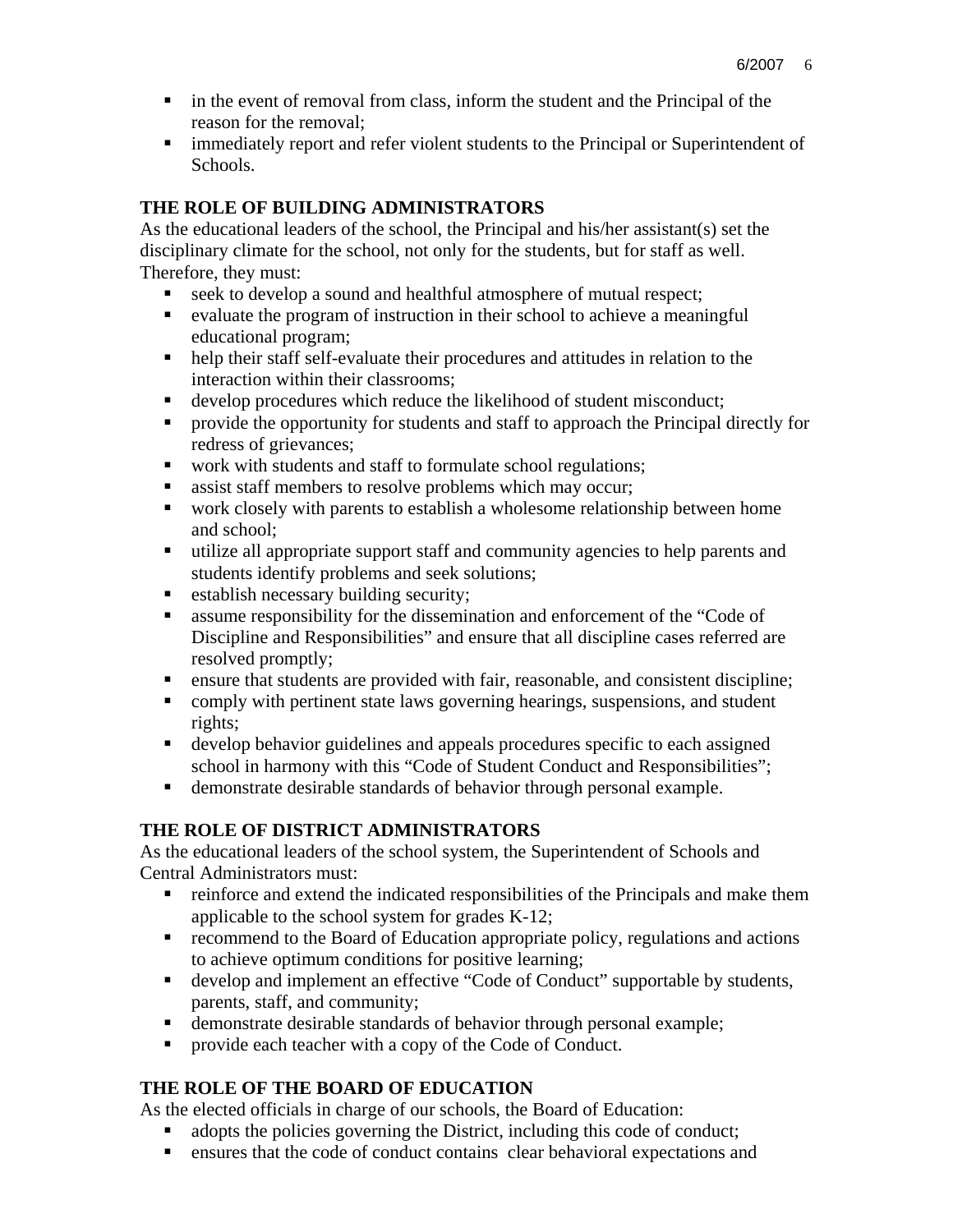- **ightharror in the event of removal from class, inform the student and the Principal of the** reason for the removal;
- immediately report and refer violent students to the Principal or Superintendent of Schools.

# **THE ROLE OF BUILDING ADMINISTRATORS**

As the educational leaders of the school, the Principal and his/her assistant(s) set the disciplinary climate for the school, not only for the students, but for staff as well. Therefore, they must:

- seek to develop a sound and healthful atmosphere of mutual respect;
- evaluate the program of instruction in their school to achieve a meaningful educational program;
- help their staff self-evaluate their procedures and attitudes in relation to the interaction within their classrooms;
- develop procedures which reduce the likelihood of student misconduct;
- **•** provide the opportunity for students and staff to approach the Principal directly for redress of grievances;
- work with students and staff to formulate school regulations;
- **assist staff members to resolve problems which may occur;**
- work closely with parents to establish a wholesome relationship between home and school;
- utilize all appropriate support staff and community agencies to help parents and students identify problems and seek solutions;
- establish necessary building security;
- **assume responsibility for the dissemination and enforcement of the "Code of**" Discipline and Responsibilities" and ensure that all discipline cases referred are resolved promptly;
- ensure that students are provided with fair, reasonable, and consistent discipline;
- comply with pertinent state laws governing hearings, suspensions, and student rights;
- develop behavior guidelines and appeals procedures specific to each assigned school in harmony with this "Code of Student Conduct and Responsibilities";
- demonstrate desirable standards of behavior through personal example.

# **THE ROLE OF DISTRICT ADMINISTRATORS**

As the educational leaders of the school system, the Superintendent of Schools and Central Administrators must:

- **reinforce and extend the indicated responsibilities of the Principals and make them** applicable to the school system for grades K-12;
- **•** recommend to the Board of Education appropriate policy, regulations and actions to achieve optimum conditions for positive learning;
- develop and implement an effective "Code of Conduct" supportable by students, parents, staff, and community;
- demonstrate desirable standards of behavior through personal example;
- **PEDECISE 1** provide each teacher with a copy of the Code of Conduct.

# **THE ROLE OF THE BOARD OF EDUCATION**

As the elected officials in charge of our schools, the Board of Education:

- adopts the policies governing the District, including this code of conduct;
- ensures that the code of conduct contains clear behavioral expectations and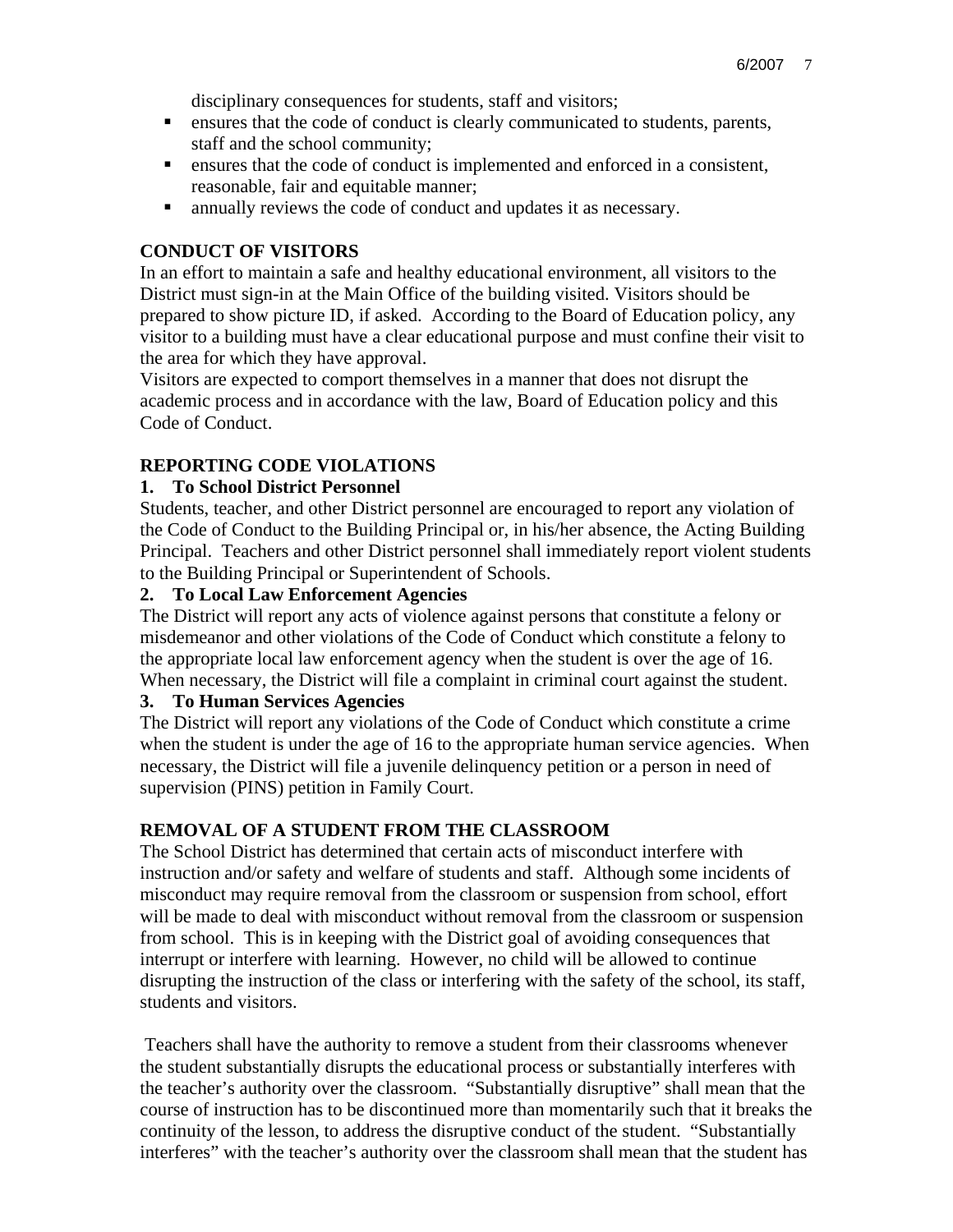disciplinary consequences for students, staff and visitors;

- ensures that the code of conduct is clearly communicated to students, parents, staff and the school community;
- ensures that the code of conduct is implemented and enforced in a consistent, reasonable, fair and equitable manner;
- annually reviews the code of conduct and updates it as necessary.

### **CONDUCT OF VISITORS**

In an effort to maintain a safe and healthy educational environment, all visitors to the District must sign-in at the Main Office of the building visited. Visitors should be prepared to show picture ID, if asked. According to the Board of Education policy, any visitor to a building must have a clear educational purpose and must confine their visit to the area for which they have approval.

Visitors are expected to comport themselves in a manner that does not disrupt the academic process and in accordance with the law, Board of Education policy and this Code of Conduct.

## **REPORTING CODE VIOLATIONS**

### **1. To School District Personnel**

Students, teacher, and other District personnel are encouraged to report any violation of the Code of Conduct to the Building Principal or, in his/her absence, the Acting Building Principal. Teachers and other District personnel shall immediately report violent students to the Building Principal or Superintendent of Schools.

### **2. To Local Law Enforcement Agencies**

The District will report any acts of violence against persons that constitute a felony or misdemeanor and other violations of the Code of Conduct which constitute a felony to the appropriate local law enforcement agency when the student is over the age of 16. When necessary, the District will file a complaint in criminal court against the student.

## **3. To Human Services Agencies**

The District will report any violations of the Code of Conduct which constitute a crime when the student is under the age of 16 to the appropriate human service agencies. When necessary, the District will file a juvenile delinquency petition or a person in need of supervision (PINS) petition in Family Court.

#### **REMOVAL OF A STUDENT FROM THE CLASSROOM**

The School District has determined that certain acts of misconduct interfere with instruction and/or safety and welfare of students and staff. Although some incidents of misconduct may require removal from the classroom or suspension from school, effort will be made to deal with misconduct without removal from the classroom or suspension from school. This is in keeping with the District goal of avoiding consequences that interrupt or interfere with learning. However, no child will be allowed to continue disrupting the instruction of the class or interfering with the safety of the school, its staff, students and visitors.

 Teachers shall have the authority to remove a student from their classrooms whenever the student substantially disrupts the educational process or substantially interferes with the teacher's authority over the classroom. "Substantially disruptive" shall mean that the course of instruction has to be discontinued more than momentarily such that it breaks the continuity of the lesson, to address the disruptive conduct of the student. "Substantially interferes" with the teacher's authority over the classroom shall mean that the student has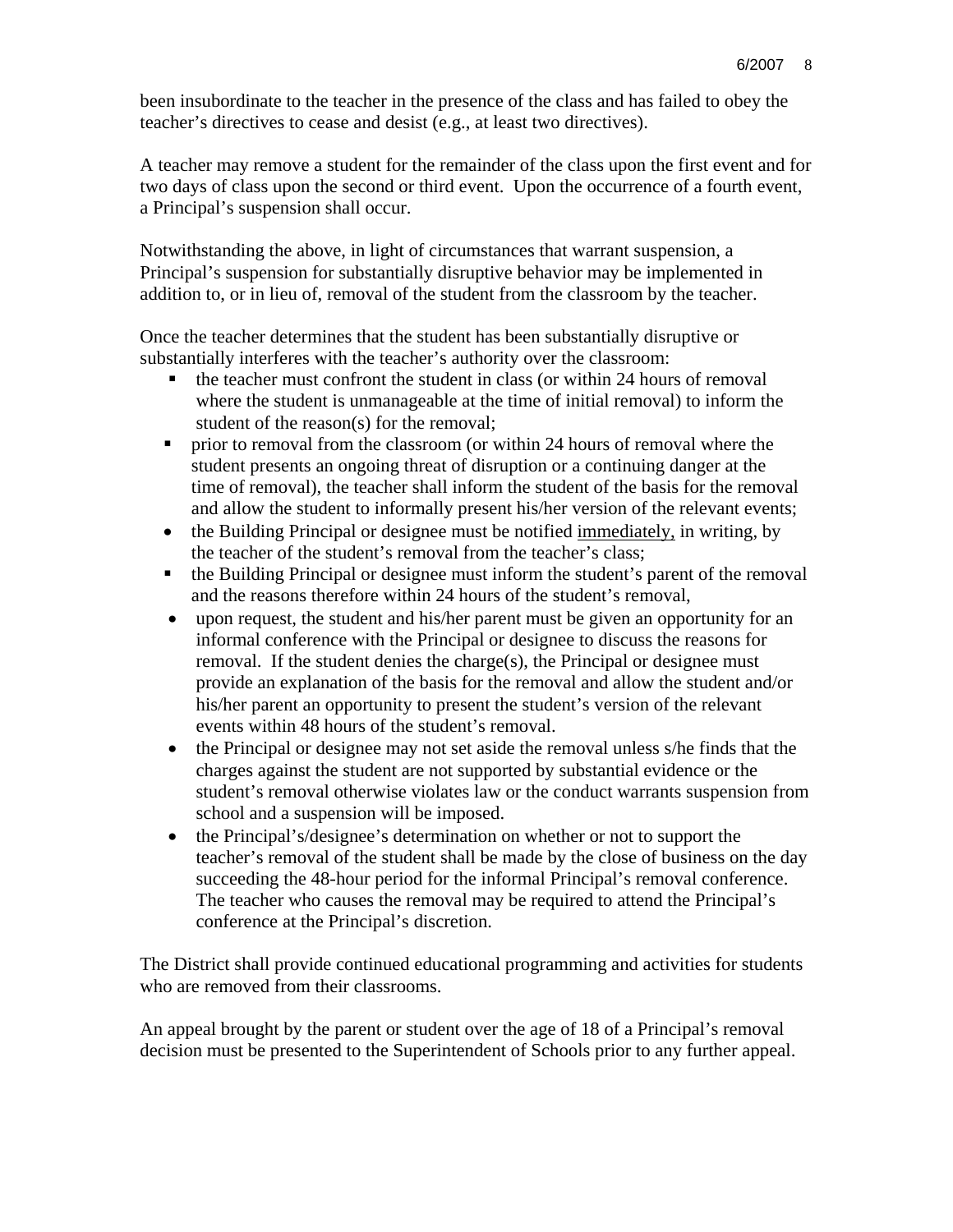been insubordinate to the teacher in the presence of the class and has failed to obey the teacher's directives to cease and desist (e.g., at least two directives).

A teacher may remove a student for the remainder of the class upon the first event and for two days of class upon the second or third event. Upon the occurrence of a fourth event, a Principal's suspension shall occur.

Notwithstanding the above, in light of circumstances that warrant suspension, a Principal's suspension for substantially disruptive behavior may be implemented in addition to, or in lieu of, removal of the student from the classroom by the teacher.

Once the teacher determines that the student has been substantially disruptive or substantially interferes with the teacher's authority over the classroom:

- the teacher must confront the student in class (or within 24 hours of removal where the student is unmanageable at the time of initial removal) to inform the student of the reason(s) for the removal;
- prior to removal from the classroom (or within 24 hours of removal where the student presents an ongoing threat of disruption or a continuing danger at the time of removal), the teacher shall inform the student of the basis for the removal and allow the student to informally present his/her version of the relevant events;
- the Building Principal or designee must be notified immediately, in writing, by the teacher of the student's removal from the teacher's class;
- the Building Principal or designee must inform the student's parent of the removal and the reasons therefore within 24 hours of the student's removal,
- upon request, the student and his/her parent must be given an opportunity for an informal conference with the Principal or designee to discuss the reasons for removal. If the student denies the charge(s), the Principal or designee must provide an explanation of the basis for the removal and allow the student and/or his/her parent an opportunity to present the student's version of the relevant events within 48 hours of the student's removal.
- the Principal or designee may not set aside the removal unless s/he finds that the charges against the student are not supported by substantial evidence or the student's removal otherwise violates law or the conduct warrants suspension from school and a suspension will be imposed.
- the Principal's/designee's determination on whether or not to support the teacher's removal of the student shall be made by the close of business on the day succeeding the 48-hour period for the informal Principal's removal conference. The teacher who causes the removal may be required to attend the Principal's conference at the Principal's discretion.

The District shall provide continued educational programming and activities for students who are removed from their classrooms.

An appeal brought by the parent or student over the age of 18 of a Principal's removal decision must be presented to the Superintendent of Schools prior to any further appeal.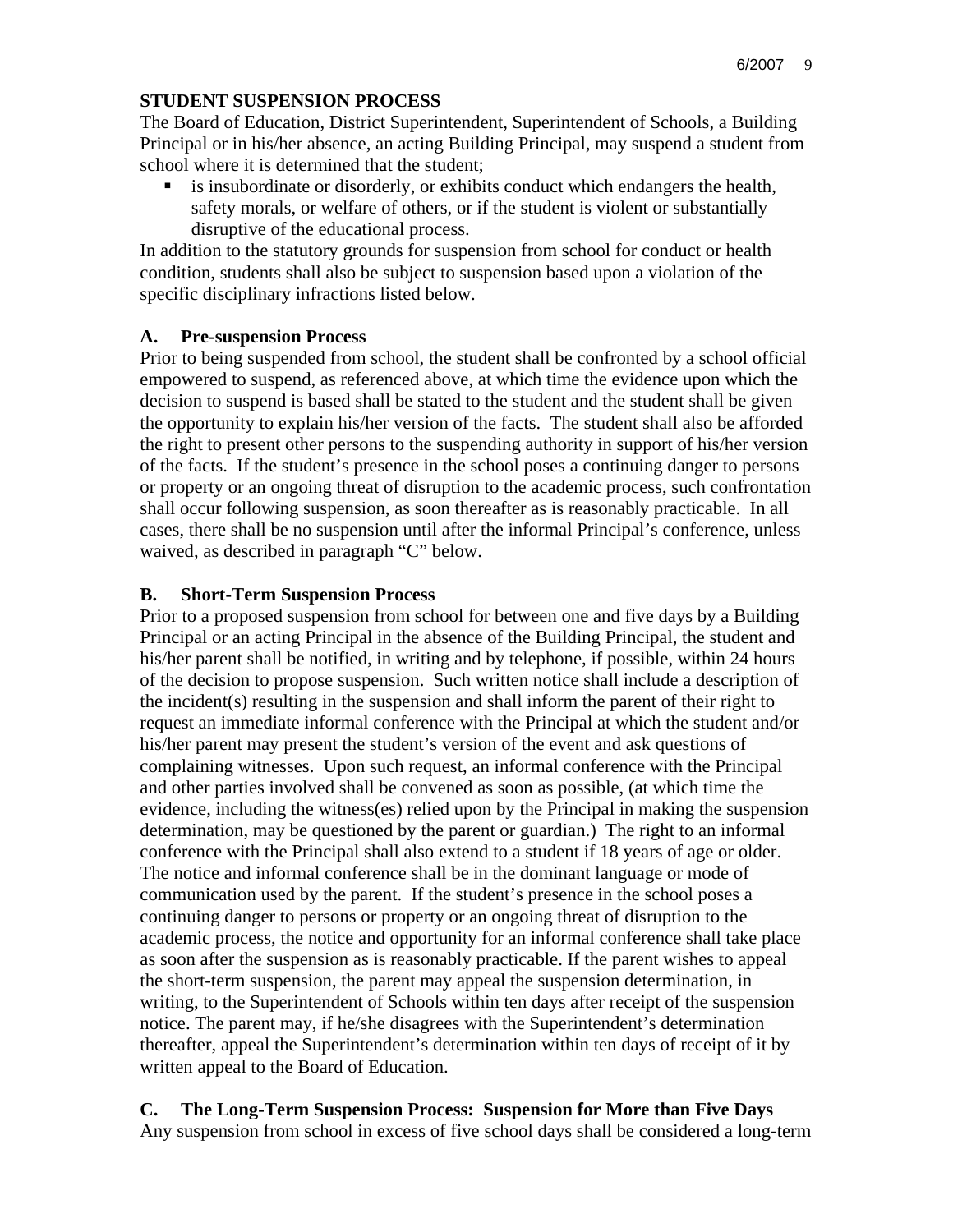#### **STUDENT SUSPENSION PROCESS**

The Board of Education, District Superintendent, Superintendent of Schools, a Building Principal or in his/her absence, an acting Building Principal, may suspend a student from school where it is determined that the student;

 is insubordinate or disorderly, or exhibits conduct which endangers the health, safety morals, or welfare of others, or if the student is violent or substantially disruptive of the educational process.

In addition to the statutory grounds for suspension from school for conduct or health condition, students shall also be subject to suspension based upon a violation of the specific disciplinary infractions listed below.

#### **A. Pre-suspension Process**

Prior to being suspended from school, the student shall be confronted by a school official empowered to suspend, as referenced above, at which time the evidence upon which the decision to suspend is based shall be stated to the student and the student shall be given the opportunity to explain his/her version of the facts. The student shall also be afforded the right to present other persons to the suspending authority in support of his/her version of the facts. If the student's presence in the school poses a continuing danger to persons or property or an ongoing threat of disruption to the academic process, such confrontation shall occur following suspension, as soon thereafter as is reasonably practicable. In all cases, there shall be no suspension until after the informal Principal's conference, unless waived, as described in paragraph "C" below.

#### **B. Short-Term Suspension Process**

Prior to a proposed suspension from school for between one and five days by a Building Principal or an acting Principal in the absence of the Building Principal, the student and his/her parent shall be notified, in writing and by telephone, if possible, within 24 hours of the decision to propose suspension. Such written notice shall include a description of the incident(s) resulting in the suspension and shall inform the parent of their right to request an immediate informal conference with the Principal at which the student and/or his/her parent may present the student's version of the event and ask questions of complaining witnesses. Upon such request, an informal conference with the Principal and other parties involved shall be convened as soon as possible, (at which time the evidence, including the witness(es) relied upon by the Principal in making the suspension determination, may be questioned by the parent or guardian.) The right to an informal conference with the Principal shall also extend to a student if 18 years of age or older. The notice and informal conference shall be in the dominant language or mode of communication used by the parent. If the student's presence in the school poses a continuing danger to persons or property or an ongoing threat of disruption to the academic process, the notice and opportunity for an informal conference shall take place as soon after the suspension as is reasonably practicable. If the parent wishes to appeal the short-term suspension, the parent may appeal the suspension determination, in writing, to the Superintendent of Schools within ten days after receipt of the suspension notice. The parent may, if he/she disagrees with the Superintendent's determination thereafter, appeal the Superintendent's determination within ten days of receipt of it by written appeal to the Board of Education.

**C. The Long-Term Suspension Process: Suspension for More than Five Days**  Any suspension from school in excess of five school days shall be considered a long-term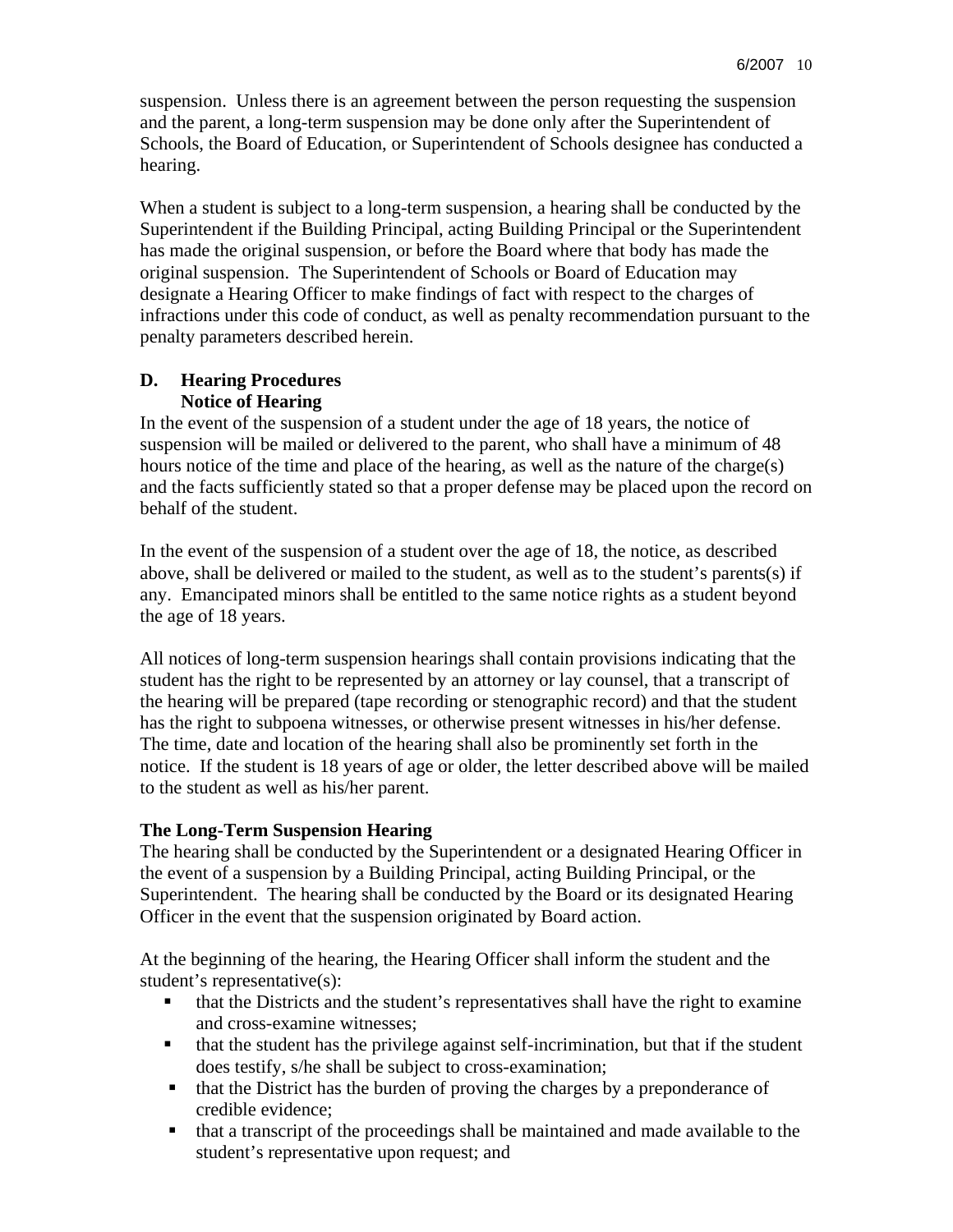suspension. Unless there is an agreement between the person requesting the suspension and the parent, a long-term suspension may be done only after the Superintendent of Schools, the Board of Education, or Superintendent of Schools designee has conducted a hearing.

When a student is subject to a long-term suspension, a hearing shall be conducted by the Superintendent if the Building Principal, acting Building Principal or the Superintendent has made the original suspension, or before the Board where that body has made the original suspension. The Superintendent of Schools or Board of Education may designate a Hearing Officer to make findings of fact with respect to the charges of infractions under this code of conduct, as well as penalty recommendation pursuant to the penalty parameters described herein.

#### **D. Hearing Procedures Notice of Hearing**

In the event of the suspension of a student under the age of 18 years, the notice of suspension will be mailed or delivered to the parent, who shall have a minimum of 48 hours notice of the time and place of the hearing, as well as the nature of the charge(s) and the facts sufficiently stated so that a proper defense may be placed upon the record on behalf of the student.

In the event of the suspension of a student over the age of 18, the notice, as described above, shall be delivered or mailed to the student, as well as to the student's parents(s) if any. Emancipated minors shall be entitled to the same notice rights as a student beyond the age of 18 years.

All notices of long-term suspension hearings shall contain provisions indicating that the student has the right to be represented by an attorney or lay counsel, that a transcript of the hearing will be prepared (tape recording or stenographic record) and that the student has the right to subpoena witnesses, or otherwise present witnesses in his/her defense. The time, date and location of the hearing shall also be prominently set forth in the notice. If the student is 18 years of age or older, the letter described above will be mailed to the student as well as his/her parent.

## **The Long-Term Suspension Hearing**

The hearing shall be conducted by the Superintendent or a designated Hearing Officer in the event of a suspension by a Building Principal, acting Building Principal, or the Superintendent. The hearing shall be conducted by the Board or its designated Hearing Officer in the event that the suspension originated by Board action.

At the beginning of the hearing, the Hearing Officer shall inform the student and the student's representative(s):

- that the Districts and the student's representatives shall have the right to examine and cross-examine witnesses;
- that the student has the privilege against self-incrimination, but that if the student does testify, s/he shall be subject to cross-examination;
- that the District has the burden of proving the charges by a preponderance of credible evidence;
- that a transcript of the proceedings shall be maintained and made available to the student's representative upon request; and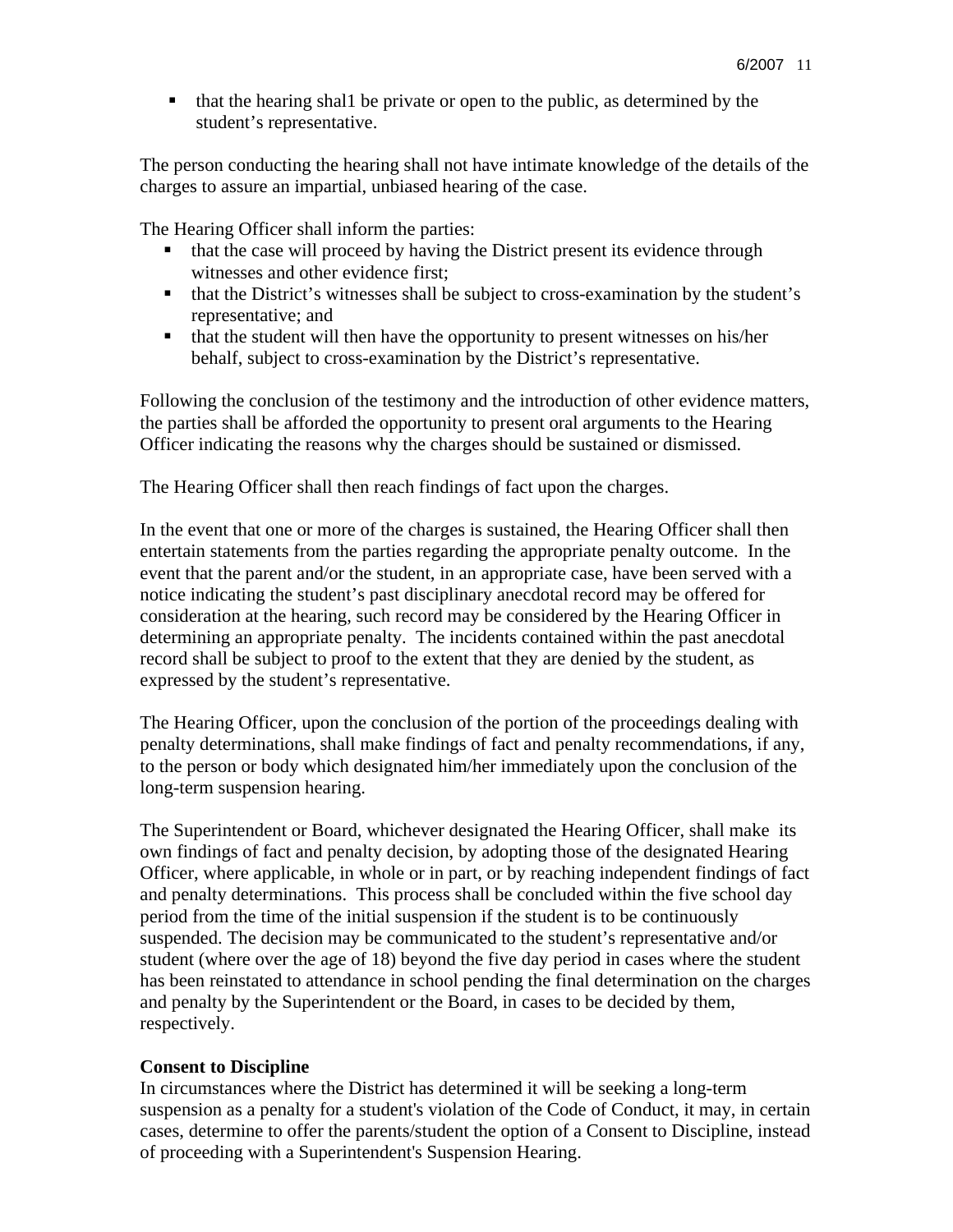that the hearing shal1 be private or open to the public, as determined by the student's representative.

The person conducting the hearing shall not have intimate knowledge of the details of the charges to assure an impartial, unbiased hearing of the case.

The Hearing Officer shall inform the parties:

- $\blacksquare$  that the case will proceed by having the District present its evidence through witnesses and other evidence first;
- that the District's witnesses shall be subject to cross-examination by the student's representative; and
- that the student will then have the opportunity to present witnesses on his/her behalf, subject to cross-examination by the District's representative.

Following the conclusion of the testimony and the introduction of other evidence matters, the parties shall be afforded the opportunity to present oral arguments to the Hearing Officer indicating the reasons why the charges should be sustained or dismissed.

The Hearing Officer shall then reach findings of fact upon the charges.

In the event that one or more of the charges is sustained, the Hearing Officer shall then entertain statements from the parties regarding the appropriate penalty outcome. In the event that the parent and/or the student, in an appropriate case, have been served with a notice indicating the student's past disciplinary anecdotal record may be offered for consideration at the hearing, such record may be considered by the Hearing Officer in determining an appropriate penalty. The incidents contained within the past anecdotal record shall be subject to proof to the extent that they are denied by the student, as expressed by the student's representative.

The Hearing Officer, upon the conclusion of the portion of the proceedings dealing with penalty determinations, shall make findings of fact and penalty recommendations, if any, to the person or body which designated him/her immediately upon the conclusion of the long-term suspension hearing.

The Superintendent or Board, whichever designated the Hearing Officer, shall make its own findings of fact and penalty decision, by adopting those of the designated Hearing Officer, where applicable, in whole or in part, or by reaching independent findings of fact and penalty determinations. This process shall be concluded within the five school day period from the time of the initial suspension if the student is to be continuously suspended. The decision may be communicated to the student's representative and/or student (where over the age of 18) beyond the five day period in cases where the student has been reinstated to attendance in school pending the final determination on the charges and penalty by the Superintendent or the Board, in cases to be decided by them, respectively.

#### **Consent to Discipline**

In circumstances where the District has determined it will be seeking a long-term suspension as a penalty for a student's violation of the Code of Conduct, it may, in certain cases, determine to offer the parents/student the option of a Consent to Discipline, instead of proceeding with a Superintendent's Suspension Hearing.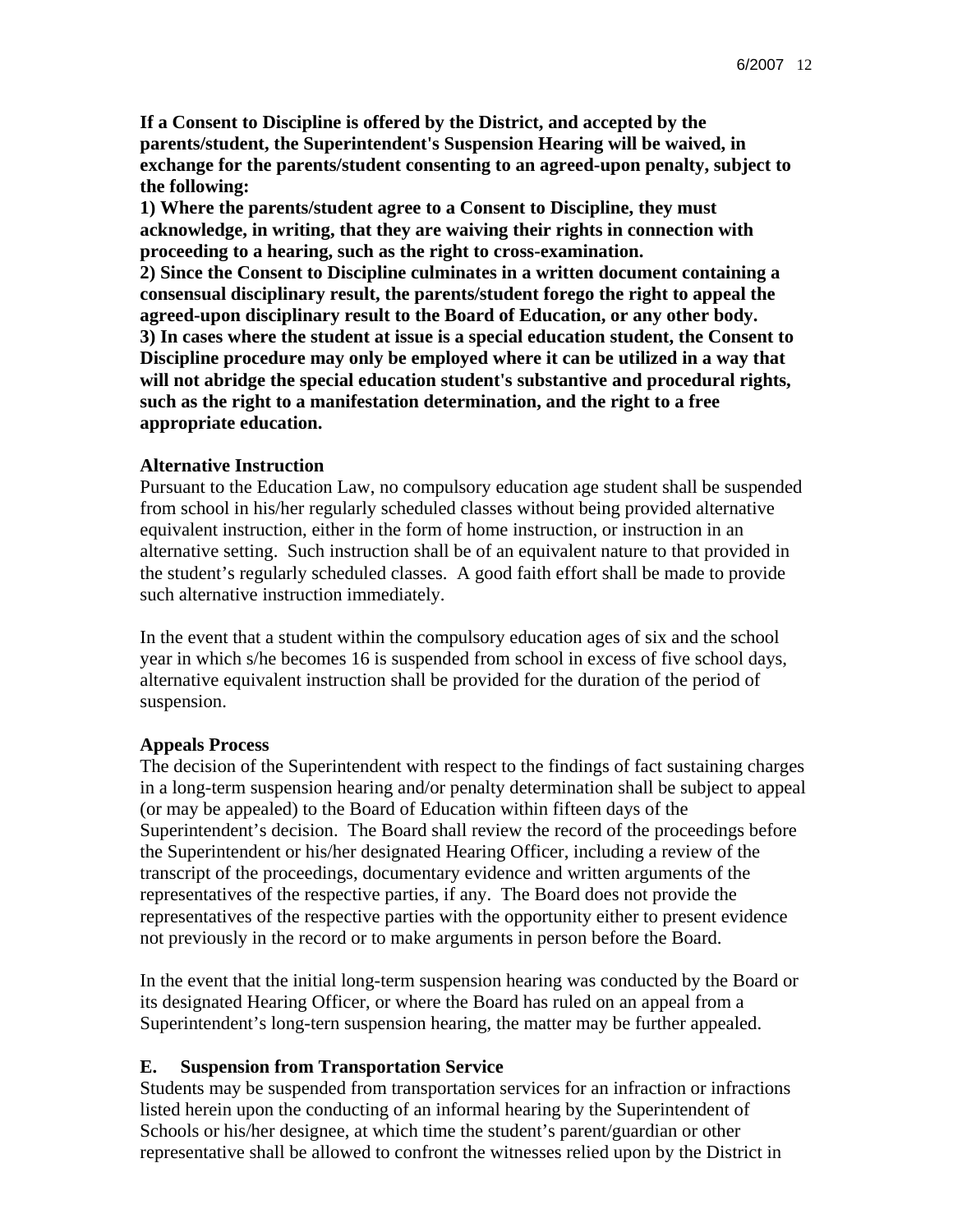**If a Consent to Discipline is offered by the District, and accepted by the parents/student, the Superintendent's Suspension Hearing will be waived, in exchange for the parents/student consenting to an agreed-upon penalty, subject to the following:** 

**1) Where the parents/student agree to a Consent to Discipline, they must acknowledge, in writing, that they are waiving their rights in connection with proceeding to a hearing, such as the right to cross-examination.** 

**2) Since the Consent to Discipline culminates in a written document containing a consensual disciplinary result, the parents/student forego the right to appeal the agreed-upon disciplinary result to the Board of Education, or any other body. 3) In cases where the student at issue is a special education student, the Consent to Discipline procedure may only be employed where it can be utilized in a way that will not abridge the special education student's substantive and procedural rights, such as the right to a manifestation determination, and the right to a free appropriate education.** 

#### **Alternative Instruction**

Pursuant to the Education Law, no compulsory education age student shall be suspended from school in his/her regularly scheduled classes without being provided alternative equivalent instruction, either in the form of home instruction, or instruction in an alternative setting. Such instruction shall be of an equivalent nature to that provided in the student's regularly scheduled classes. A good faith effort shall be made to provide such alternative instruction immediately.

In the event that a student within the compulsory education ages of six and the school year in which s/he becomes 16 is suspended from school in excess of five school days, alternative equivalent instruction shall be provided for the duration of the period of suspension.

#### **Appeals Process**

The decision of the Superintendent with respect to the findings of fact sustaining charges in a long-term suspension hearing and/or penalty determination shall be subject to appeal (or may be appealed) to the Board of Education within fifteen days of the Superintendent's decision. The Board shall review the record of the proceedings before the Superintendent or his/her designated Hearing Officer, including a review of the transcript of the proceedings, documentary evidence and written arguments of the representatives of the respective parties, if any. The Board does not provide the representatives of the respective parties with the opportunity either to present evidence not previously in the record or to make arguments in person before the Board.

In the event that the initial long-term suspension hearing was conducted by the Board or its designated Hearing Officer, or where the Board has ruled on an appeal from a Superintendent's long-tern suspension hearing, the matter may be further appealed.

#### **E. Suspension from Transportation Service**

Students may be suspended from transportation services for an infraction or infractions listed herein upon the conducting of an informal hearing by the Superintendent of Schools or his/her designee, at which time the student's parent/guardian or other representative shall be allowed to confront the witnesses relied upon by the District in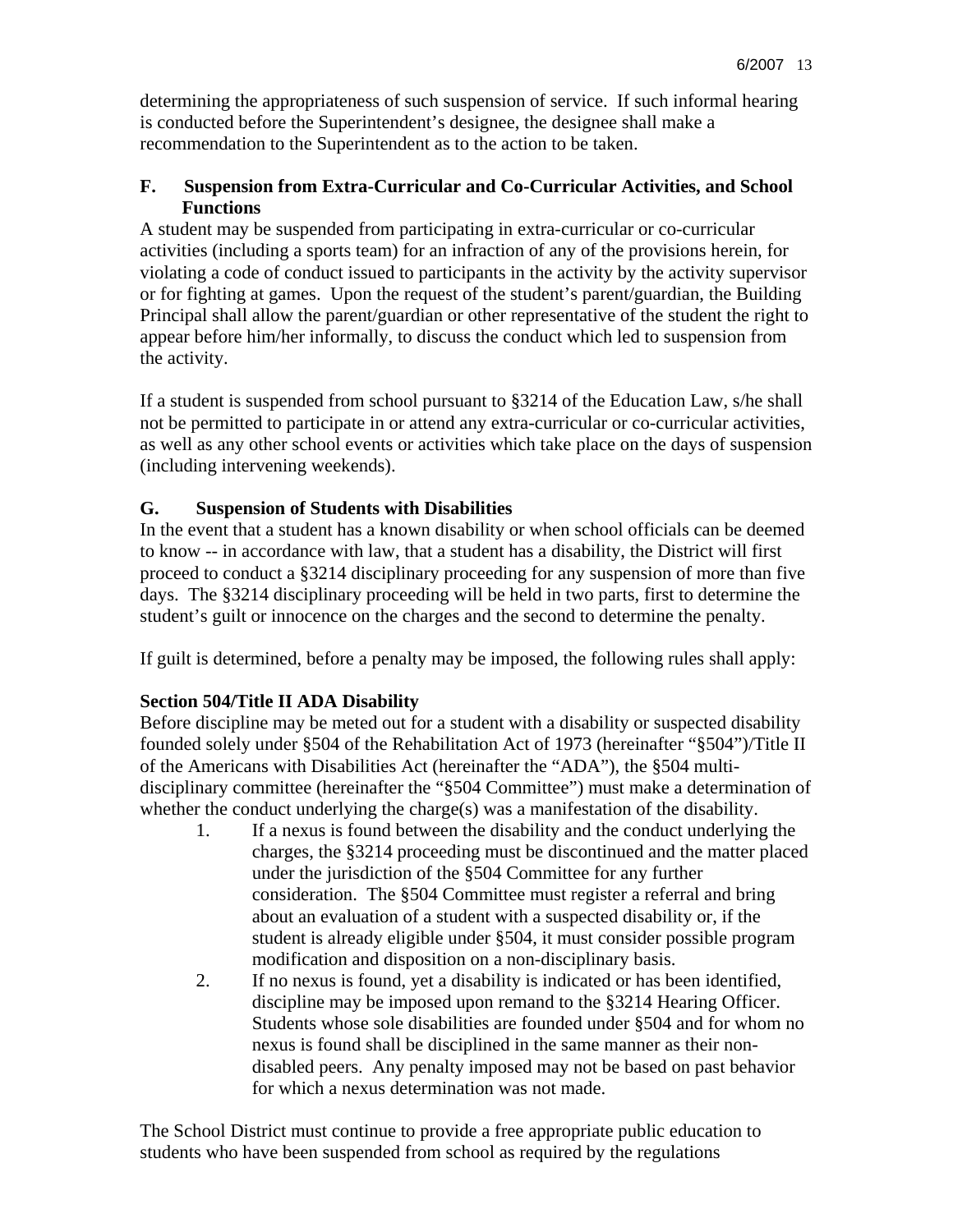determining the appropriateness of such suspension of service. If such informal hearing is conducted before the Superintendent's designee, the designee shall make a recommendation to the Superintendent as to the action to be taken.

## **F. Suspension from Extra-Curricular and Co-Curricular Activities, and School Functions**

A student may be suspended from participating in extra-curricular or co-curricular activities (including a sports team) for an infraction of any of the provisions herein, for violating a code of conduct issued to participants in the activity by the activity supervisor or for fighting at games. Upon the request of the student's parent/guardian, the Building Principal shall allow the parent/guardian or other representative of the student the right to appear before him/her informally, to discuss the conduct which led to suspension from the activity.

If a student is suspended from school pursuant to §3214 of the Education Law, s/he shall not be permitted to participate in or attend any extra-curricular or co-curricular activities, as well as any other school events or activities which take place on the days of suspension (including intervening weekends).

# **G. Suspension of Students with Disabilities**

In the event that a student has a known disability or when school officials can be deemed to know -- in accordance with law, that a student has a disability, the District will first proceed to conduct a §3214 disciplinary proceeding for any suspension of more than five days. The §3214 disciplinary proceeding will be held in two parts, first to determine the student's guilt or innocence on the charges and the second to determine the penalty.

If guilt is determined, before a penalty may be imposed, the following rules shall apply:

# **Section 504/Title II ADA Disability**

Before discipline may be meted out for a student with a disability or suspected disability founded solely under §504 of the Rehabilitation Act of 1973 (hereinafter "§504")/Title II of the Americans with Disabilities Act (hereinafter the "ADA"), the §504 multidisciplinary committee (hereinafter the "§504 Committee") must make a determination of whether the conduct underlying the charge(s) was a manifestation of the disability.

- 1. If a nexus is found between the disability and the conduct underlying the charges, the §3214 proceeding must be discontinued and the matter placed under the jurisdiction of the §504 Committee for any further consideration. The §504 Committee must register a referral and bring about an evaluation of a student with a suspected disability or, if the student is already eligible under §504, it must consider possible program modification and disposition on a non-disciplinary basis.
- 2. If no nexus is found, yet a disability is indicated or has been identified, discipline may be imposed upon remand to the §3214 Hearing Officer. Students whose sole disabilities are founded under §504 and for whom no nexus is found shall be disciplined in the same manner as their nondisabled peers. Any penalty imposed may not be based on past behavior for which a nexus determination was not made.

The School District must continue to provide a free appropriate public education to students who have been suspended from school as required by the regulations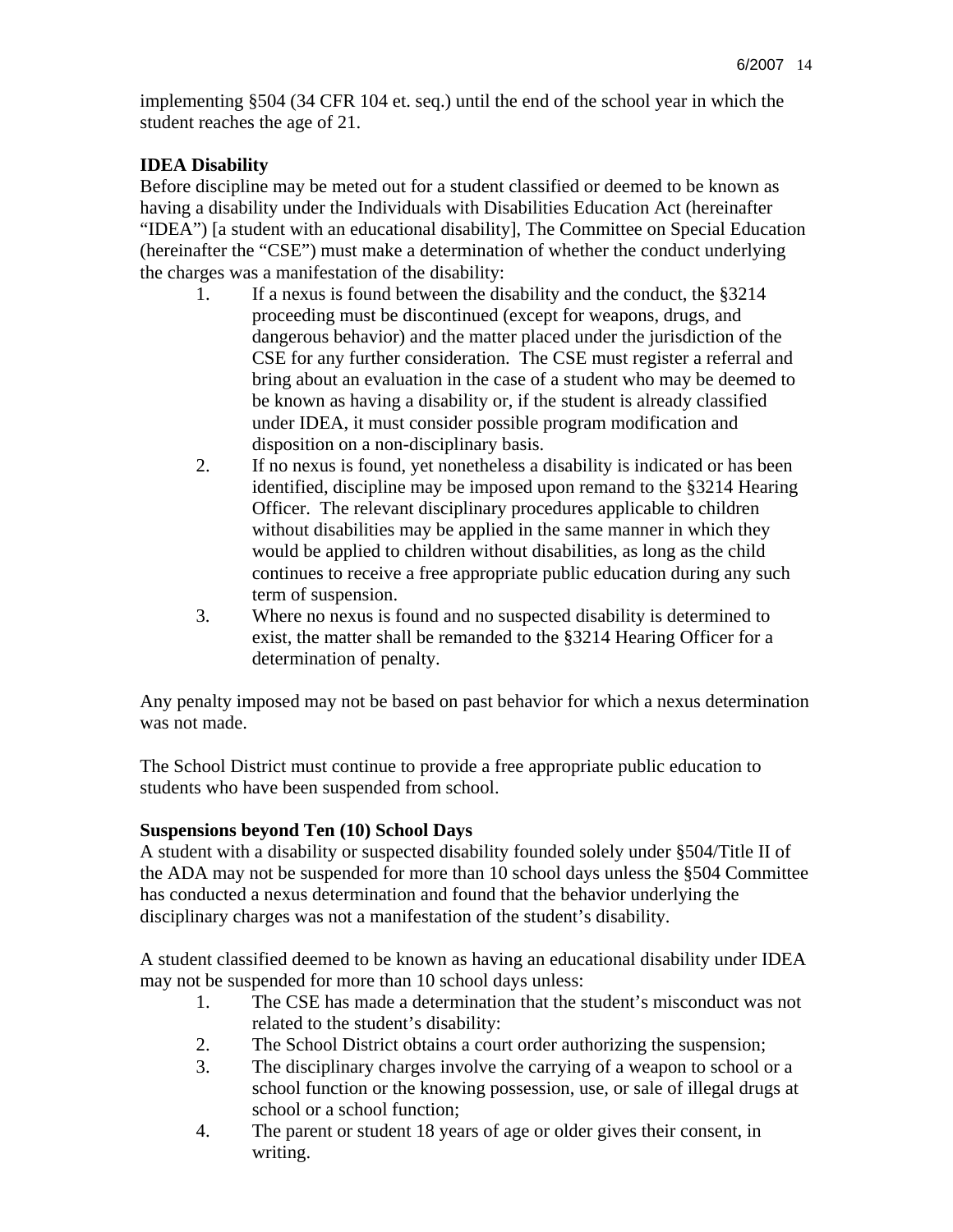implementing §504 (34 CFR 104 et. seq.) until the end of the school year in which the student reaches the age of 21.

### **IDEA Disability**

Before discipline may be meted out for a student classified or deemed to be known as having a disability under the Individuals with Disabilities Education Act (hereinafter "IDEA") [a student with an educational disability], The Committee on Special Education (hereinafter the "CSE") must make a determination of whether the conduct underlying the charges was a manifestation of the disability:

- 1. If a nexus is found between the disability and the conduct, the §3214 proceeding must be discontinued (except for weapons, drugs, and dangerous behavior) and the matter placed under the jurisdiction of the CSE for any further consideration. The CSE must register a referral and bring about an evaluation in the case of a student who may be deemed to be known as having a disability or, if the student is already classified under IDEA, it must consider possible program modification and disposition on a non-disciplinary basis.
- 2. If no nexus is found, yet nonetheless a disability is indicated or has been identified, discipline may be imposed upon remand to the §3214 Hearing Officer. The relevant disciplinary procedures applicable to children without disabilities may be applied in the same manner in which they would be applied to children without disabilities, as long as the child continues to receive a free appropriate public education during any such term of suspension.
- 3. Where no nexus is found and no suspected disability is determined to exist, the matter shall be remanded to the §3214 Hearing Officer for a determination of penalty.

Any penalty imposed may not be based on past behavior for which a nexus determination was not made.

The School District must continue to provide a free appropriate public education to students who have been suspended from school.

#### **Suspensions beyond Ten (10) School Days**

A student with a disability or suspected disability founded solely under §504/Title II of the ADA may not be suspended for more than 10 school days unless the §504 Committee has conducted a nexus determination and found that the behavior underlying the disciplinary charges was not a manifestation of the student's disability.

A student classified deemed to be known as having an educational disability under IDEA may not be suspended for more than 10 school days unless:

- 1. The CSE has made a determination that the student's misconduct was not related to the student's disability:
- 2. The School District obtains a court order authorizing the suspension;
- 3. The disciplinary charges involve the carrying of a weapon to school or a school function or the knowing possession, use, or sale of illegal drugs at school or a school function;
- 4. The parent or student 18 years of age or older gives their consent, in writing.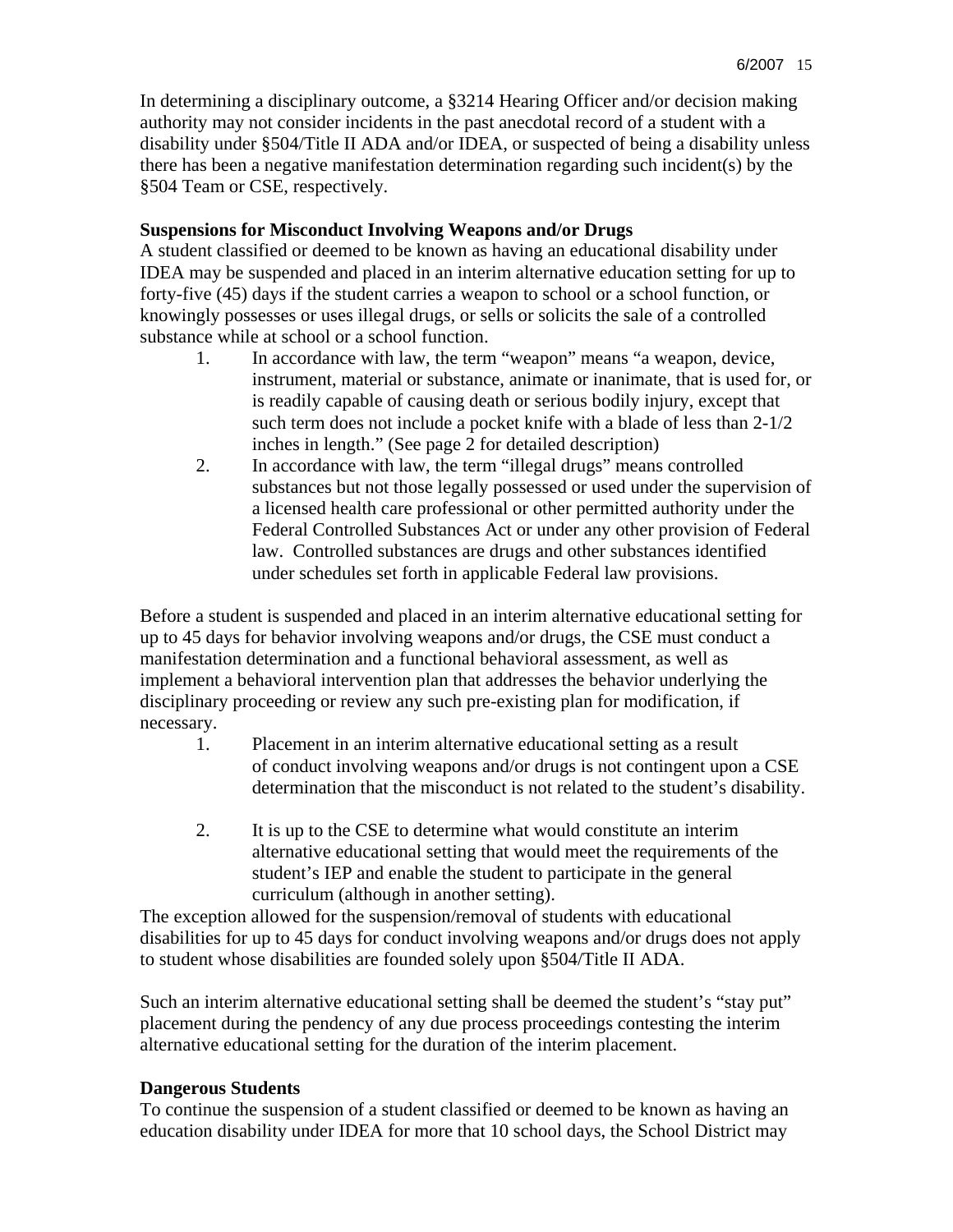In determining a disciplinary outcome, a §3214 Hearing Officer and/or decision making authority may not consider incidents in the past anecdotal record of a student with a disability under §504/Title II ADA and/or IDEA, or suspected of being a disability unless there has been a negative manifestation determination regarding such incident(s) by the §504 Team or CSE, respectively.

### **Suspensions for Misconduct Involving Weapons and/or Drugs**

A student classified or deemed to be known as having an educational disability under IDEA may be suspended and placed in an interim alternative education setting for up to forty-five (45) days if the student carries a weapon to school or a school function, or knowingly possesses or uses illegal drugs, or sells or solicits the sale of a controlled substance while at school or a school function.

- 1. In accordance with law, the term "weapon" means "a weapon, device, instrument, material or substance, animate or inanimate, that is used for, or is readily capable of causing death or serious bodily injury, except that such term does not include a pocket knife with a blade of less than 2-1/2 inches in length." (See page 2 for detailed description)
- 2. In accordance with law, the term "illegal drugs" means controlled substances but not those legally possessed or used under the supervision of a licensed health care professional or other permitted authority under the Federal Controlled Substances Act or under any other provision of Federal law. Controlled substances are drugs and other substances identified under schedules set forth in applicable Federal law provisions.

Before a student is suspended and placed in an interim alternative educational setting for up to 45 days for behavior involving weapons and/or drugs, the CSE must conduct a manifestation determination and a functional behavioral assessment, as well as implement a behavioral intervention plan that addresses the behavior underlying the disciplinary proceeding or review any such pre-existing plan for modification, if necessary.

- 1. Placement in an interim alternative educational setting as a result of conduct involving weapons and/or drugs is not contingent upon a CSE determination that the misconduct is not related to the student's disability.
- 2. It is up to the CSE to determine what would constitute an interim alternative educational setting that would meet the requirements of the student's IEP and enable the student to participate in the general curriculum (although in another setting).

The exception allowed for the suspension/removal of students with educational disabilities for up to 45 days for conduct involving weapons and/or drugs does not apply to student whose disabilities are founded solely upon §504/Title II ADA.

Such an interim alternative educational setting shall be deemed the student's "stay put" placement during the pendency of any due process proceedings contesting the interim alternative educational setting for the duration of the interim placement.

## **Dangerous Students**

To continue the suspension of a student classified or deemed to be known as having an education disability under IDEA for more that 10 school days, the School District may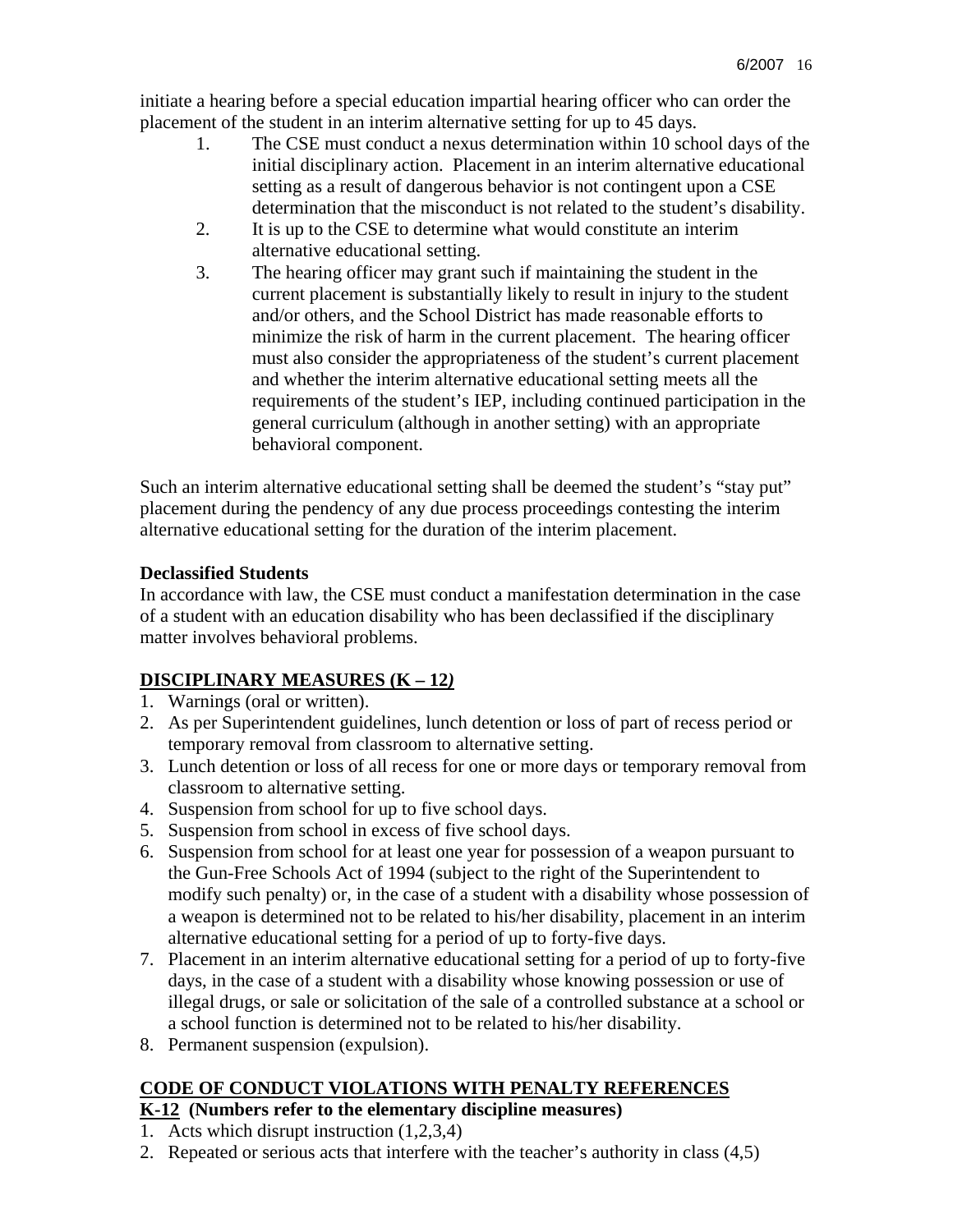initiate a hearing before a special education impartial hearing officer who can order the placement of the student in an interim alternative setting for up to 45 days.

- 1. The CSE must conduct a nexus determination within 10 school days of the initial disciplinary action. Placement in an interim alternative educational setting as a result of dangerous behavior is not contingent upon a CSE determination that the misconduct is not related to the student's disability.
- 2. It is up to the CSE to determine what would constitute an interim alternative educational setting.
- 3. The hearing officer may grant such if maintaining the student in the current placement is substantially likely to result in injury to the student and/or others, and the School District has made reasonable efforts to minimize the risk of harm in the current placement. The hearing officer must also consider the appropriateness of the student's current placement and whether the interim alternative educational setting meets all the requirements of the student's IEP, including continued participation in the general curriculum (although in another setting) with an appropriate behavioral component.

Such an interim alternative educational setting shall be deemed the student's "stay put" placement during the pendency of any due process proceedings contesting the interim alternative educational setting for the duration of the interim placement.

## **Declassified Students**

In accordance with law, the CSE must conduct a manifestation determination in the case of a student with an education disability who has been declassified if the disciplinary matter involves behavioral problems.

# **DISCIPLINARY MEASURES (K – 12***)*

- 1. Warnings (oral or written).
- 2. As per Superintendent guidelines, lunch detention or loss of part of recess period or temporary removal from classroom to alternative setting.
- 3. Lunch detention or loss of all recess for one or more days or temporary removal from classroom to alternative setting.
- 4. Suspension from school for up to five school days.
- 5. Suspension from school in excess of five school days.
- 6. Suspension from school for at least one year for possession of a weapon pursuant to the Gun-Free Schools Act of 1994 (subject to the right of the Superintendent to modify such penalty) or, in the case of a student with a disability whose possession of a weapon is determined not to be related to his/her disability, placement in an interim alternative educational setting for a period of up to forty-five days.
- 7. Placement in an interim alternative educational setting for a period of up to forty-five days, in the case of a student with a disability whose knowing possession or use of illegal drugs, or sale or solicitation of the sale of a controlled substance at a school or a school function is determined not to be related to his/her disability.
- 8. Permanent suspension (expulsion).

# **CODE OF CONDUCT VIOLATIONS WITH PENALTY REFERENCES**

# **K-12 (Numbers refer to the elementary discipline measures)**

- 1. Acts which disrupt instruction (1,2,3,4)
- 2. Repeated or serious acts that interfere with the teacher's authority in class (4,5)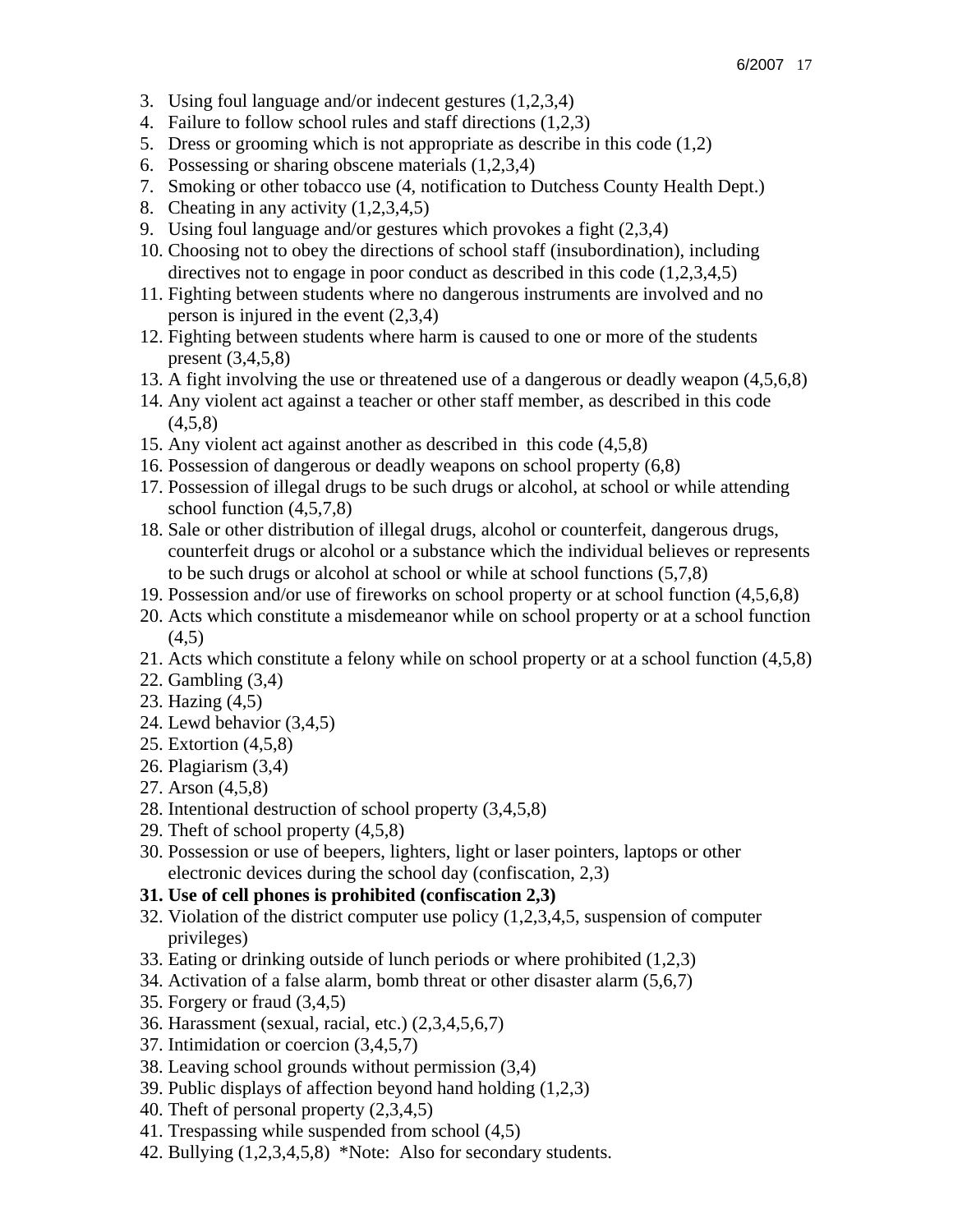- 3. Using foul language and/or indecent gestures (1,2,3,4)
- 4. Failure to follow school rules and staff directions (1,2,3)
- 5. Dress or grooming which is not appropriate as describe in this code (1,2)
- 6. Possessing or sharing obscene materials (1,2,3,4)
- 7. Smoking or other tobacco use (4, notification to Dutchess County Health Dept.)
- 8. Cheating in any activity (1,2,3,4,5)
- 9. Using foul language and/or gestures which provokes a fight (2,3,4)
- 10. Choosing not to obey the directions of school staff (insubordination), including directives not to engage in poor conduct as described in this code (1,2,3,4,5)
- 11. Fighting between students where no dangerous instruments are involved and no person is injured in the event (2,3,4)
- 12. Fighting between students where harm is caused to one or more of the students present (3,4,5,8)
- 13. A fight involving the use or threatened use of a dangerous or deadly weapon (4,5,6,8)
- 14. Any violent act against a teacher or other staff member, as described in this code  $(4,5,8)$
- 15. Any violent act against another as described in this code (4,5,8)
- 16. Possession of dangerous or deadly weapons on school property (6,8)
- 17. Possession of illegal drugs to be such drugs or alcohol, at school or while attending school function (4,5,7,8)
- 18. Sale or other distribution of illegal drugs, alcohol or counterfeit, dangerous drugs, counterfeit drugs or alcohol or a substance which the individual believes or represents to be such drugs or alcohol at school or while at school functions (5,7,8)
- 19. Possession and/or use of fireworks on school property or at school function (4,5,6,8)
- 20. Acts which constitute a misdemeanor while on school property or at a school function (4,5)
- 21. Acts which constitute a felony while on school property or at a school function (4,5,8)
- 22. Gambling (3,4)
- 23. Hazing (4,5)
- 24. Lewd behavior (3,4,5)
- 25. Extortion (4,5,8)
- 26. Plagiarism (3,4)
- 27. Arson (4,5,8)
- 28. Intentional destruction of school property (3,4,5,8)
- 29. Theft of school property (4,5,8)
- 30. Possession or use of beepers, lighters, light or laser pointers, laptops or other electronic devices during the school day (confiscation, 2,3)
- **31. Use of cell phones is prohibited (confiscation 2,3)**
- 32. Violation of the district computer use policy (1,2,3,4,5, suspension of computer privileges)
- 33. Eating or drinking outside of lunch periods or where prohibited (1,2,3)
- 34. Activation of a false alarm, bomb threat or other disaster alarm (5,6,7)
- 35. Forgery or fraud (3,4,5)
- 36. Harassment (sexual, racial, etc.) (2,3,4,5,6,7)
- 37. Intimidation or coercion (3,4,5,7)
- 38. Leaving school grounds without permission (3,4)
- 39. Public displays of affection beyond hand holding (1,2,3)
- 40. Theft of personal property (2,3,4,5)
- 41. Trespassing while suspended from school (4,5)
- 42. Bullying (1,2,3,4,5,8) \*Note: Also for secondary students.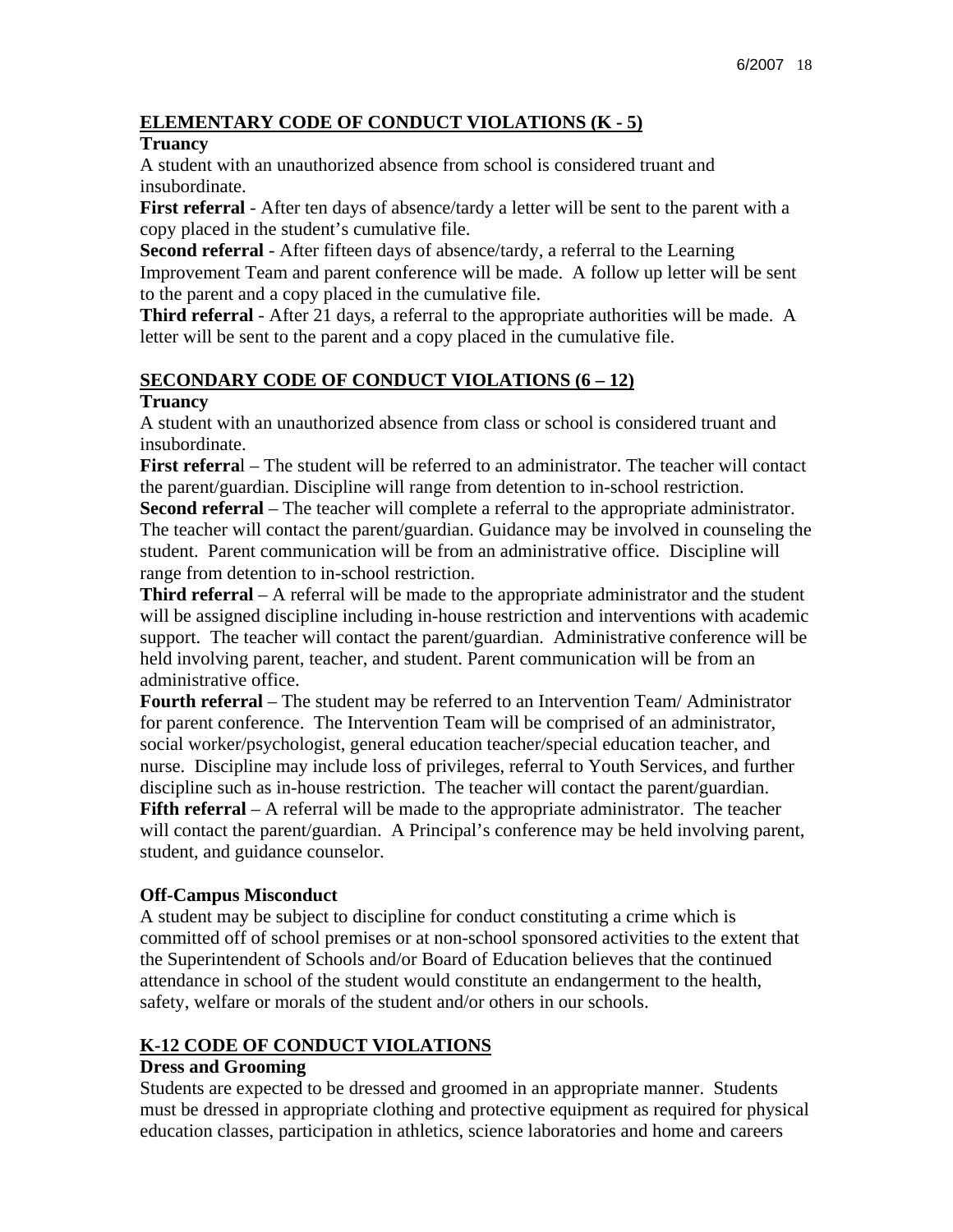### **ELEMENTARY CODE OF CONDUCT VIOLATIONS (K - 5)**

#### **Truancy**

A student with an unauthorized absence from school is considered truant and insubordinate.

**First referral** - After ten days of absence/tardy a letter will be sent to the parent with a copy placed in the student's cumulative file.

**Second referral** - After fifteen days of absence/tardy, a referral to the Learning Improvement Team and parent conference will be made. A follow up letter will be sent to the parent and a copy placed in the cumulative file.

**Third referral** - After 21 days, a referral to the appropriate authorities will be made. A letter will be sent to the parent and a copy placed in the cumulative file.

### **SECONDARY CODE OF CONDUCT VIOLATIONS (6 – 12)**

#### **Truancy**

A student with an unauthorized absence from class or school is considered truant and insubordinate.

**First referra**l – The student will be referred to an administrator. The teacher will contact the parent/guardian. Discipline will range from detention to in-school restriction.

**Second referral** – The teacher will complete a referral to the appropriate administrator. The teacher will contact the parent/guardian. Guidance may be involved in counseling the student. Parent communication will be from an administrative office. Discipline will range from detention to in-school restriction.

**Third referral** – A referral will be made to the appropriate administrator and the student will be assigned discipline including in-house restriction and interventions with academic support. The teacher will contact the parent/guardian. Administrative conference will be held involving parent, teacher, and student. Parent communication will be from an administrative office.

**Fourth referral** – The student may be referred to an Intervention Team/ Administrator for parent conference. The Intervention Team will be comprised of an administrator, social worker/psychologist, general education teacher/special education teacher, and nurse. Discipline may include loss of privileges, referral to Youth Services, and further discipline such as in-house restriction. The teacher will contact the parent/guardian. **Fifth referral** – A referral will be made to the appropriate administrator. The teacher will contact the parent/guardian. A Principal's conference may be held involving parent, student, and guidance counselor.

#### **Off-Campus Misconduct**

A student may be subject to discipline for conduct constituting a crime which is committed off of school premises or at non-school sponsored activities to the extent that the Superintendent of Schools and/or Board of Education believes that the continued attendance in school of the student would constitute an endangerment to the health, safety, welfare or morals of the student and/or others in our schools.

## **K-12 CODE OF CONDUCT VIOLATIONS**

### **Dress and Grooming**

Students are expected to be dressed and groomed in an appropriate manner. Students must be dressed in appropriate clothing and protective equipment as required for physical education classes, participation in athletics, science laboratories and home and careers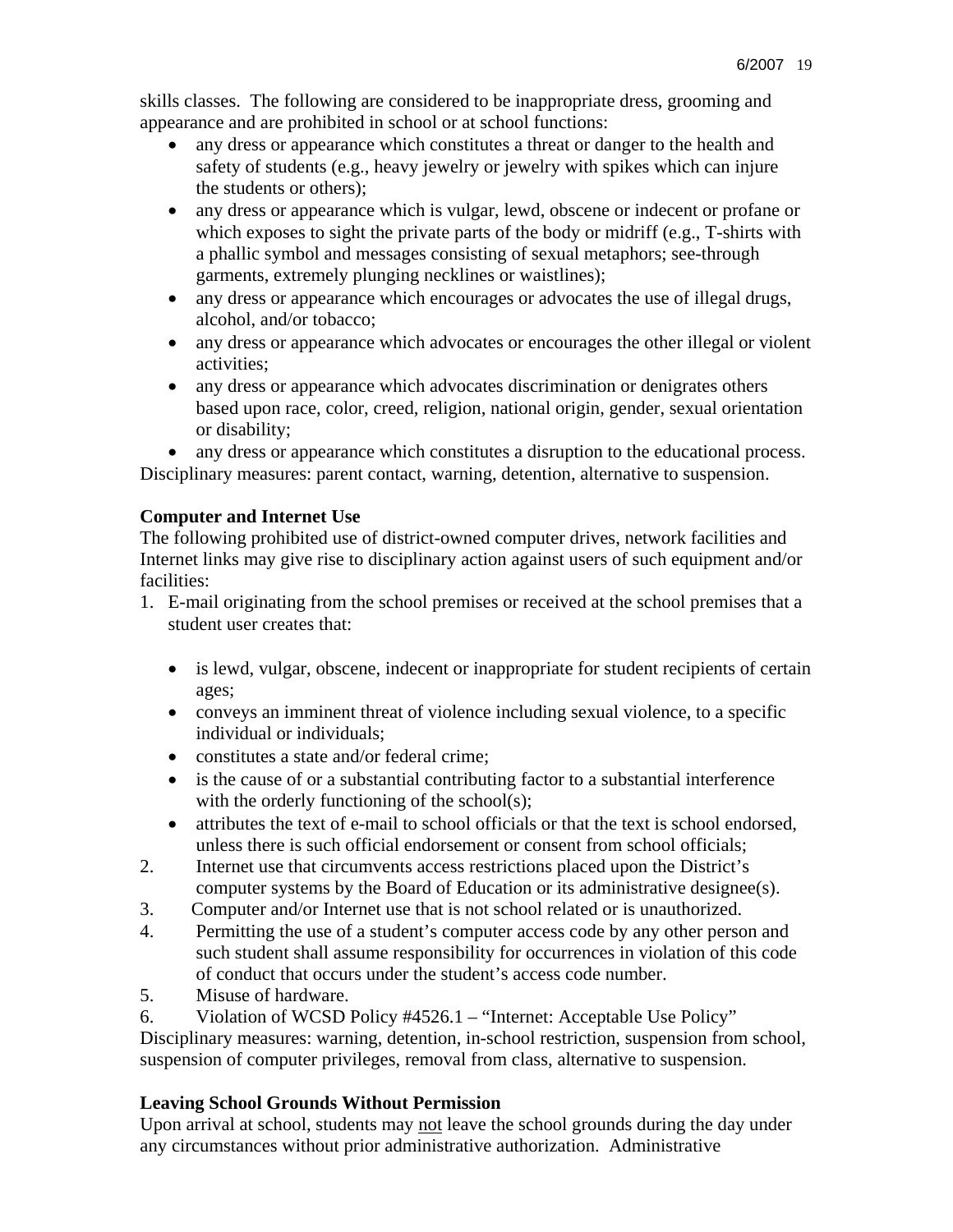skills classes. The following are considered to be inappropriate dress, grooming and appearance and are prohibited in school or at school functions:

- any dress or appearance which constitutes a threat or danger to the health and safety of students (e.g., heavy jewelry or jewelry with spikes which can injure the students or others);
- any dress or appearance which is vulgar, lewd, obscene or indecent or profane or which exposes to sight the private parts of the body or midriff (e.g., T-shirts with a phallic symbol and messages consisting of sexual metaphors; see-through garments, extremely plunging necklines or waistlines);
- any dress or appearance which encourages or advocates the use of illegal drugs, alcohol, and/or tobacco;
- any dress or appearance which advocates or encourages the other illegal or violent activities;
- any dress or appearance which advocates discrimination or denigrates others based upon race, color, creed, religion, national origin, gender, sexual orientation or disability;
- any dress or appearance which constitutes a disruption to the educational process.

Disciplinary measures: parent contact, warning, detention, alternative to suspension.

### **Computer and Internet Use**

The following prohibited use of district-owned computer drives, network facilities and Internet links may give rise to disciplinary action against users of such equipment and/or facilities:

- 1. E-mail originating from the school premises or received at the school premises that a student user creates that:
	- is lewd, vulgar, obscene, indecent or inappropriate for student recipients of certain ages;
	- conveys an imminent threat of violence including sexual violence, to a specific individual or individuals;
	- constitutes a state and/or federal crime:
	- is the cause of or a substantial contributing factor to a substantial interference with the orderly functioning of the school(s);
	- attributes the text of e-mail to school officials or that the text is school endorsed, unless there is such official endorsement or consent from school officials;
- 2. Internet use that circumvents access restrictions placed upon the District's computer systems by the Board of Education or its administrative designee(s).
- 3. Computer and/or Internet use that is not school related or is unauthorized.
- 4. Permitting the use of a student's computer access code by any other person and such student shall assume responsibility for occurrences in violation of this code of conduct that occurs under the student's access code number.
- 5. Misuse of hardware.
- 6. Violation of WCSD Policy #4526.1 "Internet: Acceptable Use Policy"

Disciplinary measures: warning, detention, in-school restriction, suspension from school, suspension of computer privileges, removal from class, alternative to suspension.

## **Leaving School Grounds Without Permission**

Upon arrival at school, students may not leave the school grounds during the day under any circumstances without prior administrative authorization. Administrative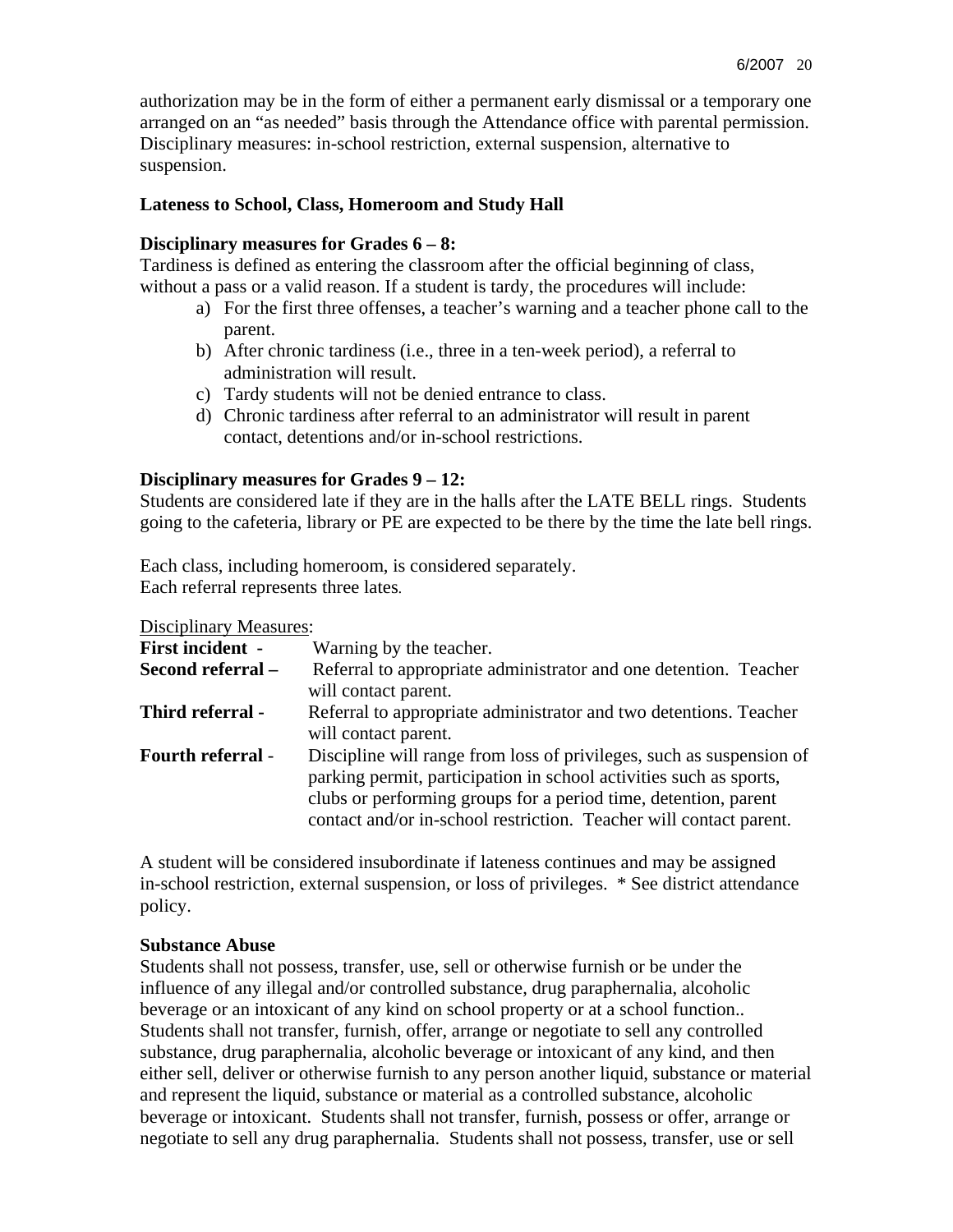authorization may be in the form of either a permanent early dismissal or a temporary one arranged on an "as needed" basis through the Attendance office with parental permission. Disciplinary measures: in-school restriction, external suspension, alternative to suspension.

#### **Lateness to School, Class, Homeroom and Study Hall**

#### **Disciplinary measures for Grades 6 – 8:**

Tardiness is defined as entering the classroom after the official beginning of class, without a pass or a valid reason. If a student is tardy, the procedures will include:

- a) For the first three offenses, a teacher's warning and a teacher phone call to the parent.
- b) After chronic tardiness (i.e., three in a ten-week period), a referral to administration will result.
- c) Tardy students will not be denied entrance to class.
- d) Chronic tardiness after referral to an administrator will result in parent contact, detentions and/or in-school restrictions.

#### **Disciplinary measures for Grades 9 – 12:**

Students are considered late if they are in the halls after the LATE BELL rings. Students going to the cafeteria, library or PE are expected to be there by the time the late bell rings.

Each class, including homeroom, is considered separately. Each referral represents three lates.

Disciplinary Measures:

| <b>First incident -</b>  | Warning by the teacher.                                                                                                                                                                                                                                                             |  |  |
|--------------------------|-------------------------------------------------------------------------------------------------------------------------------------------------------------------------------------------------------------------------------------------------------------------------------------|--|--|
| Second referral -        | Referral to appropriate administrator and one detention. Teacher<br>will contact parent.                                                                                                                                                                                            |  |  |
| Third referral -         | Referral to appropriate administrator and two detentions. Teacher<br>will contact parent.                                                                                                                                                                                           |  |  |
| <b>Fourth referral -</b> | Discipline will range from loss of privileges, such as suspension of<br>parking permit, participation in school activities such as sports,<br>clubs or performing groups for a period time, detention, parent<br>contact and/or in-school restriction. Teacher will contact parent. |  |  |

A student will be considered insubordinate if lateness continues and may be assigned in-school restriction, external suspension, or loss of privileges. \* See district attendance policy.

#### **Substance Abuse**

Students shall not possess, transfer, use, sell or otherwise furnish or be under the influence of any illegal and/or controlled substance, drug paraphernalia, alcoholic beverage or an intoxicant of any kind on school property or at a school function.. Students shall not transfer, furnish, offer, arrange or negotiate to sell any controlled substance, drug paraphernalia, alcoholic beverage or intoxicant of any kind, and then either sell, deliver or otherwise furnish to any person another liquid, substance or material and represent the liquid, substance or material as a controlled substance, alcoholic beverage or intoxicant. Students shall not transfer, furnish, possess or offer, arrange or negotiate to sell any drug paraphernalia. Students shall not possess, transfer, use or sell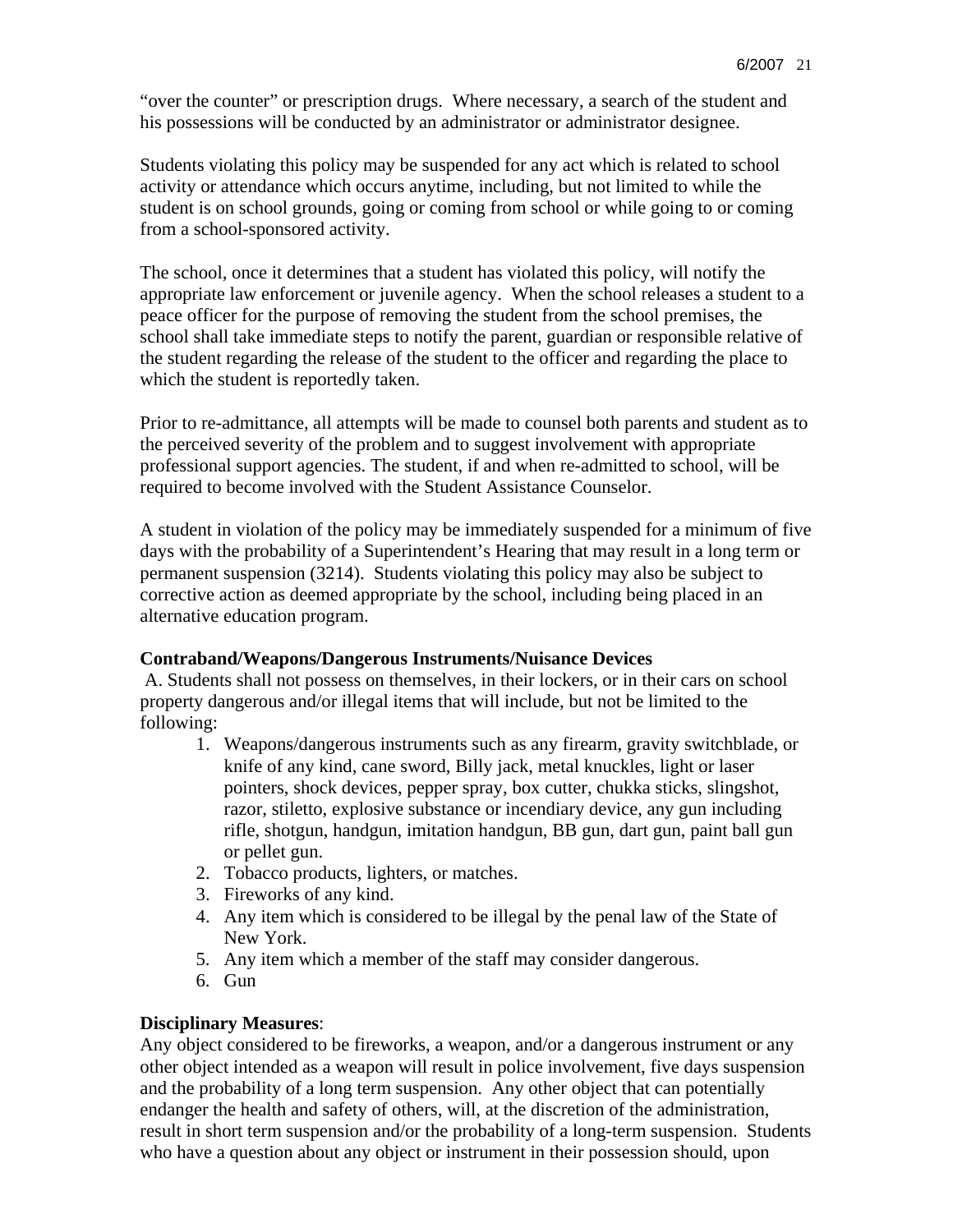"over the counter" or prescription drugs. Where necessary, a search of the student and his possessions will be conducted by an administrator or administrator designee.

Students violating this policy may be suspended for any act which is related to school activity or attendance which occurs anytime, including, but not limited to while the student is on school grounds, going or coming from school or while going to or coming from a school-sponsored activity.

The school, once it determines that a student has violated this policy, will notify the appropriate law enforcement or juvenile agency. When the school releases a student to a peace officer for the purpose of removing the student from the school premises, the school shall take immediate steps to notify the parent, guardian or responsible relative of the student regarding the release of the student to the officer and regarding the place to which the student is reportedly taken.

Prior to re-admittance, all attempts will be made to counsel both parents and student as to the perceived severity of the problem and to suggest involvement with appropriate professional support agencies. The student, if and when re-admitted to school, will be required to become involved with the Student Assistance Counselor.

A student in violation of the policy may be immediately suspended for a minimum of five days with the probability of a Superintendent's Hearing that may result in a long term or permanent suspension (3214). Students violating this policy may also be subject to corrective action as deemed appropriate by the school, including being placed in an alternative education program.

#### **Contraband/Weapons/Dangerous Instruments/Nuisance Devices**

 A. Students shall not possess on themselves, in their lockers, or in their cars on school property dangerous and/or illegal items that will include, but not be limited to the following:

- 1. Weapons/dangerous instruments such as any firearm, gravity switchblade, or knife of any kind, cane sword, Billy jack, metal knuckles, light or laser pointers, shock devices, pepper spray, box cutter, chukka sticks, slingshot, razor, stiletto, explosive substance or incendiary device, any gun including rifle, shotgun, handgun, imitation handgun, BB gun, dart gun, paint ball gun or pellet gun.
- 2. Tobacco products, lighters, or matches.
- 3. Fireworks of any kind.
- 4. Any item which is considered to be illegal by the penal law of the State of New York.
- 5. Any item which a member of the staff may consider dangerous.
- 6. Gun

## **Disciplinary Measures**:

Any object considered to be fireworks, a weapon, and/or a dangerous instrument or any other object intended as a weapon will result in police involvement, five days suspension and the probability of a long term suspension. Any other object that can potentially endanger the health and safety of others, will, at the discretion of the administration, result in short term suspension and/or the probability of a long-term suspension. Students who have a question about any object or instrument in their possession should, upon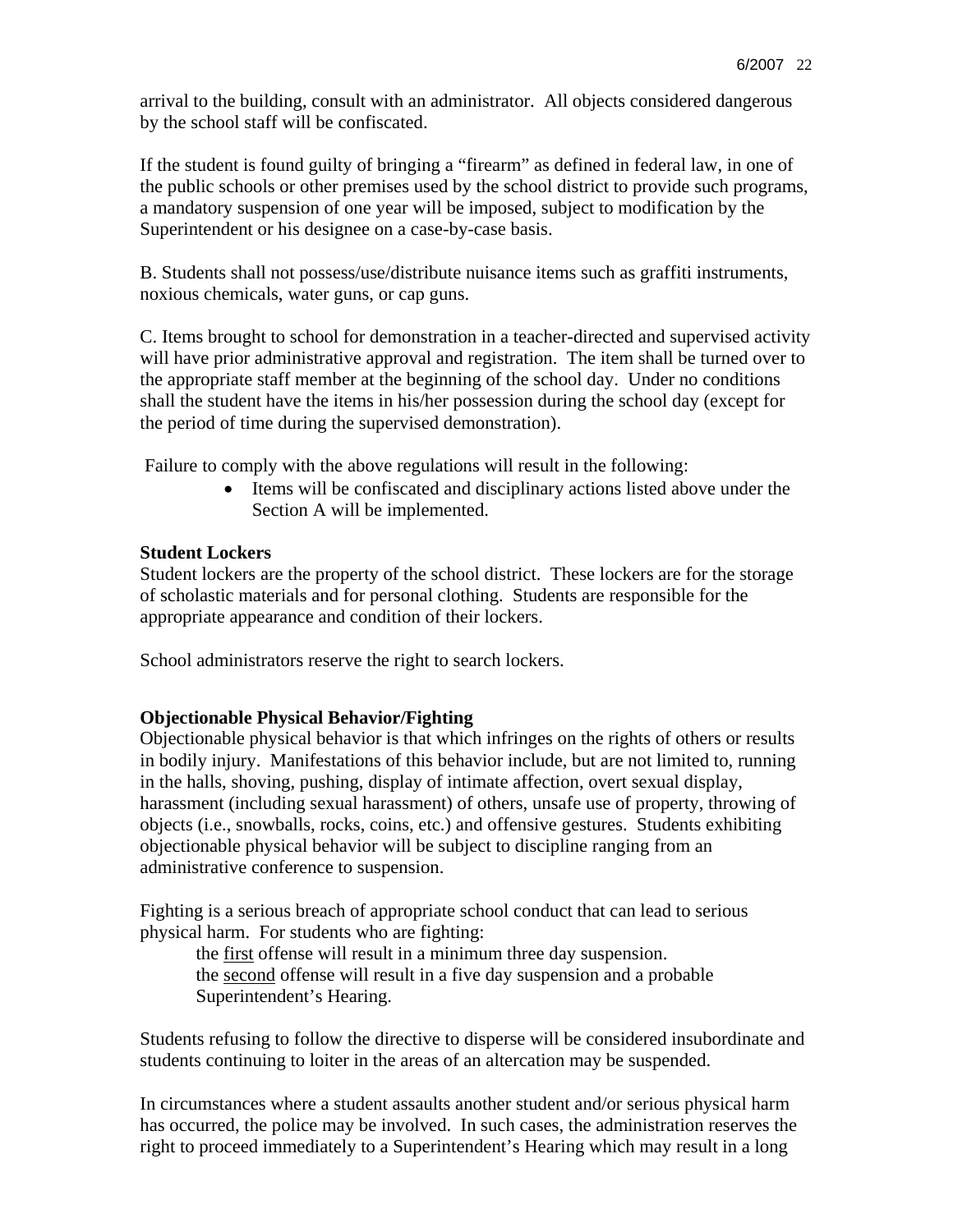arrival to the building, consult with an administrator. All objects considered dangerous by the school staff will be confiscated.

If the student is found guilty of bringing a "firearm" as defined in federal law, in one of the public schools or other premises used by the school district to provide such programs, a mandatory suspension of one year will be imposed, subject to modification by the Superintendent or his designee on a case-by-case basis.

B. Students shall not possess/use/distribute nuisance items such as graffiti instruments, noxious chemicals, water guns, or cap guns.

C. Items brought to school for demonstration in a teacher-directed and supervised activity will have prior administrative approval and registration. The item shall be turned over to the appropriate staff member at the beginning of the school day. Under no conditions shall the student have the items in his/her possession during the school day (except for the period of time during the supervised demonstration).

Failure to comply with the above regulations will result in the following:

• Items will be confiscated and disciplinary actions listed above under the Section A will be implemented.

## **Student Lockers**

Student lockers are the property of the school district. These lockers are for the storage of scholastic materials and for personal clothing. Students are responsible for the appropriate appearance and condition of their lockers.

School administrators reserve the right to search lockers.

## **Objectionable Physical Behavior/Fighting**

Objectionable physical behavior is that which infringes on the rights of others or results in bodily injury. Manifestations of this behavior include, but are not limited to, running in the halls, shoving, pushing, display of intimate affection, overt sexual display, harassment (including sexual harassment) of others, unsafe use of property, throwing of objects (i.e., snowballs, rocks, coins, etc.) and offensive gestures. Students exhibiting objectionable physical behavior will be subject to discipline ranging from an administrative conference to suspension.

Fighting is a serious breach of appropriate school conduct that can lead to serious physical harm. For students who are fighting:

the first offense will result in a minimum three day suspension. the second offense will result in a five day suspension and a probable Superintendent's Hearing.

Students refusing to follow the directive to disperse will be considered insubordinate and students continuing to loiter in the areas of an altercation may be suspended.

In circumstances where a student assaults another student and/or serious physical harm has occurred, the police may be involved. In such cases, the administration reserves the right to proceed immediately to a Superintendent's Hearing which may result in a long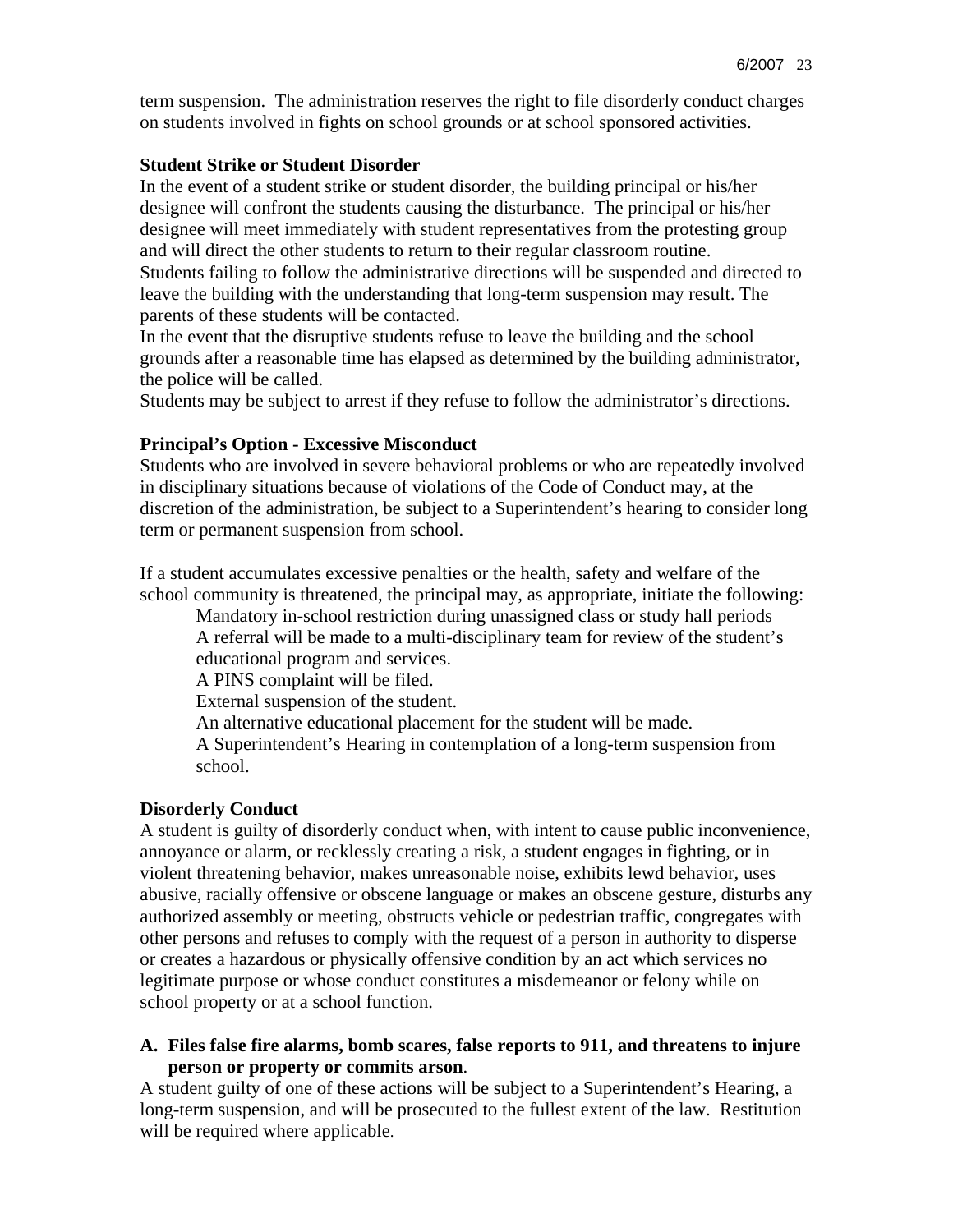term suspension. The administration reserves the right to file disorderly conduct charges on students involved in fights on school grounds or at school sponsored activities.

#### **Student Strike or Student Disorder**

In the event of a student strike or student disorder, the building principal or his/her designee will confront the students causing the disturbance. The principal or his/her designee will meet immediately with student representatives from the protesting group and will direct the other students to return to their regular classroom routine. Students failing to follow the administrative directions will be suspended and directed to leave the building with the understanding that long-term suspension may result. The parents of these students will be contacted.

In the event that the disruptive students refuse to leave the building and the school grounds after a reasonable time has elapsed as determined by the building administrator, the police will be called.

Students may be subject to arrest if they refuse to follow the administrator's directions.

#### **Principal's Option - Excessive Misconduct**

Students who are involved in severe behavioral problems or who are repeatedly involved in disciplinary situations because of violations of the Code of Conduct may, at the discretion of the administration, be subject to a Superintendent's hearing to consider long term or permanent suspension from school.

If a student accumulates excessive penalties or the health, safety and welfare of the school community is threatened, the principal may, as appropriate, initiate the following:

 Mandatory in-school restriction during unassigned class or study hall periods A referral will be made to a multi-disciplinary team for review of the student's educational program and services.

A PINS complaint will be filed.

External suspension of the student.

An alternative educational placement for the student will be made.

A Superintendent's Hearing in contemplation of a long-term suspension from school.

#### **Disorderly Conduct**

A student is guilty of disorderly conduct when, with intent to cause public inconvenience, annoyance or alarm, or recklessly creating a risk, a student engages in fighting, or in violent threatening behavior, makes unreasonable noise, exhibits lewd behavior, uses abusive, racially offensive or obscene language or makes an obscene gesture, disturbs any authorized assembly or meeting, obstructs vehicle or pedestrian traffic, congregates with other persons and refuses to comply with the request of a person in authority to disperse or creates a hazardous or physically offensive condition by an act which services no legitimate purpose or whose conduct constitutes a misdemeanor or felony while on school property or at a school function.

#### **A. Files false fire alarms, bomb scares, false reports to 911, and threatens to injure person or property or commits arson**.

A student guilty of one of these actions will be subject to a Superintendent's Hearing, a long-term suspension, and will be prosecuted to the fullest extent of the law. Restitution will be required where applicable.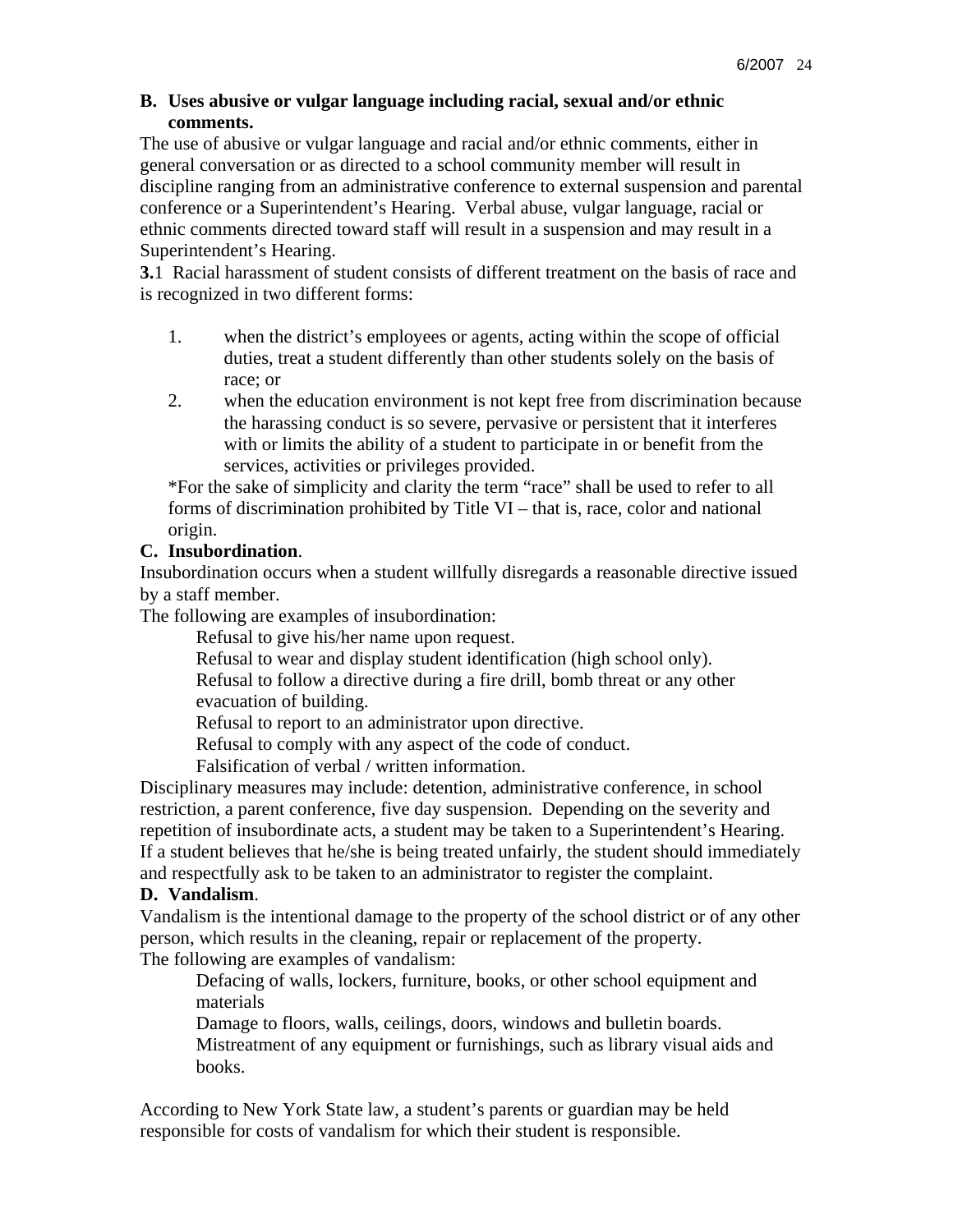### **B. Uses abusive or vulgar language including racial, sexual and/or ethnic comments.**

The use of abusive or vulgar language and racial and/or ethnic comments, either in general conversation or as directed to a school community member will result in discipline ranging from an administrative conference to external suspension and parental conference or a Superintendent's Hearing. Verbal abuse, vulgar language, racial or ethnic comments directed toward staff will result in a suspension and may result in a Superintendent's Hearing.

**3.**1 Racial harassment of student consists of different treatment on the basis of race and is recognized in two different forms:

- 1. when the district's employees or agents, acting within the scope of official duties, treat a student differently than other students solely on the basis of race; or
- 2. when the education environment is not kept free from discrimination because the harassing conduct is so severe, pervasive or persistent that it interferes with or limits the ability of a student to participate in or benefit from the services, activities or privileges provided.

\*For the sake of simplicity and clarity the term "race" shall be used to refer to all forms of discrimination prohibited by Title VI – that is, race, color and national origin.

# **C. Insubordination**.

Insubordination occurs when a student willfully disregards a reasonable directive issued by a staff member.

The following are examples of insubordination:

Refusal to give his/her name upon request.

Refusal to wear and display student identification (high school only).

Refusal to follow a directive during a fire drill, bomb threat or any other evacuation of building.

Refusal to report to an administrator upon directive.

Refusal to comply with any aspect of the code of conduct.

Falsification of verbal / written information.

Disciplinary measures may include: detention, administrative conference, in school restriction, a parent conference, five day suspension. Depending on the severity and repetition of insubordinate acts, a student may be taken to a Superintendent's Hearing. If a student believes that he/she is being treated unfairly, the student should immediately and respectfully ask to be taken to an administrator to register the complaint.

## **D. Vandalism**.

Vandalism is the intentional damage to the property of the school district or of any other person, which results in the cleaning, repair or replacement of the property. The following are examples of vandalism:

Defacing of walls, lockers, furniture, books, or other school equipment and materials

 Damage to floors, walls, ceilings, doors, windows and bulletin boards. Mistreatment of any equipment or furnishings, such as library visual aids and books.

According to New York State law, a student's parents or guardian may be held responsible for costs of vandalism for which their student is responsible.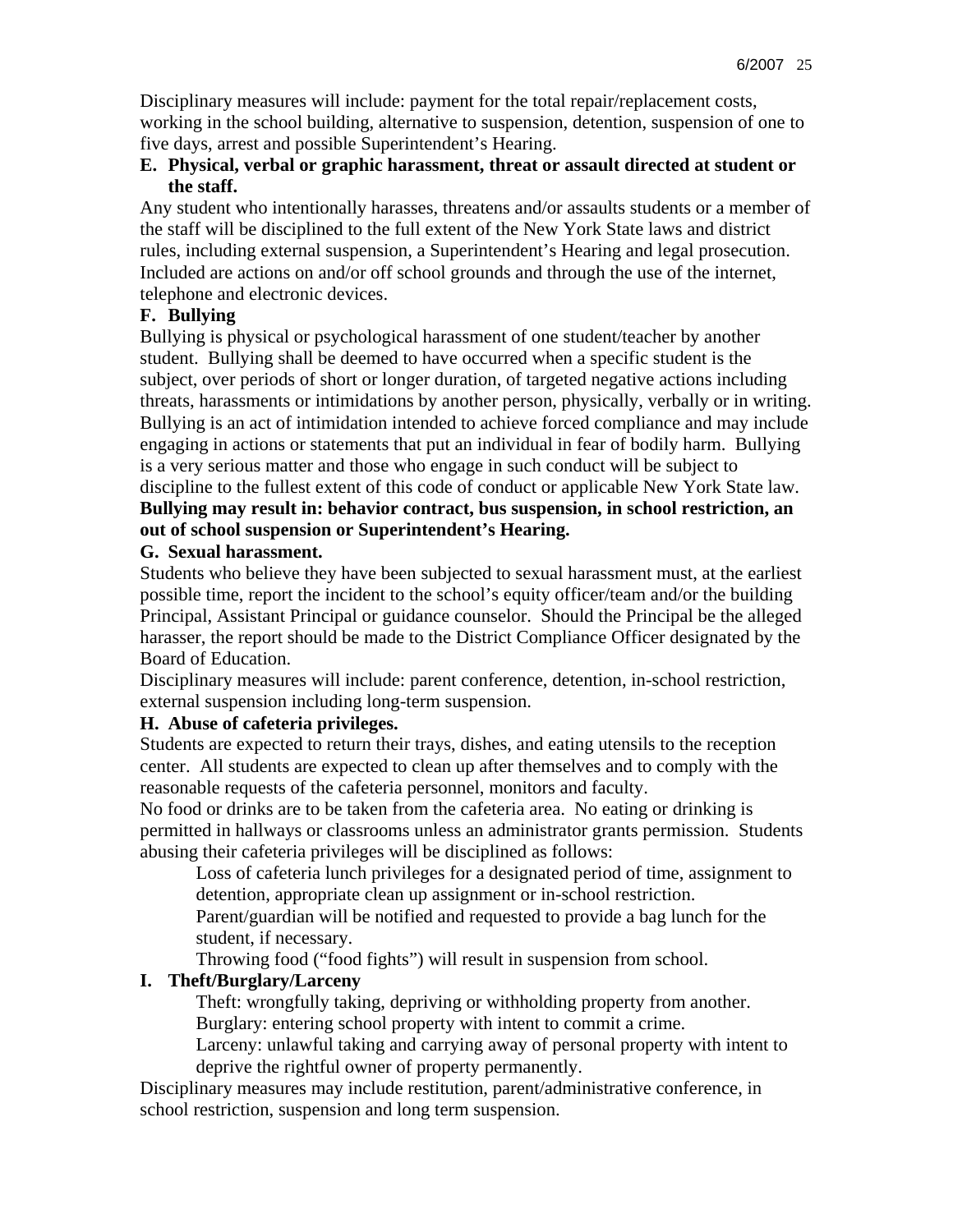Disciplinary measures will include: payment for the total repair/replacement costs, working in the school building, alternative to suspension, detention, suspension of one to five days, arrest and possible Superintendent's Hearing.

### **E. Physical, verbal or graphic harassment, threat or assault directed at student or the staff.**

Any student who intentionally harasses, threatens and/or assaults students or a member of the staff will be disciplined to the full extent of the New York State laws and district rules, including external suspension, a Superintendent's Hearing and legal prosecution. Included are actions on and/or off school grounds and through the use of the internet, telephone and electronic devices.

# **F. Bullying**

Bullying is physical or psychological harassment of one student/teacher by another student. Bullying shall be deemed to have occurred when a specific student is the subject, over periods of short or longer duration, of targeted negative actions including threats, harassments or intimidations by another person, physically, verbally or in writing. Bullying is an act of intimidation intended to achieve forced compliance and may include engaging in actions or statements that put an individual in fear of bodily harm. Bullying is a very serious matter and those who engage in such conduct will be subject to discipline to the fullest extent of this code of conduct or applicable New York State law. **Bullying may result in: behavior contract, bus suspension, in school restriction, an out of school suspension or Superintendent's Hearing.** 

## **G. Sexual harassment.**

Students who believe they have been subjected to sexual harassment must, at the earliest possible time, report the incident to the school's equity officer/team and/or the building Principal, Assistant Principal or guidance counselor. Should the Principal be the alleged harasser, the report should be made to the District Compliance Officer designated by the Board of Education.

Disciplinary measures will include: parent conference, detention, in-school restriction, external suspension including long-term suspension.

# **H. Abuse of cafeteria privileges.**

Students are expected to return their trays, dishes, and eating utensils to the reception center. All students are expected to clean up after themselves and to comply with the reasonable requests of the cafeteria personnel, monitors and faculty.

No food or drinks are to be taken from the cafeteria area. No eating or drinking is permitted in hallways or classrooms unless an administrator grants permission. Students abusing their cafeteria privileges will be disciplined as follows:

Loss of cafeteria lunch privileges for a designated period of time, assignment to detention, appropriate clean up assignment or in-school restriction.

Parent/guardian will be notified and requested to provide a bag lunch for the student, if necessary.

Throwing food ("food fights") will result in suspension from school.

# **I. Theft/Burglary/Larceny**

Theft: wrongfully taking, depriving or withholding property from another.

Burglary: entering school property with intent to commit a crime.

Larceny: unlawful taking and carrying away of personal property with intent to deprive the rightful owner of property permanently.

Disciplinary measures may include restitution, parent/administrative conference, in school restriction, suspension and long term suspension.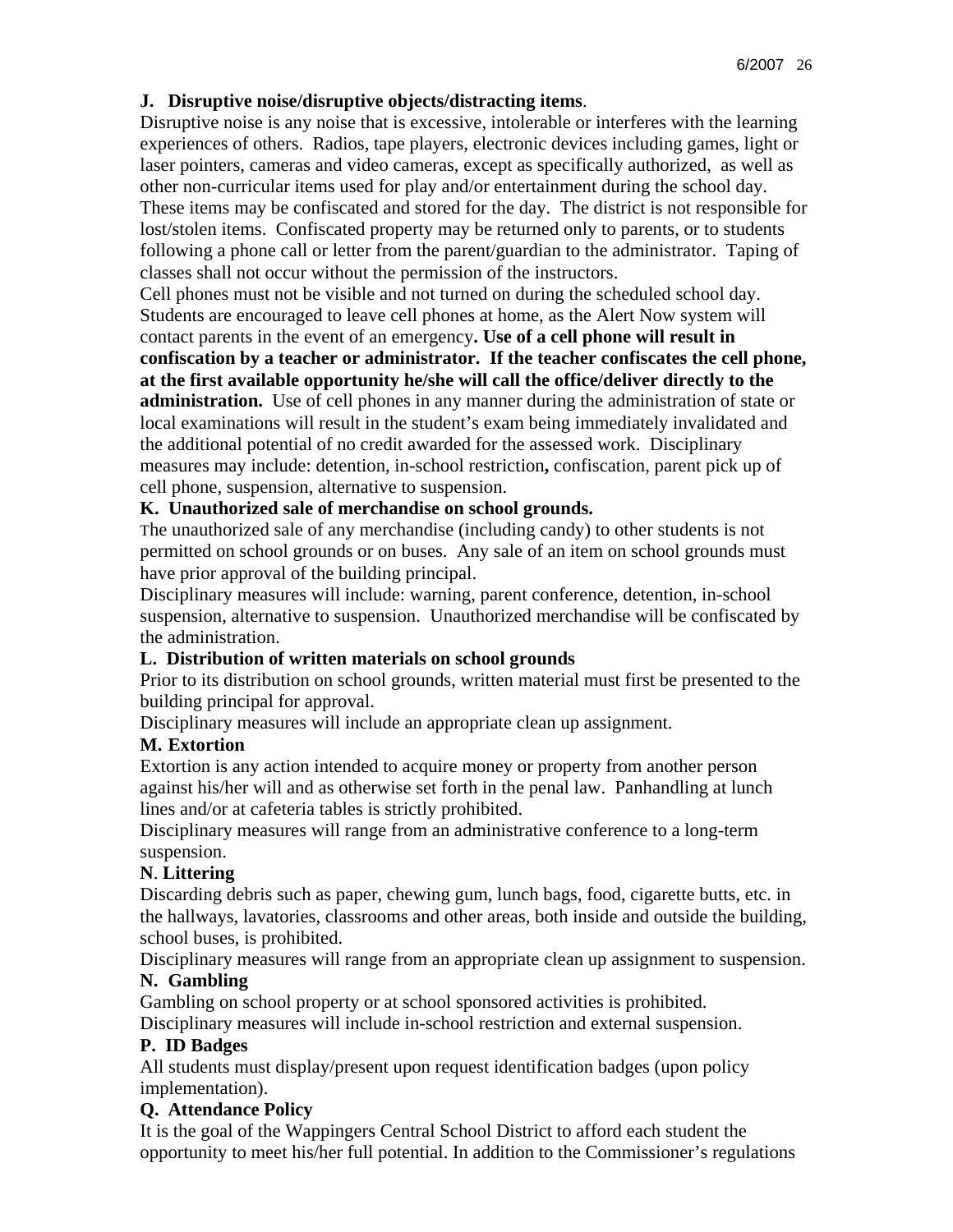## **J. Disruptive noise/disruptive objects/distracting items**.

Disruptive noise is any noise that is excessive, intolerable or interferes with the learning experiences of others. Radios, tape players, electronic devices including games, light or laser pointers, cameras and video cameras, except as specifically authorized, as well as other non-curricular items used for play and/or entertainment during the school day. These items may be confiscated and stored for the day. The district is not responsible for lost/stolen items. Confiscated property may be returned only to parents, or to students following a phone call or letter from the parent/guardian to the administrator. Taping of classes shall not occur without the permission of the instructors.

Cell phones must not be visible and not turned on during the scheduled school day. Students are encouraged to leave cell phones at home, as the Alert Now system will contact parents in the event of an emergency**. Use of a cell phone will result in confiscation by a teacher or administrator. If the teacher confiscates the cell phone, at the first available opportunity he/she will call the office/deliver directly to the administration.** Use of cell phones in any manner during the administration of state or local examinations will result in the student's exam being immediately invalidated and the additional potential of no credit awarded for the assessed work. Disciplinary measures may include: detention, in-school restriction**,** confiscation, parent pick up of cell phone, suspension, alternative to suspension.

### **K. Unauthorized sale of merchandise on school grounds.**

The unauthorized sale of any merchandise (including candy) to other students is not permitted on school grounds or on buses. Any sale of an item on school grounds must have prior approval of the building principal.

Disciplinary measures will include: warning, parent conference, detention, in-school suspension, alternative to suspension. Unauthorized merchandise will be confiscated by the administration.

#### **L. Distribution of written materials on school grounds**

Prior to its distribution on school grounds, written material must first be presented to the building principal for approval.

Disciplinary measures will include an appropriate clean up assignment.

#### **M. Extortion**

Extortion is any action intended to acquire money or property from another person against his/her will and as otherwise set forth in the penal law. Panhandling at lunch lines and/or at cafeteria tables is strictly prohibited.

Disciplinary measures will range from an administrative conference to a long-term suspension.

## **N**. **Littering**

Discarding debris such as paper, chewing gum, lunch bags, food, cigarette butts, etc. in the hallways, lavatories, classrooms and other areas, both inside and outside the building, school buses, is prohibited.

Disciplinary measures will range from an appropriate clean up assignment to suspension.

### **N. Gambling**

Gambling on school property or at school sponsored activities is prohibited.

Disciplinary measures will include in-school restriction and external suspension.

## **P. ID Badges**

All students must display/present upon request identification badges (upon policy implementation).

## **Q. Attendance Policy**

It is the goal of the Wappingers Central School District to afford each student the opportunity to meet his/her full potential. In addition to the Commissioner's regulations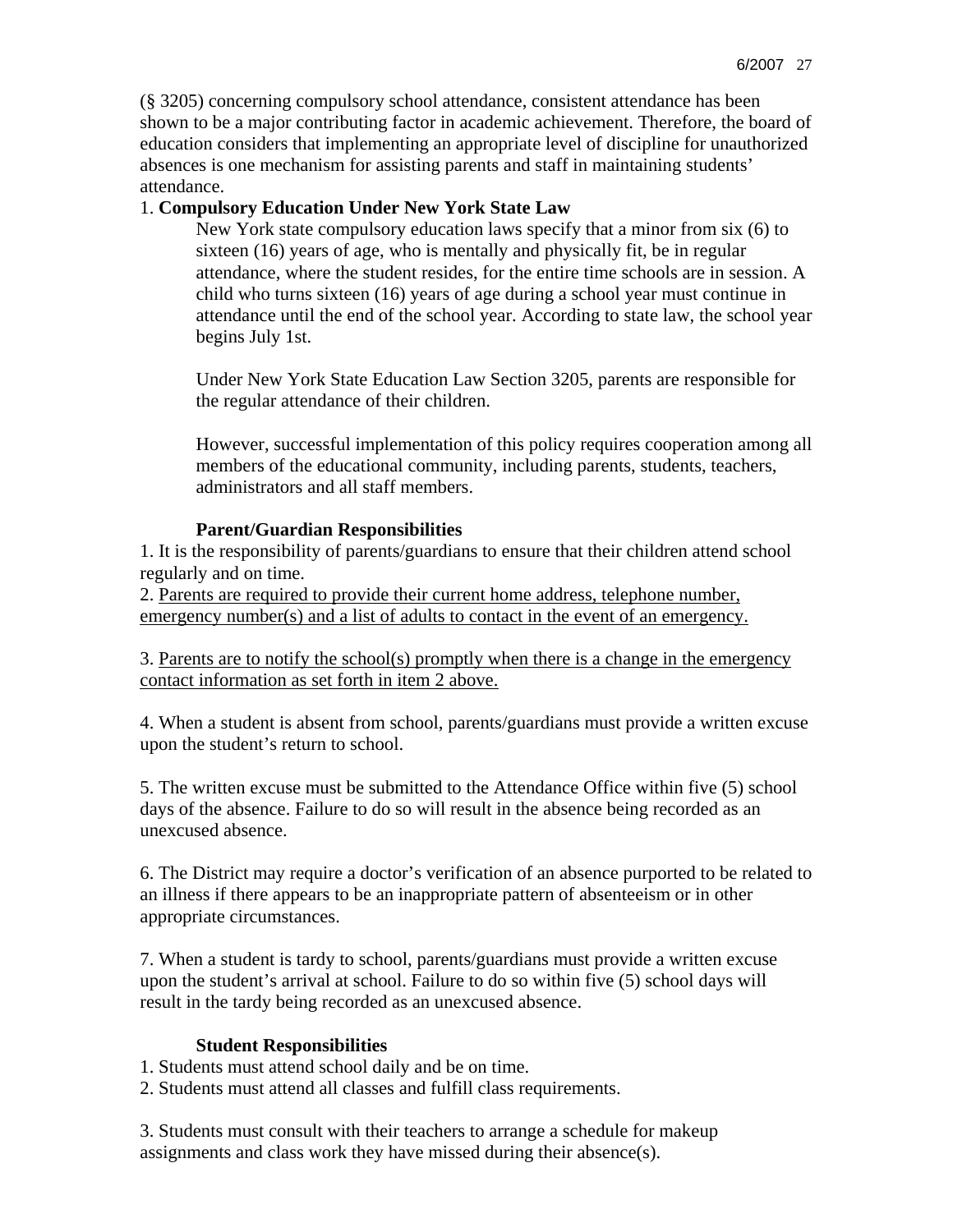(§ 3205) concerning compulsory school attendance, consistent attendance has been shown to be a major contributing factor in academic achievement. Therefore, the board of education considers that implementing an appropriate level of discipline for unauthorized absences is one mechanism for assisting parents and staff in maintaining students' attendance.

## 1. **Compulsory Education Under New York State Law**

New York state compulsory education laws specify that a minor from six (6) to sixteen (16) years of age, who is mentally and physically fit, be in regular attendance, where the student resides, for the entire time schools are in session. A child who turns sixteen (16) years of age during a school year must continue in attendance until the end of the school year. According to state law, the school year begins July 1st.

Under New York State Education Law Section 3205, parents are responsible for the regular attendance of their children.

However, successful implementation of this policy requires cooperation among all members of the educational community, including parents, students, teachers, administrators and all staff members.

## **Parent/Guardian Responsibilities**

1. It is the responsibility of parents/guardians to ensure that their children attend school regularly and on time.

2. Parents are required to provide their current home address, telephone number, emergency number(s) and a list of adults to contact in the event of an emergency.

3. Parents are to notify the school(s) promptly when there is a change in the emergency contact information as set forth in item 2 above.

4. When a student is absent from school, parents/guardians must provide a written excuse upon the student's return to school.

5. The written excuse must be submitted to the Attendance Office within five (5) school days of the absence. Failure to do so will result in the absence being recorded as an unexcused absence.

6. The District may require a doctor's verification of an absence purported to be related to an illness if there appears to be an inappropriate pattern of absenteeism or in other appropriate circumstances.

7. When a student is tardy to school, parents/guardians must provide a written excuse upon the student's arrival at school. Failure to do so within five (5) school days will result in the tardy being recorded as an unexcused absence.

## **Student Responsibilities**

1. Students must attend school daily and be on time.

2. Students must attend all classes and fulfill class requirements.

3. Students must consult with their teachers to arrange a schedule for makeup assignments and class work they have missed during their absence(s).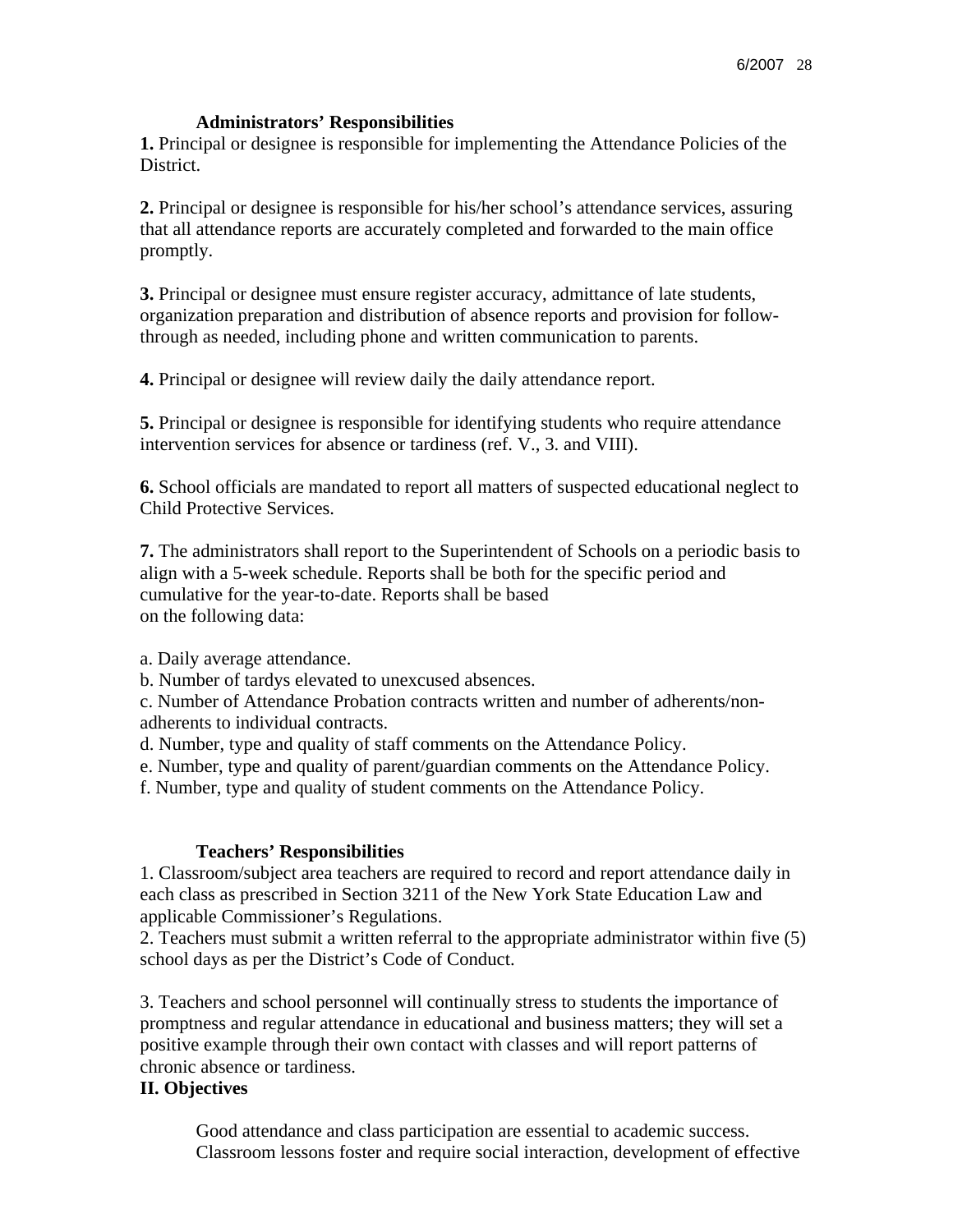#### **Administrators' Responsibilities**

**1.** Principal or designee is responsible for implementing the Attendance Policies of the District.

**2.** Principal or designee is responsible for his/her school's attendance services, assuring that all attendance reports are accurately completed and forwarded to the main office promptly.

**3.** Principal or designee must ensure register accuracy, admittance of late students, organization preparation and distribution of absence reports and provision for followthrough as needed, including phone and written communication to parents.

**4.** Principal or designee will review daily the daily attendance report.

**5.** Principal or designee is responsible for identifying students who require attendance intervention services for absence or tardiness (ref. V., 3. and VIII).

**6.** School officials are mandated to report all matters of suspected educational neglect to Child Protective Services.

**7.** The administrators shall report to the Superintendent of Schools on a periodic basis to align with a 5-week schedule. Reports shall be both for the specific period and cumulative for the year-to-date. Reports shall be based on the following data:

a. Daily average attendance.

b. Number of tardys elevated to unexcused absences.

c. Number of Attendance Probation contracts written and number of adherents/nonadherents to individual contracts.

d. Number, type and quality of staff comments on the Attendance Policy.

e. Number, type and quality of parent/guardian comments on the Attendance Policy.

f. Number, type and quality of student comments on the Attendance Policy.

#### **Teachers' Responsibilities**

1. Classroom/subject area teachers are required to record and report attendance daily in each class as prescribed in Section 3211 of the New York State Education Law and applicable Commissioner's Regulations.

2. Teachers must submit a written referral to the appropriate administrator within five (5) school days as per the District's Code of Conduct.

3. Teachers and school personnel will continually stress to students the importance of promptness and regular attendance in educational and business matters; they will set a positive example through their own contact with classes and will report patterns of chronic absence or tardiness.

#### **II. Objectives**

Good attendance and class participation are essential to academic success. Classroom lessons foster and require social interaction, development of effective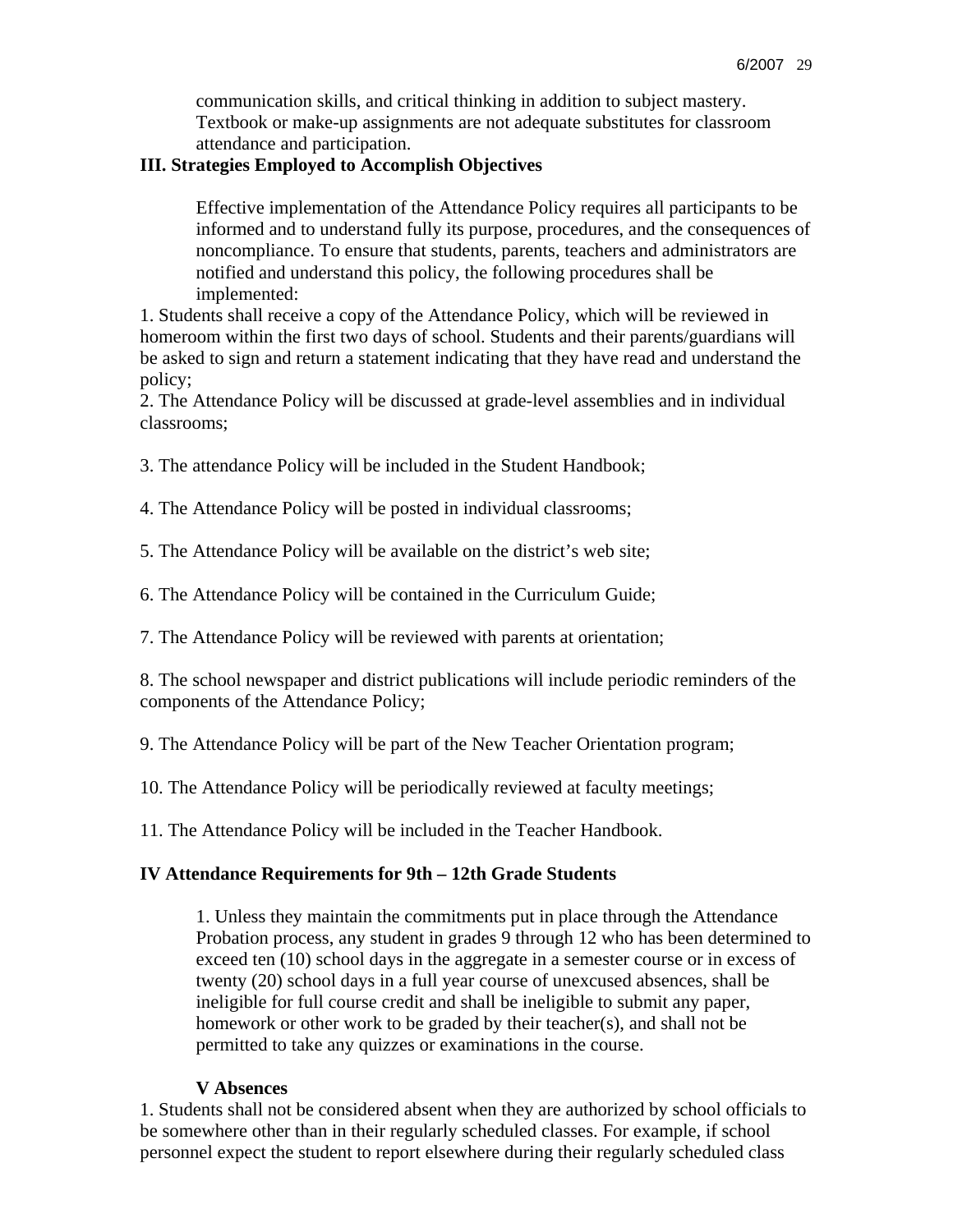communication skills, and critical thinking in addition to subject mastery. Textbook or make-up assignments are not adequate substitutes for classroom attendance and participation.

### **III. Strategies Employed to Accomplish Objectives**

Effective implementation of the Attendance Policy requires all participants to be informed and to understand fully its purpose, procedures, and the consequences of noncompliance. To ensure that students, parents, teachers and administrators are notified and understand this policy, the following procedures shall be implemented:

1. Students shall receive a copy of the Attendance Policy, which will be reviewed in homeroom within the first two days of school. Students and their parents/guardians will be asked to sign and return a statement indicating that they have read and understand the policy;

2. The Attendance Policy will be discussed at grade-level assemblies and in individual classrooms;

3. The attendance Policy will be included in the Student Handbook;

4. The Attendance Policy will be posted in individual classrooms;

5. The Attendance Policy will be available on the district's web site;

6. The Attendance Policy will be contained in the Curriculum Guide;

7. The Attendance Policy will be reviewed with parents at orientation;

8. The school newspaper and district publications will include periodic reminders of the components of the Attendance Policy;

9. The Attendance Policy will be part of the New Teacher Orientation program;

10. The Attendance Policy will be periodically reviewed at faculty meetings;

11. The Attendance Policy will be included in the Teacher Handbook.

#### **IV Attendance Requirements for 9th – 12th Grade Students**

1. Unless they maintain the commitments put in place through the Attendance Probation process, any student in grades 9 through 12 who has been determined to exceed ten (10) school days in the aggregate in a semester course or in excess of twenty (20) school days in a full year course of unexcused absences, shall be ineligible for full course credit and shall be ineligible to submit any paper, homework or other work to be graded by their teacher(s), and shall not be permitted to take any quizzes or examinations in the course.

#### **V Absences**

1. Students shall not be considered absent when they are authorized by school officials to be somewhere other than in their regularly scheduled classes. For example, if school personnel expect the student to report elsewhere during their regularly scheduled class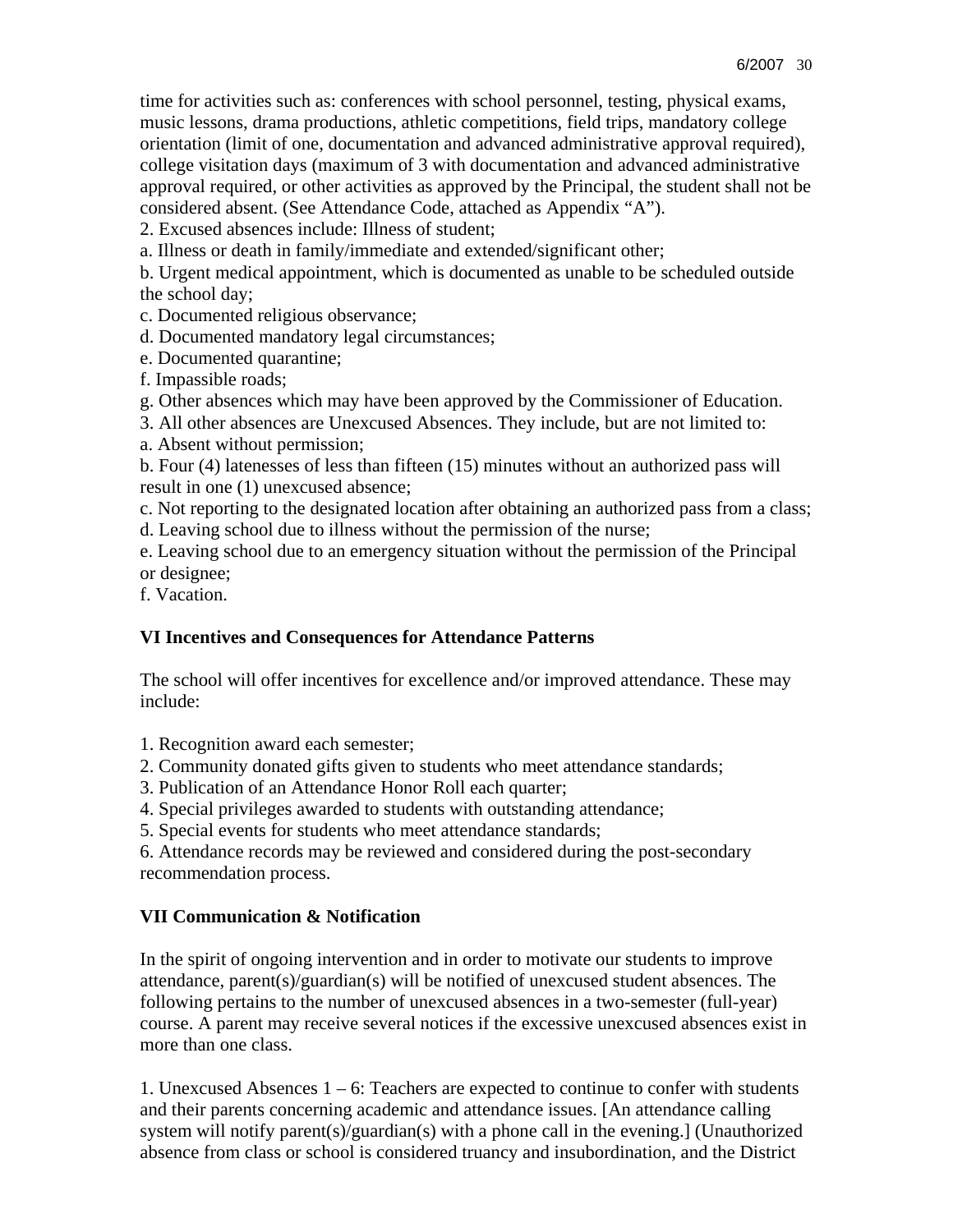time for activities such as: conferences with school personnel, testing, physical exams, music lessons, drama productions, athletic competitions, field trips, mandatory college orientation (limit of one, documentation and advanced administrative approval required), college visitation days (maximum of 3 with documentation and advanced administrative approval required, or other activities as approved by the Principal, the student shall not be considered absent. (See Attendance Code, attached as Appendix "A").

2. Excused absences include: Illness of student;

a. Illness or death in family/immediate and extended/significant other;

b. Urgent medical appointment, which is documented as unable to be scheduled outside the school day;

c. Documented religious observance;

d. Documented mandatory legal circumstances;

e. Documented quarantine;

f. Impassible roads;

g. Other absences which may have been approved by the Commissioner of Education.

3. All other absences are Unexcused Absences. They include, but are not limited to:

a. Absent without permission;

b. Four (4) latenesses of less than fifteen (15) minutes without an authorized pass will result in one (1) unexcused absence;

c. Not reporting to the designated location after obtaining an authorized pass from a class; d. Leaving school due to illness without the permission of the nurse;

e. Leaving school due to an emergency situation without the permission of the Principal

or designee;

f. Vacation.

## **VI Incentives and Consequences for Attendance Patterns**

The school will offer incentives for excellence and/or improved attendance. These may include:

1. Recognition award each semester;

2. Community donated gifts given to students who meet attendance standards;

3. Publication of an Attendance Honor Roll each quarter;

4. Special privileges awarded to students with outstanding attendance;

5. Special events for students who meet attendance standards;

6. Attendance records may be reviewed and considered during the post-secondary recommendation process.

## **VII Communication & Notification**

In the spirit of ongoing intervention and in order to motivate our students to improve attendance, parent(s)/guardian(s) will be notified of unexcused student absences. The following pertains to the number of unexcused absences in a two-semester (full-year) course. A parent may receive several notices if the excessive unexcused absences exist in more than one class.

1. Unexcused Absences 1 – 6: Teachers are expected to continue to confer with students and their parents concerning academic and attendance issues. [An attendance calling system will notify parent(s)/guardian(s) with a phone call in the evening.] (Unauthorized absence from class or school is considered truancy and insubordination, and the District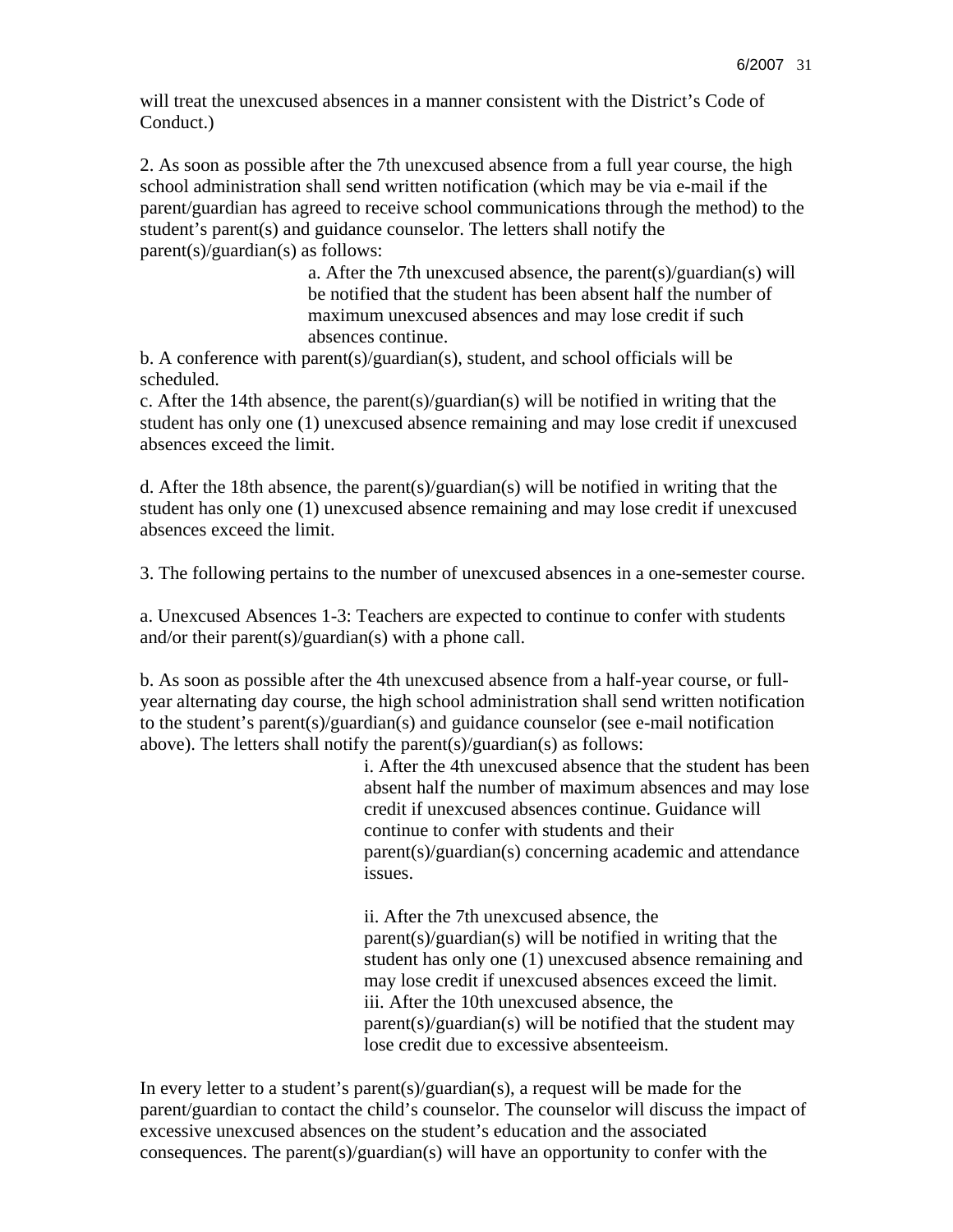will treat the unexcused absences in a manner consistent with the District's Code of Conduct.)

2. As soon as possible after the 7th unexcused absence from a full year course, the high school administration shall send written notification (which may be via e-mail if the parent/guardian has agreed to receive school communications through the method) to the student's parent(s) and guidance counselor. The letters shall notify the parent(s)/guardian(s) as follows:

> a. After the 7th unexcused absence, the parent(s)/guardian(s) will be notified that the student has been absent half the number of maximum unexcused absences and may lose credit if such absences continue.

b. A conference with parent(s)/guardian(s), student, and school officials will be scheduled.

c. After the 14th absence, the parent(s)/guardian(s) will be notified in writing that the student has only one (1) unexcused absence remaining and may lose credit if unexcused absences exceed the limit.

d. After the 18th absence, the parent(s)/guardian(s) will be notified in writing that the student has only one (1) unexcused absence remaining and may lose credit if unexcused absences exceed the limit.

3. The following pertains to the number of unexcused absences in a one-semester course.

a. Unexcused Absences 1-3: Teachers are expected to continue to confer with students and/or their parent(s)/guardian(s) with a phone call.

b. As soon as possible after the 4th unexcused absence from a half-year course, or fullyear alternating day course, the high school administration shall send written notification to the student's parent(s)/guardian(s) and guidance counselor (see e-mail notification above). The letters shall notify the parent(s)/guardian(s) as follows:

> i. After the 4th unexcused absence that the student has been absent half the number of maximum absences and may lose credit if unexcused absences continue. Guidance will continue to confer with students and their parent(s)/guardian(s) concerning academic and attendance issues.

ii. After the 7th unexcused absence, the parent(s)/guardian(s) will be notified in writing that the student has only one (1) unexcused absence remaining and may lose credit if unexcused absences exceed the limit. iii. After the 10th unexcused absence, the parent(s)/guardian(s) will be notified that the student may lose credit due to excessive absenteeism.

In every letter to a student's parent(s)/guardian(s), a request will be made for the parent/guardian to contact the child's counselor. The counselor will discuss the impact of excessive unexcused absences on the student's education and the associated consequences. The parent(s)/guardian(s) will have an opportunity to confer with the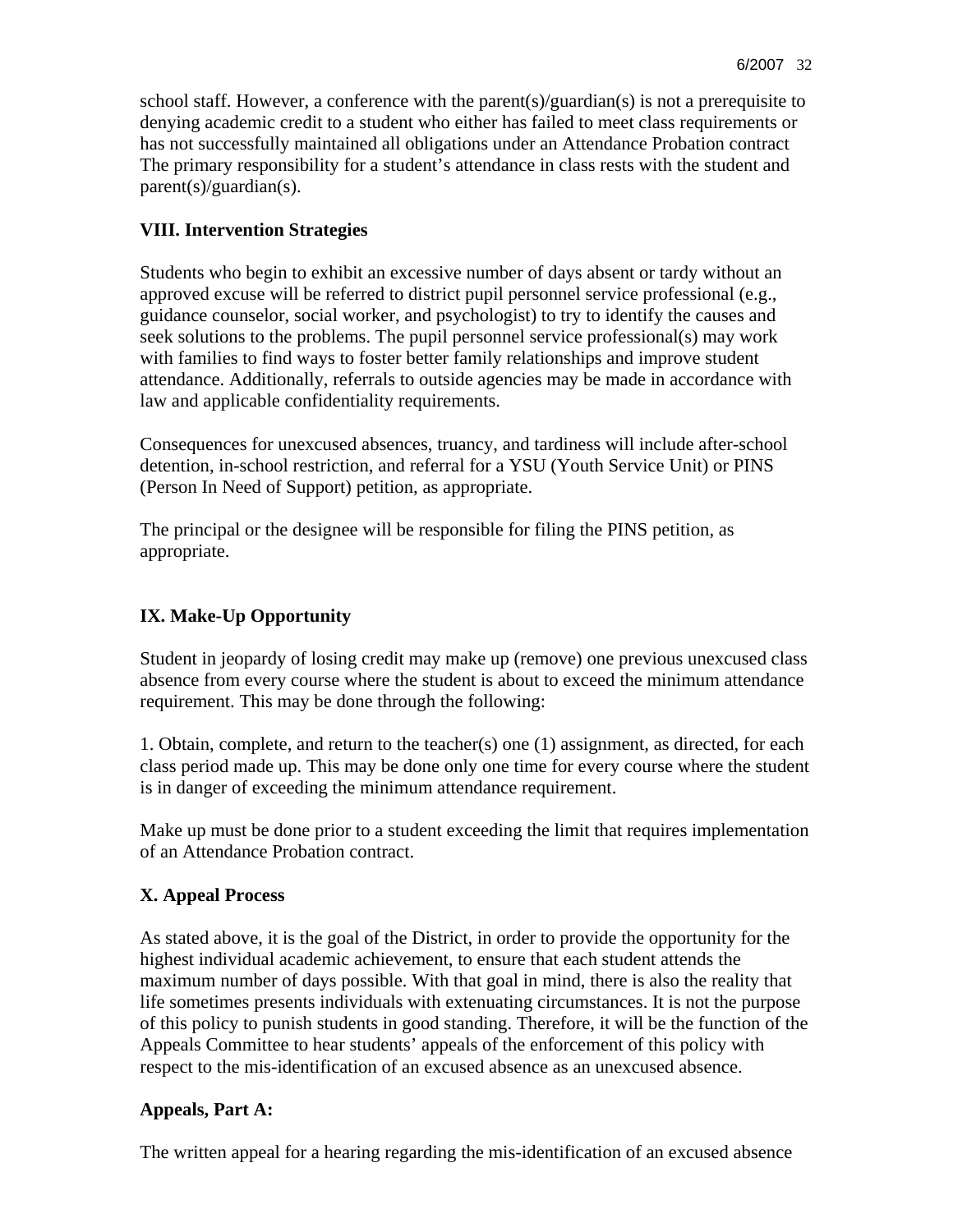school staff. However, a conference with the parent(s)/guardian(s) is not a prerequisite to denying academic credit to a student who either has failed to meet class requirements or has not successfully maintained all obligations under an Attendance Probation contract The primary responsibility for a student's attendance in class rests with the student and parent(s)/guardian(s).

## **VIII. Intervention Strategies**

Students who begin to exhibit an excessive number of days absent or tardy without an approved excuse will be referred to district pupil personnel service professional (e.g., guidance counselor, social worker, and psychologist) to try to identify the causes and seek solutions to the problems. The pupil personnel service professional(s) may work with families to find ways to foster better family relationships and improve student attendance. Additionally, referrals to outside agencies may be made in accordance with law and applicable confidentiality requirements.

Consequences for unexcused absences, truancy, and tardiness will include after-school detention, in-school restriction, and referral for a YSU (Youth Service Unit) or PINS (Person In Need of Support) petition, as appropriate.

The principal or the designee will be responsible for filing the PINS petition, as appropriate.

## **IX. Make-Up Opportunity**

Student in jeopardy of losing credit may make up (remove) one previous unexcused class absence from every course where the student is about to exceed the minimum attendance requirement. This may be done through the following:

1. Obtain, complete, and return to the teacher(s) one (1) assignment, as directed, for each class period made up. This may be done only one time for every course where the student is in danger of exceeding the minimum attendance requirement.

Make up must be done prior to a student exceeding the limit that requires implementation of an Attendance Probation contract.

## **X. Appeal Process**

As stated above, it is the goal of the District, in order to provide the opportunity for the highest individual academic achievement, to ensure that each student attends the maximum number of days possible. With that goal in mind, there is also the reality that life sometimes presents individuals with extenuating circumstances. It is not the purpose of this policy to punish students in good standing. Therefore, it will be the function of the Appeals Committee to hear students' appeals of the enforcement of this policy with respect to the mis-identification of an excused absence as an unexcused absence.

#### **Appeals, Part A:**

The written appeal for a hearing regarding the mis-identification of an excused absence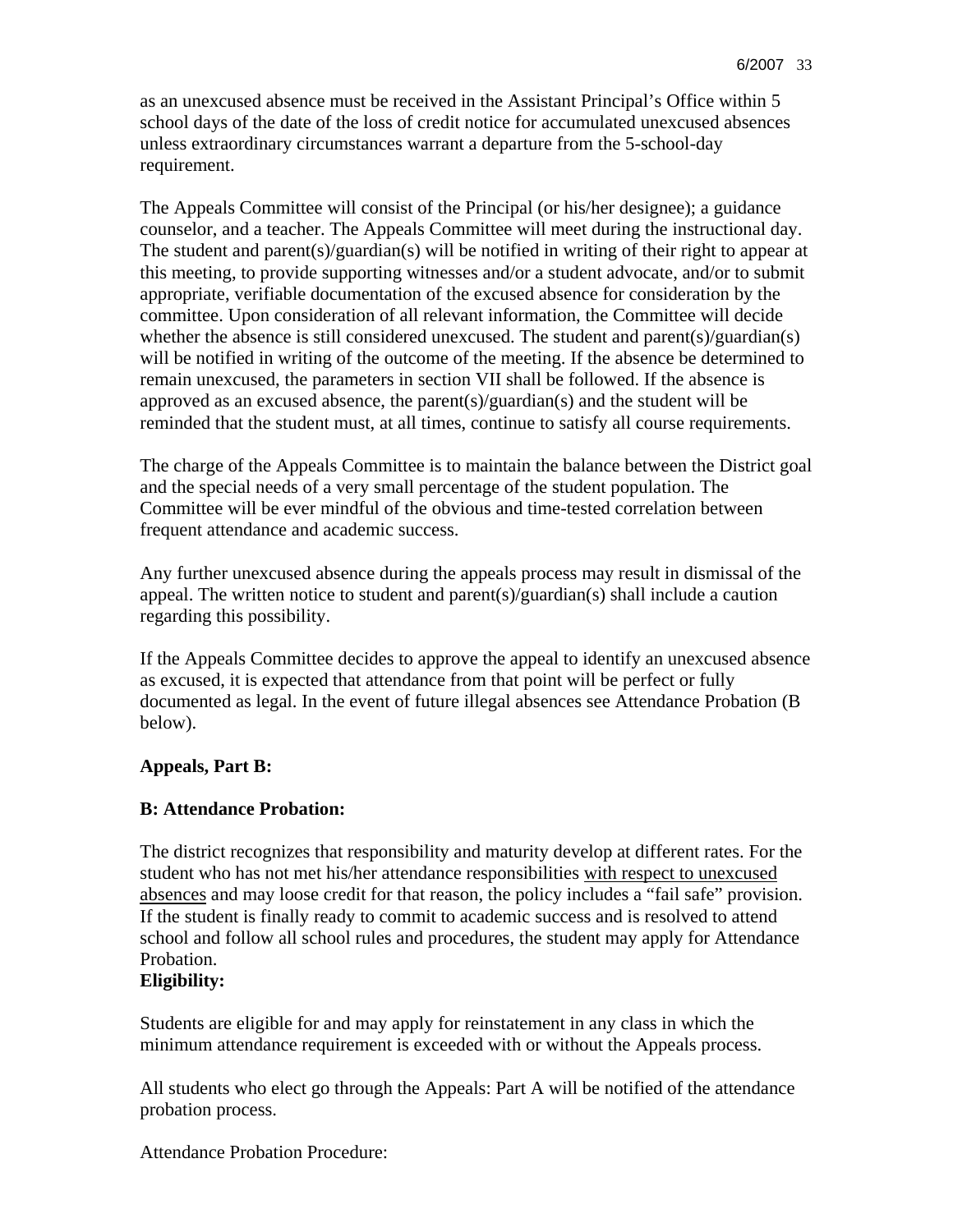as an unexcused absence must be received in the Assistant Principal's Office within 5 school days of the date of the loss of credit notice for accumulated unexcused absences unless extraordinary circumstances warrant a departure from the 5-school-day requirement.

The Appeals Committee will consist of the Principal (or his/her designee); a guidance counselor, and a teacher. The Appeals Committee will meet during the instructional day. The student and parent(s)/guardian(s) will be notified in writing of their right to appear at this meeting, to provide supporting witnesses and/or a student advocate, and/or to submit appropriate, verifiable documentation of the excused absence for consideration by the committee. Upon consideration of all relevant information, the Committee will decide whether the absence is still considered unexcused. The student and parent(s)/guardian(s) will be notified in writing of the outcome of the meeting. If the absence be determined to remain unexcused, the parameters in section VII shall be followed. If the absence is approved as an excused absence, the parent(s)/guardian(s) and the student will be reminded that the student must, at all times, continue to satisfy all course requirements.

The charge of the Appeals Committee is to maintain the balance between the District goal and the special needs of a very small percentage of the student population. The Committee will be ever mindful of the obvious and time-tested correlation between frequent attendance and academic success.

Any further unexcused absence during the appeals process may result in dismissal of the appeal. The written notice to student and parent(s)/guardian(s) shall include a caution regarding this possibility.

If the Appeals Committee decides to approve the appeal to identify an unexcused absence as excused, it is expected that attendance from that point will be perfect or fully documented as legal. In the event of future illegal absences see Attendance Probation (B below).

#### **Appeals, Part B:**

#### **B: Attendance Probation:**

The district recognizes that responsibility and maturity develop at different rates. For the student who has not met his/her attendance responsibilities with respect to unexcused absences and may loose credit for that reason, the policy includes a "fail safe" provision. If the student is finally ready to commit to academic success and is resolved to attend school and follow all school rules and procedures, the student may apply for Attendance Probation.

#### **Eligibility:**

Students are eligible for and may apply for reinstatement in any class in which the minimum attendance requirement is exceeded with or without the Appeals process.

All students who elect go through the Appeals: Part A will be notified of the attendance probation process.

Attendance Probation Procedure: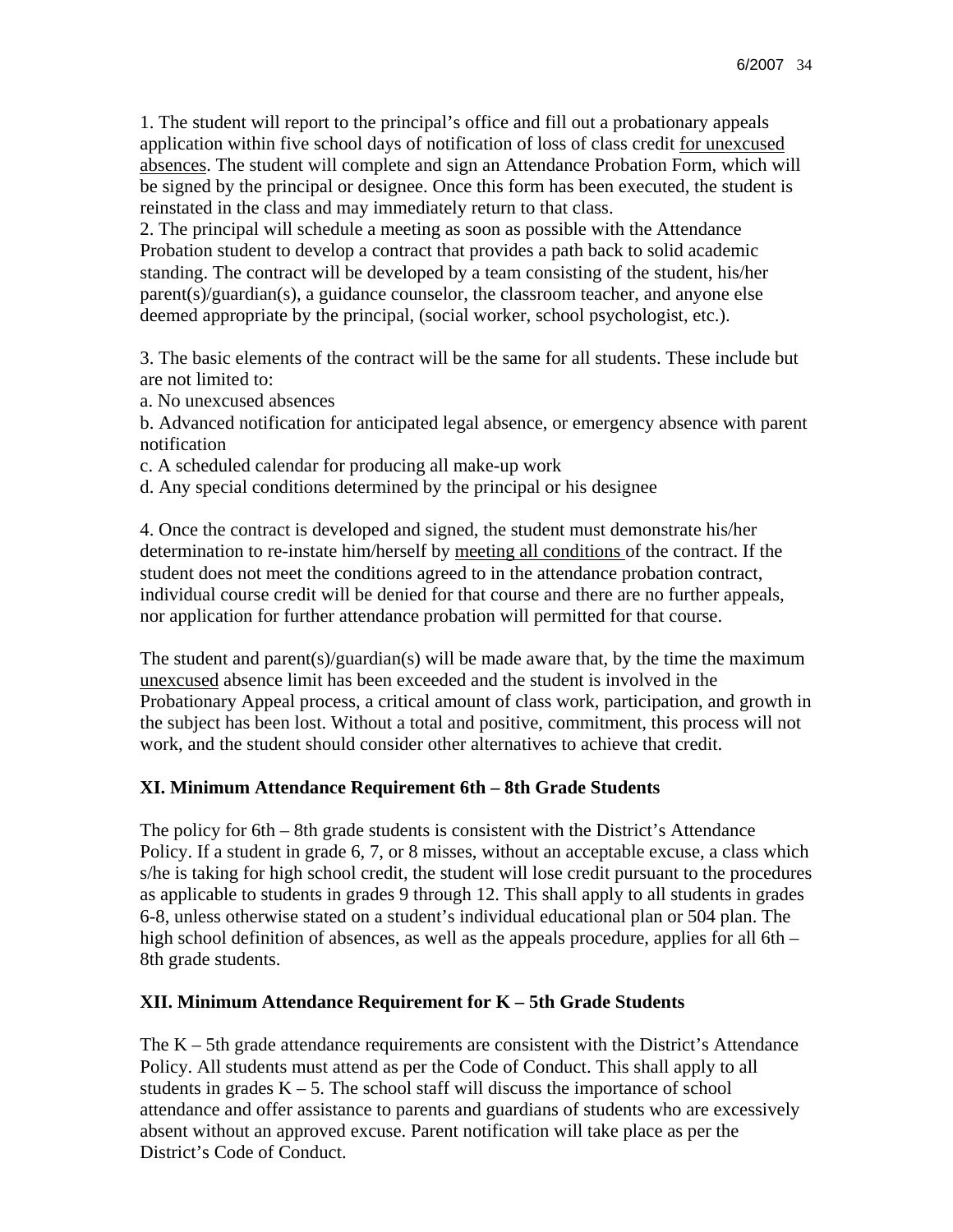1. The student will report to the principal's office and fill out a probationary appeals application within five school days of notification of loss of class credit for unexcused absences. The student will complete and sign an Attendance Probation Form, which will be signed by the principal or designee. Once this form has been executed, the student is reinstated in the class and may immediately return to that class.

2. The principal will schedule a meeting as soon as possible with the Attendance Probation student to develop a contract that provides a path back to solid academic standing. The contract will be developed by a team consisting of the student, his/her parent(s)/guardian(s), a guidance counselor, the classroom teacher, and anyone else deemed appropriate by the principal, (social worker, school psychologist, etc.).

3. The basic elements of the contract will be the same for all students. These include but are not limited to:

a. No unexcused absences

b. Advanced notification for anticipated legal absence, or emergency absence with parent notification

c. A scheduled calendar for producing all make-up work

d. Any special conditions determined by the principal or his designee

4. Once the contract is developed and signed, the student must demonstrate his/her determination to re-instate him/herself by meeting all conditions of the contract. If the student does not meet the conditions agreed to in the attendance probation contract, individual course credit will be denied for that course and there are no further appeals, nor application for further attendance probation will permitted for that course.

The student and parent(s)/guardian(s) will be made aware that, by the time the maximum unexcused absence limit has been exceeded and the student is involved in the Probationary Appeal process, a critical amount of class work, participation, and growth in the subject has been lost. Without a total and positive, commitment, this process will not work, and the student should consider other alternatives to achieve that credit.

## **XI. Minimum Attendance Requirement 6th – 8th Grade Students**

The policy for 6th – 8th grade students is consistent with the District's Attendance Policy. If a student in grade 6, 7, or 8 misses, without an acceptable excuse, a class which s/he is taking for high school credit, the student will lose credit pursuant to the procedures as applicable to students in grades 9 through 12. This shall apply to all students in grades 6-8, unless otherwise stated on a student's individual educational plan or 504 plan. The high school definition of absences, as well as the appeals procedure, applies for all 6th – 8th grade students.

# **XII. Minimum Attendance Requirement for K – 5th Grade Students**

The  $K - 5$ th grade attendance requirements are consistent with the District's Attendance Policy. All students must attend as per the Code of Conduct. This shall apply to all students in grades  $K - 5$ . The school staff will discuss the importance of school attendance and offer assistance to parents and guardians of students who are excessively absent without an approved excuse. Parent notification will take place as per the District's Code of Conduct.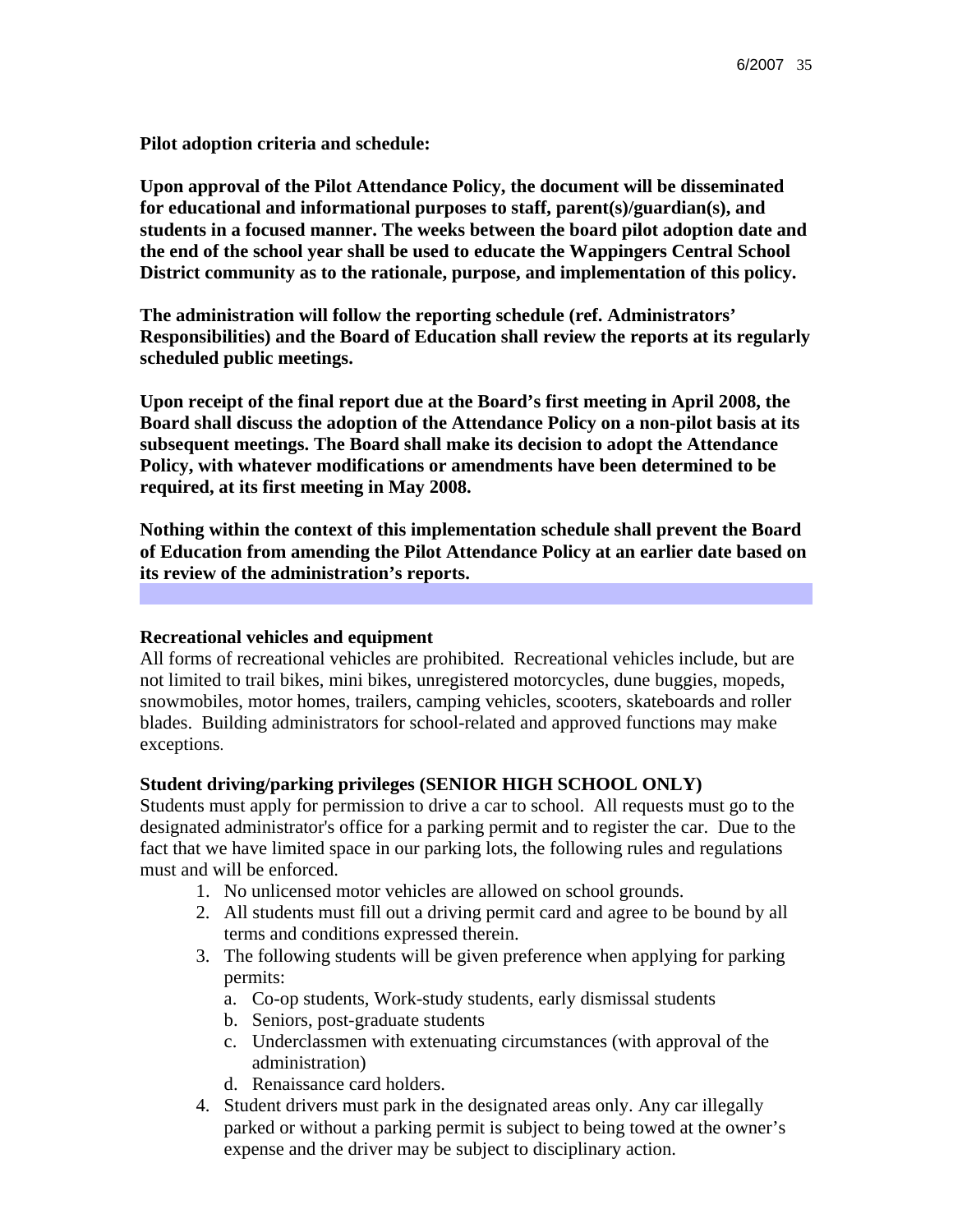**Pilot adoption criteria and schedule:**

**Upon approval of the Pilot Attendance Policy, the document will be disseminated for educational and informational purposes to staff, parent(s)/guardian(s), and students in a focused manner. The weeks between the board pilot adoption date and the end of the school year shall be used to educate the Wappingers Central School District community as to the rationale, purpose, and implementation of this policy.**

**The administration will follow the reporting schedule (ref. Administrators' Responsibilities) and the Board of Education shall review the reports at its regularly scheduled public meetings.**

**Upon receipt of the final report due at the Board's first meeting in April 2008, the Board shall discuss the adoption of the Attendance Policy on a non-pilot basis at its subsequent meetings. The Board shall make its decision to adopt the Attendance Policy, with whatever modifications or amendments have been determined to be required, at its first meeting in May 2008.**

**Nothing within the context of this implementation schedule shall prevent the Board of Education from amending the Pilot Attendance Policy at an earlier date based on its review of the administration's reports.**

#### **Recreational vehicles and equipment**

All forms of recreational vehicles are prohibited. Recreational vehicles include, but are not limited to trail bikes, mini bikes, unregistered motorcycles, dune buggies, mopeds, snowmobiles, motor homes, trailers, camping vehicles, scooters, skateboards and roller blades. Building administrators for school-related and approved functions may make exceptions.

#### **Student driving/parking privileges (SENIOR HIGH SCHOOL ONLY)**

Students must apply for permission to drive a car to school. All requests must go to the designated administrator's office for a parking permit and to register the car. Due to the fact that we have limited space in our parking lots, the following rules and regulations must and will be enforced.

- 1. No unlicensed motor vehicles are allowed on school grounds.
- 2. All students must fill out a driving permit card and agree to be bound by all terms and conditions expressed therein.
- 3. The following students will be given preference when applying for parking permits:
	- a. Co-op students, Work-study students, early dismissal students
	- b. Seniors, post-graduate students
	- c. Underclassmen with extenuating circumstances (with approval of the administration)
	- d. Renaissance card holders.
- 4. Student drivers must park in the designated areas only. Any car illegally parked or without a parking permit is subject to being towed at the owner's expense and the driver may be subject to disciplinary action.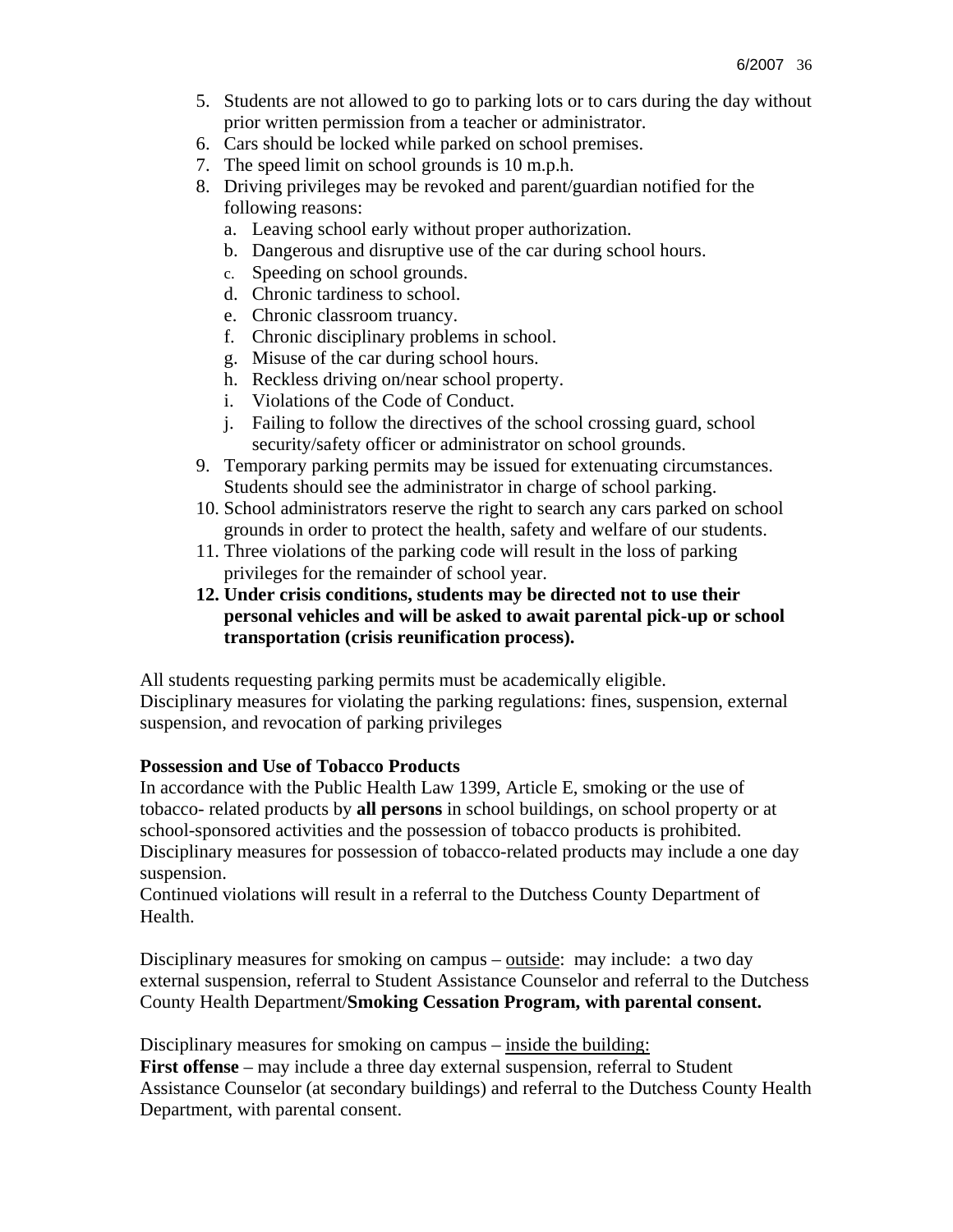- 5. Students are not allowed to go to parking lots or to cars during the day without prior written permission from a teacher or administrator.
- 6. Cars should be locked while parked on school premises.
- 7. The speed limit on school grounds is 10 m.p.h.
- 8. Driving privileges may be revoked and parent/guardian notified for the following reasons:
	- a. Leaving school early without proper authorization.
	- b. Dangerous and disruptive use of the car during school hours.
	- c. Speeding on school grounds.
	- d. Chronic tardiness to school.
	- e. Chronic classroom truancy.
	- f. Chronic disciplinary problems in school.
	- g. Misuse of the car during school hours.
	- h. Reckless driving on/near school property.
	- i. Violations of the Code of Conduct.
	- j. Failing to follow the directives of the school crossing guard, school security/safety officer or administrator on school grounds.
- 9. Temporary parking permits may be issued for extenuating circumstances. Students should see the administrator in charge of school parking.
- 10. School administrators reserve the right to search any cars parked on school grounds in order to protect the health, safety and welfare of our students.
- 11. Three violations of the parking code will result in the loss of parking privileges for the remainder of school year.
- **12. Under crisis conditions, students may be directed not to use their personal vehicles and will be asked to await parental pick-up or school transportation (crisis reunification process).**

All students requesting parking permits must be academically eligible. Disciplinary measures for violating the parking regulations: fines, suspension, external suspension, and revocation of parking privileges

#### **Possession and Use of Tobacco Products**

In accordance with the Public Health Law 1399, Article E, smoking or the use of tobacco- related products by **all persons** in school buildings, on school property or at school-sponsored activities and the possession of tobacco products is prohibited. Disciplinary measures for possession of tobacco-related products may include a one day suspension.

Continued violations will result in a referral to the Dutchess County Department of Health.

Disciplinary measures for smoking on campus – outside: may include: a two day external suspension, referral to Student Assistance Counselor and referral to the Dutchess County Health Department/**Smoking Cessation Program, with parental consent.** 

Disciplinary measures for smoking on campus – inside the building: **First offense** – may include a three day external suspension, referral to Student Assistance Counselor (at secondary buildings) and referral to the Dutchess County Health Department, with parental consent.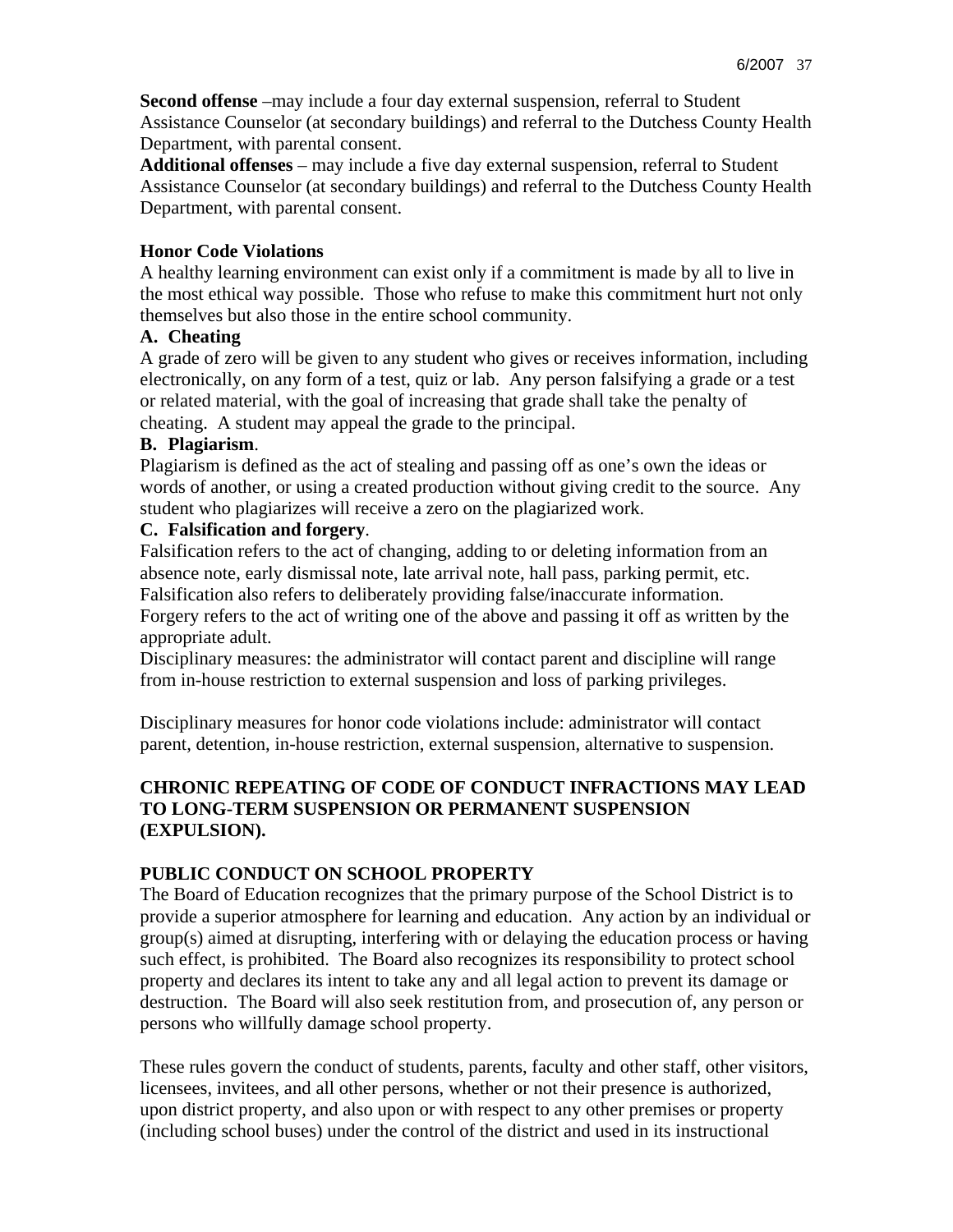**Second offense** –may include a four day external suspension, referral to Student Assistance Counselor (at secondary buildings) and referral to the Dutchess County Health Department, with parental consent.

**Additional offenses** – may include a five day external suspension, referral to Student Assistance Counselor (at secondary buildings) and referral to the Dutchess County Health Department, with parental consent.

## **Honor Code Violations**

A healthy learning environment can exist only if a commitment is made by all to live in the most ethical way possible. Those who refuse to make this commitment hurt not only themselves but also those in the entire school community.

## **A. Cheating**

A grade of zero will be given to any student who gives or receives information, including electronically, on any form of a test, quiz or lab. Any person falsifying a grade or a test or related material, with the goal of increasing that grade shall take the penalty of cheating. A student may appeal the grade to the principal.

## **B. Plagiarism**.

Plagiarism is defined as the act of stealing and passing off as one's own the ideas or words of another, or using a created production without giving credit to the source. Any student who plagiarizes will receive a zero on the plagiarized work.

## **C. Falsification and forgery**.

Falsification refers to the act of changing, adding to or deleting information from an absence note, early dismissal note, late arrival note, hall pass, parking permit, etc. Falsification also refers to deliberately providing false/inaccurate information.

Forgery refers to the act of writing one of the above and passing it off as written by the appropriate adult.

Disciplinary measures: the administrator will contact parent and discipline will range from in-house restriction to external suspension and loss of parking privileges.

Disciplinary measures for honor code violations include: administrator will contact parent, detention, in-house restriction, external suspension, alternative to suspension.

## **CHRONIC REPEATING OF CODE OF CONDUCT INFRACTIONS MAY LEAD TO LONG-TERM SUSPENSION OR PERMANENT SUSPENSION (EXPULSION).**

# **PUBLIC CONDUCT ON SCHOOL PROPERTY**

The Board of Education recognizes that the primary purpose of the School District is to provide a superior atmosphere for learning and education. Any action by an individual or group(s) aimed at disrupting, interfering with or delaying the education process or having such effect, is prohibited. The Board also recognizes its responsibility to protect school property and declares its intent to take any and all legal action to prevent its damage or destruction. The Board will also seek restitution from, and prosecution of, any person or persons who willfully damage school property.

These rules govern the conduct of students, parents, faculty and other staff, other visitors, licensees, invitees, and all other persons, whether or not their presence is authorized, upon district property, and also upon or with respect to any other premises or property (including school buses) under the control of the district and used in its instructional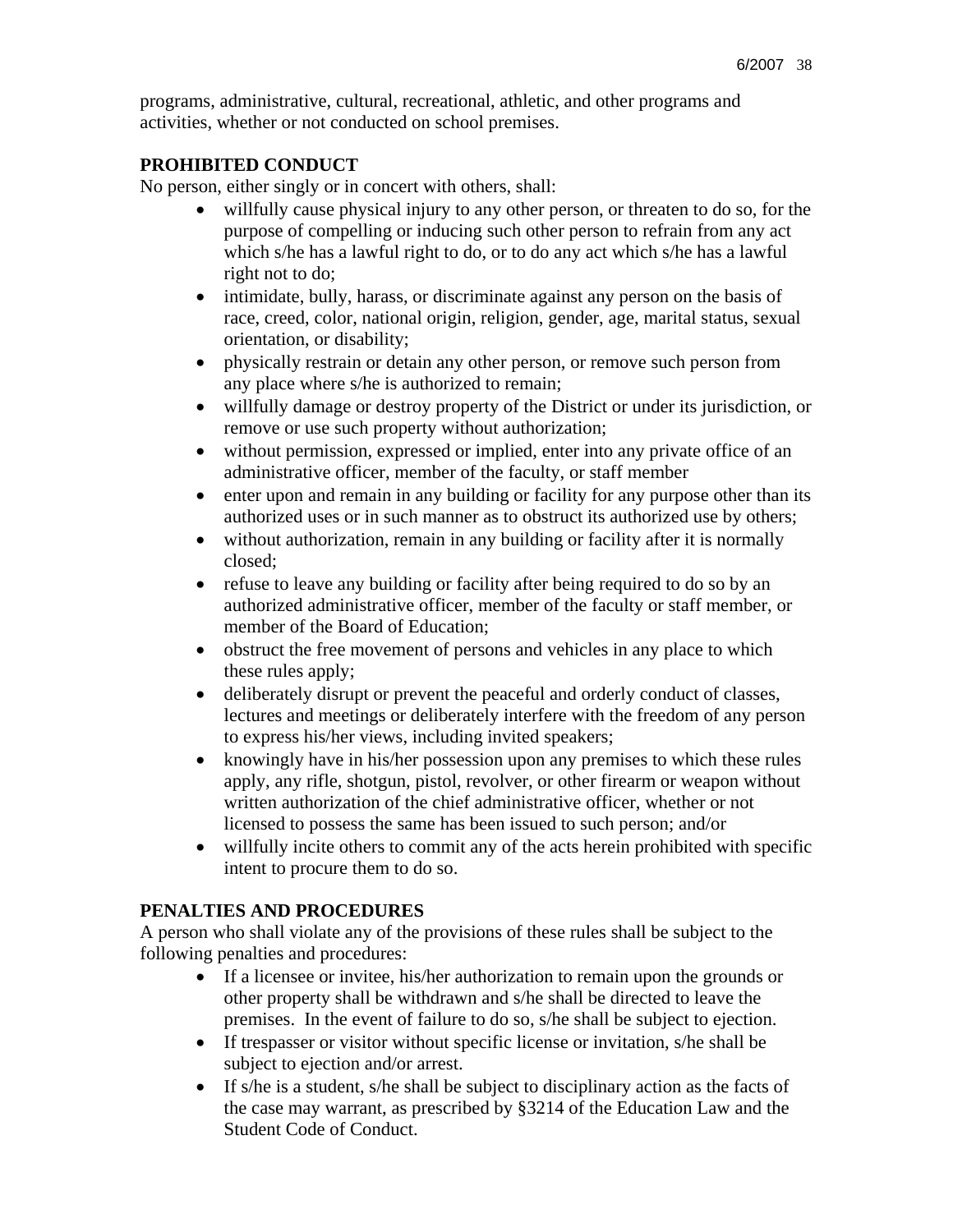programs, administrative, cultural, recreational, athletic, and other programs and activities, whether or not conducted on school premises.

### **PROHIBITED CONDUCT**

No person, either singly or in concert with others, shall:

- willfully cause physical injury to any other person, or threaten to do so, for the purpose of compelling or inducing such other person to refrain from any act which s/he has a lawful right to do, or to do any act which s/he has a lawful right not to do;
- intimidate, bully, harass, or discriminate against any person on the basis of race, creed, color, national origin, religion, gender, age, marital status, sexual orientation, or disability;
- physically restrain or detain any other person, or remove such person from any place where s/he is authorized to remain;
- willfully damage or destroy property of the District or under its jurisdiction, or remove or use such property without authorization;
- without permission, expressed or implied, enter into any private office of an administrative officer, member of the faculty, or staff member
- enter upon and remain in any building or facility for any purpose other than its authorized uses or in such manner as to obstruct its authorized use by others;
- without authorization, remain in any building or facility after it is normally closed;
- refuse to leave any building or facility after being required to do so by an authorized administrative officer, member of the faculty or staff member, or member of the Board of Education;
- obstruct the free movement of persons and vehicles in any place to which these rules apply;
- deliberately disrupt or prevent the peaceful and orderly conduct of classes, lectures and meetings or deliberately interfere with the freedom of any person to express his/her views, including invited speakers;
- knowingly have in his/her possession upon any premises to which these rules apply, any rifle, shotgun, pistol, revolver, or other firearm or weapon without written authorization of the chief administrative officer, whether or not licensed to possess the same has been issued to such person; and/or
- willfully incite others to commit any of the acts herein prohibited with specific intent to procure them to do so.

## **PENALTIES AND PROCEDURES**

A person who shall violate any of the provisions of these rules shall be subject to the following penalties and procedures:

- If a licensee or invitee, his/her authorization to remain upon the grounds or other property shall be withdrawn and s/he shall be directed to leave the premises. In the event of failure to do so, s/he shall be subject to ejection.
- If trespasser or visitor without specific license or invitation, s/he shall be subject to ejection and/or arrest.
- If s/he is a student, s/he shall be subject to disciplinary action as the facts of the case may warrant, as prescribed by §3214 of the Education Law and the Student Code of Conduct.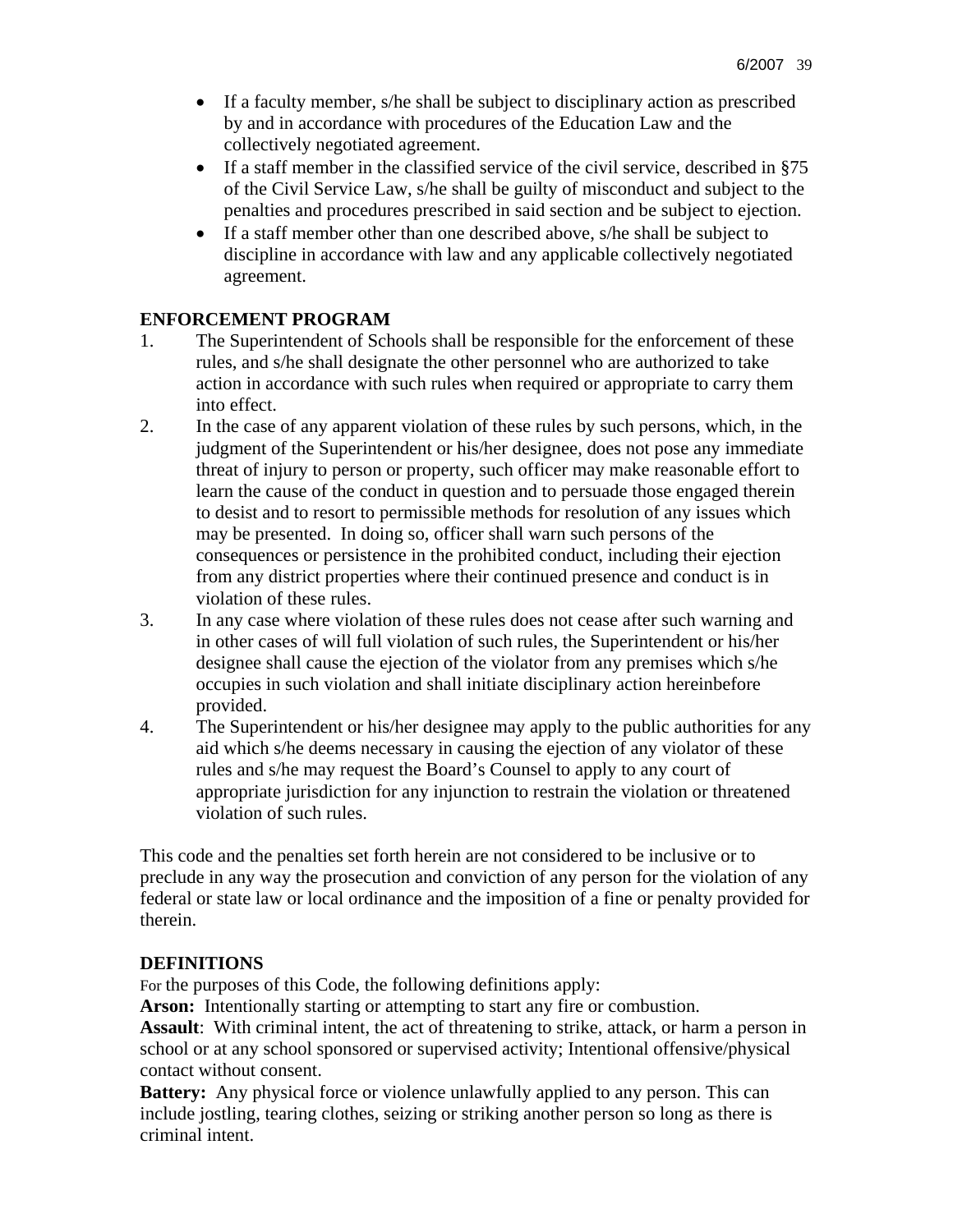- If a faculty member, s/he shall be subject to disciplinary action as prescribed by and in accordance with procedures of the Education Law and the collectively negotiated agreement.
- If a staff member in the classified service of the civil service, described in §75 of the Civil Service Law, s/he shall be guilty of misconduct and subject to the penalties and procedures prescribed in said section and be subject to ejection.
- If a staff member other than one described above, s/he shall be subject to discipline in accordance with law and any applicable collectively negotiated agreement.

## **ENFORCEMENT PROGRAM**

- 1. The Superintendent of Schools shall be responsible for the enforcement of these rules, and s/he shall designate the other personnel who are authorized to take action in accordance with such rules when required or appropriate to carry them into effect.
- 2. In the case of any apparent violation of these rules by such persons, which, in the judgment of the Superintendent or his/her designee, does not pose any immediate threat of injury to person or property, such officer may make reasonable effort to learn the cause of the conduct in question and to persuade those engaged therein to desist and to resort to permissible methods for resolution of any issues which may be presented. In doing so, officer shall warn such persons of the consequences or persistence in the prohibited conduct, including their ejection from any district properties where their continued presence and conduct is in violation of these rules.
- 3. In any case where violation of these rules does not cease after such warning and in other cases of will full violation of such rules, the Superintendent or his/her designee shall cause the ejection of the violator from any premises which s/he occupies in such violation and shall initiate disciplinary action hereinbefore provided.
- 4. The Superintendent or his/her designee may apply to the public authorities for any aid which s/he deems necessary in causing the ejection of any violator of these rules and s/he may request the Board's Counsel to apply to any court of appropriate jurisdiction for any injunction to restrain the violation or threatened violation of such rules.

This code and the penalties set forth herein are not considered to be inclusive or to preclude in any way the prosecution and conviction of any person for the violation of any federal or state law or local ordinance and the imposition of a fine or penalty provided for therein.

## **DEFINITIONS**

For the purposes of this Code, the following definitions apply:

Arson: Intentionally starting or attempting to start any fire or combustion. **Assault**: With criminal intent, the act of threatening to strike, attack, or harm a person in school or at any school sponsored or supervised activity; Intentional offensive/physical contact without consent.

**Battery:** Any physical force or violence unlawfully applied to any person. This can include jostling, tearing clothes, seizing or striking another person so long as there is criminal intent.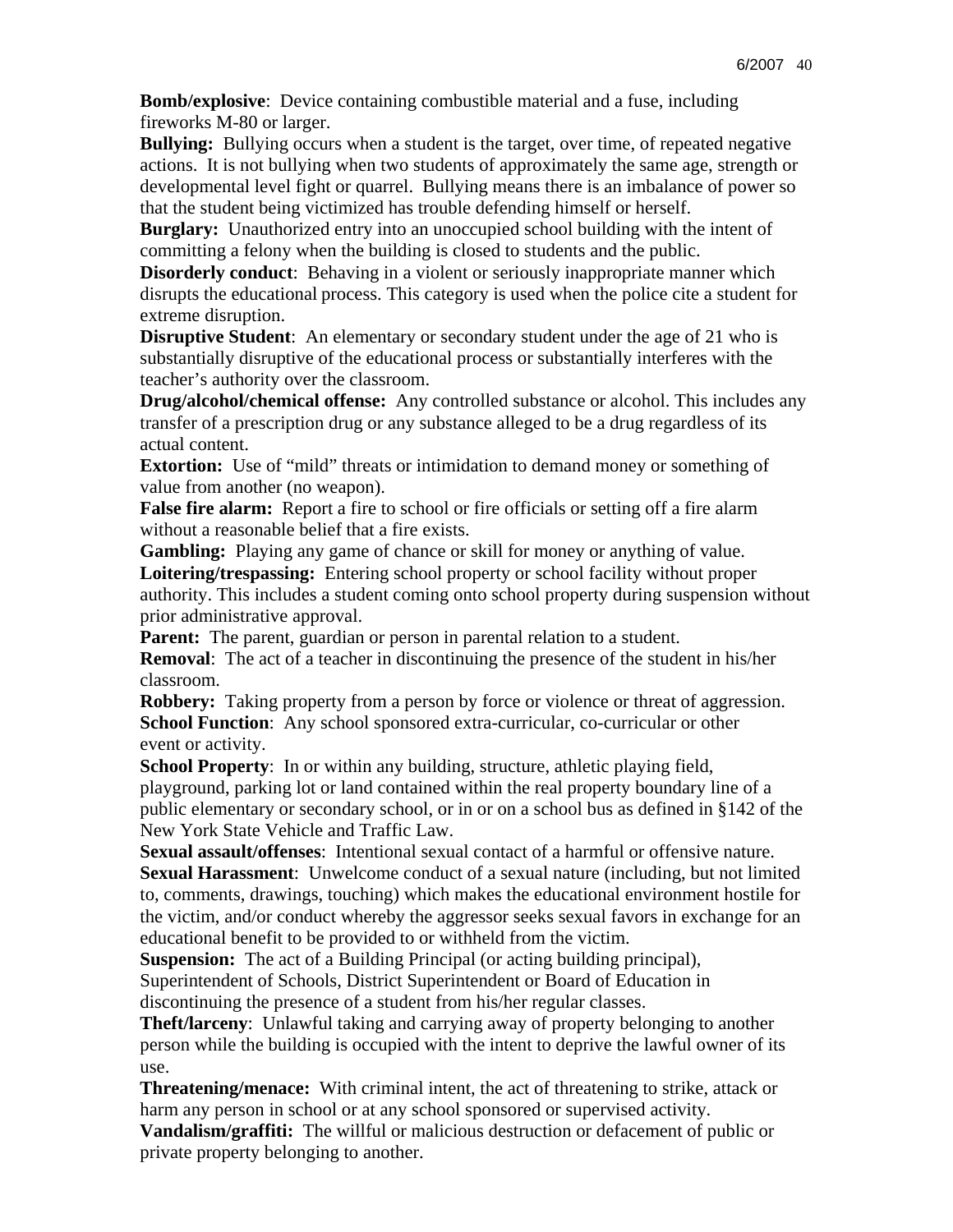**Bomb/explosive**: Device containing combustible material and a fuse, including fireworks M-80 or larger.

**Bullying:** Bullying occurs when a student is the target, over time, of repeated negative actions. It is not bullying when two students of approximately the same age, strength or developmental level fight or quarrel. Bullying means there is an imbalance of power so that the student being victimized has trouble defending himself or herself.

**Burglary:** Unauthorized entry into an unoccupied school building with the intent of committing a felony when the building is closed to students and the public.

**Disorderly conduct**: Behaving in a violent or seriously inappropriate manner which disrupts the educational process. This category is used when the police cite a student for extreme disruption.

**Disruptive Student**: An elementary or secondary student under the age of 21 who is substantially disruptive of the educational process or substantially interferes with the teacher's authority over the classroom.

**Drug/alcohol/chemical offense:** Any controlled substance or alcohol. This includes any transfer of a prescription drug or any substance alleged to be a drug regardless of its actual content.

**Extortion:** Use of "mild" threats or intimidation to demand money or something of value from another (no weapon).

**False fire alarm:** Report a fire to school or fire officials or setting off a fire alarm without a reasonable belief that a fire exists.

**Gambling:** Playing any game of chance or skill for money or anything of value. **Loitering/trespassing:** Entering school property or school facility without proper authority. This includes a student coming onto school property during suspension without prior administrative approval.

**Parent:** The parent, guardian or person in parental relation to a student. **Removal**: The act of a teacher in discontinuing the presence of the student in his/her classroom.

**Robbery:** Taking property from a person by force or violence or threat of aggression. **School Function**: Any school sponsored extra-curricular, co-curricular or other event or activity.

**School Property**: In or within any building, structure, athletic playing field, playground, parking lot or land contained within the real property boundary line of a public elementary or secondary school, or in or on a school bus as defined in §142 of the New York State Vehicle and Traffic Law.

**Sexual assault/offenses**: Intentional sexual contact of a harmful or offensive nature. **Sexual Harassment**: Unwelcome conduct of a sexual nature (including, but not limited to, comments, drawings, touching) which makes the educational environment hostile for the victim, and/or conduct whereby the aggressor seeks sexual favors in exchange for an educational benefit to be provided to or withheld from the victim.

**Suspension:** The act of a Building Principal (or acting building principal), Superintendent of Schools, District Superintendent or Board of Education in discontinuing the presence of a student from his/her regular classes.

**Theft/larceny**: Unlawful taking and carrying away of property belonging to another person while the building is occupied with the intent to deprive the lawful owner of its use.

**Threatening/menace:** With criminal intent, the act of threatening to strike, attack or harm any person in school or at any school sponsored or supervised activity.

**Vandalism/graffiti:** The willful or malicious destruction or defacement of public or private property belonging to another.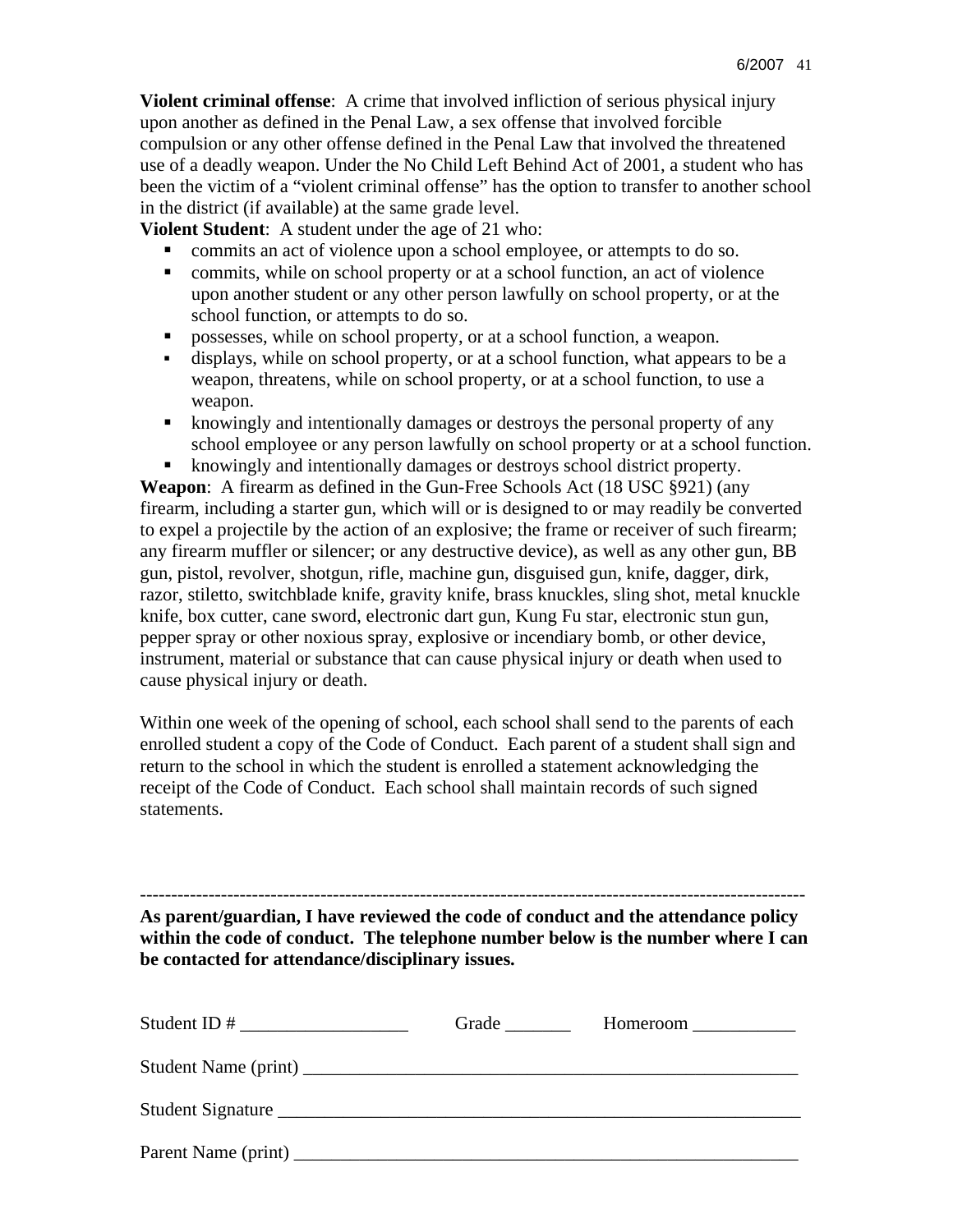**Violent criminal offense**: A crime that involved infliction of serious physical injury upon another as defined in the Penal Law, a sex offense that involved forcible compulsion or any other offense defined in the Penal Law that involved the threatened use of a deadly weapon. Under the No Child Left Behind Act of 2001, a student who has been the victim of a "violent criminal offense" has the option to transfer to another school in the district (if available) at the same grade level.

**Violent Student**: A student under the age of 21 who:

- commits an act of violence upon a school employee, or attempts to do so.
- commits, while on school property or at a school function, an act of violence upon another student or any other person lawfully on school property, or at the school function, or attempts to do so.
- possesses, while on school property, or at a school function, a weapon.
- displays, while on school property, or at a school function, what appears to be a weapon, threatens, while on school property, or at a school function, to use a weapon.
- knowingly and intentionally damages or destroys the personal property of any school employee or any person lawfully on school property or at a school function.
- knowingly and intentionally damages or destroys school district property.

**Weapon**: A firearm as defined in the Gun-Free Schools Act (18 USC §921) (any firearm, including a starter gun, which will or is designed to or may readily be converted to expel a projectile by the action of an explosive; the frame or receiver of such firearm; any firearm muffler or silencer; or any destructive device), as well as any other gun, BB gun, pistol, revolver, shotgun, rifle, machine gun, disguised gun, knife, dagger, dirk, razor, stiletto, switchblade knife, gravity knife, brass knuckles, sling shot, metal knuckle knife, box cutter, cane sword, electronic dart gun, Kung Fu star, electronic stun gun, pepper spray or other noxious spray, explosive or incendiary bomb, or other device, instrument, material or substance that can cause physical injury or death when used to cause physical injury or death.

Within one week of the opening of school, each school shall send to the parents of each enrolled student a copy of the Code of Conduct. Each parent of a student shall sign and return to the school in which the student is enrolled a statement acknowledging the receipt of the Code of Conduct. Each school shall maintain records of such signed statements.

----------------------------------------------------------------------------------------------------------- **As parent/guardian, I have reviewed the code of conduct and the attendance policy within the code of conduct. The telephone number below is the number where I can be contacted for attendance/disciplinary issues.** 

|                   | Grade | Homeroom ______________ |  |
|-------------------|-------|-------------------------|--|
|                   |       |                         |  |
| Student Signature |       |                         |  |
|                   |       |                         |  |